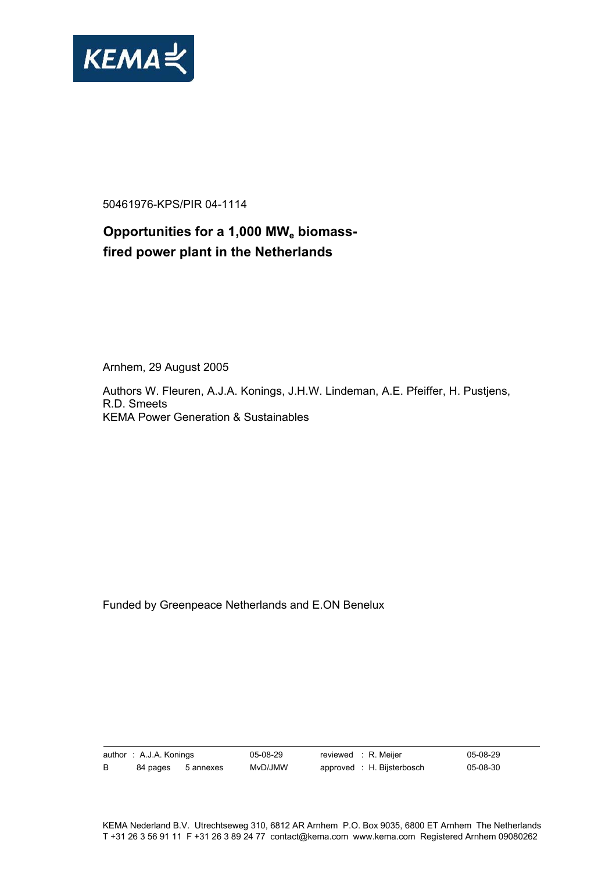

50461976-KPS/PIR 04-1114

# Opportunities for a 1,000 MW<sub>e</sub> biomass**fired power plant in the Netherlands**

Arnhem, 29 August 2005

Authors W. Fleuren, A.J.A. Konings, J.H.W. Lindeman, A.E. Pfeiffer, H. Pustjens, R.D. Smeets KEMA Power Generation & Sustainables

Funded by Greenpeace Netherlands and E.ON Benelux

author : A.J.A. Konings 05-08-29 reviewed : R. Meijer 05-08-29 B 84 pages 5 annexes MvD/JMW approved : H. Bijsterbosch 05-08-30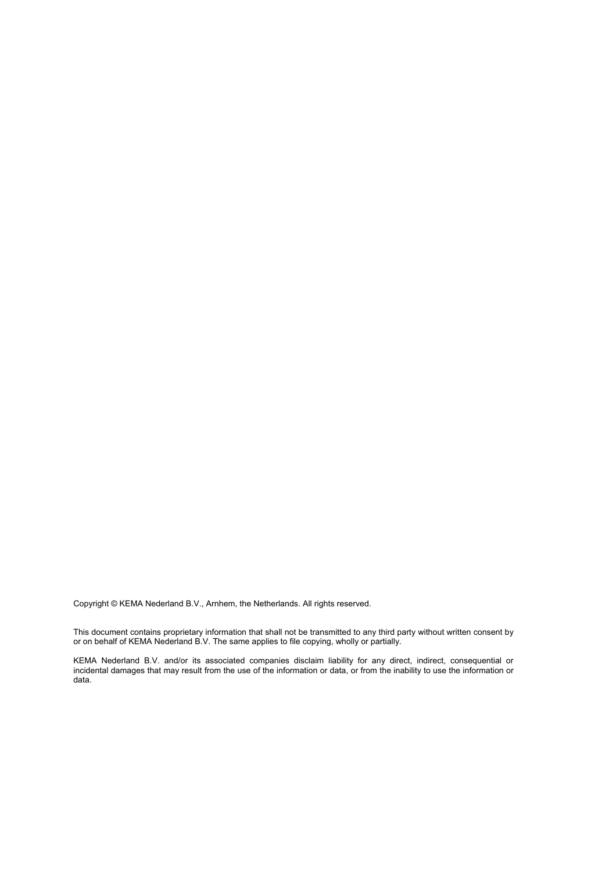Copyright © KEMA Nederland B.V., Arnhem, the Netherlands. All rights reserved.

This document contains proprietary information that shall not be transmitted to any third party without written consent by or on behalf of KEMA Nederland B.V. The same applies to file copying, wholly or partially.

KEMA Nederland B.V. and/or its associated companies disclaim liability for any direct, indirect, consequential or incidental damages that may result from the use of the information or data, or from the inability to use the information or data.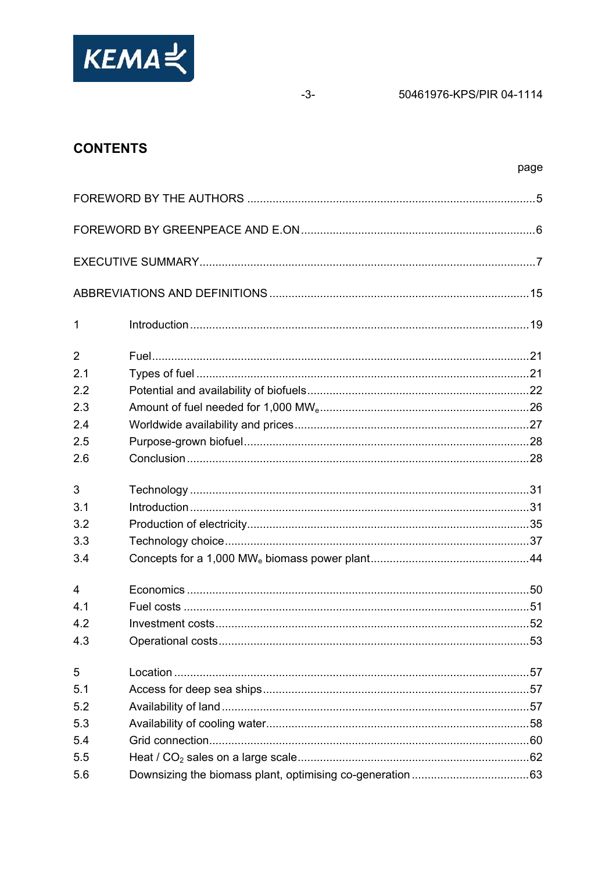

50461976-KPS/PIR 04-1114

# **CONTENTS**

| 1              | <u> 19. Introduction</u> |  |
|----------------|--------------------------|--|
| $\overline{2}$ |                          |  |
| 2.1            |                          |  |
| 2.2            |                          |  |
| 2.3            |                          |  |
| 2.4            |                          |  |
| 2.5            |                          |  |
| 2.6            |                          |  |
| 3              |                          |  |
| 3.1            |                          |  |
| 3.2            |                          |  |
| 3.3            |                          |  |
| 3.4            |                          |  |
| $\overline{4}$ |                          |  |
| 4.1            |                          |  |
| 4.2            |                          |  |
| 4.3            |                          |  |
| 5              |                          |  |
| 5.1            |                          |  |
| 5.2            |                          |  |
| 5.3            |                          |  |
| 5.4            |                          |  |
| 5.5            |                          |  |
| 5.6            |                          |  |

 $-3-$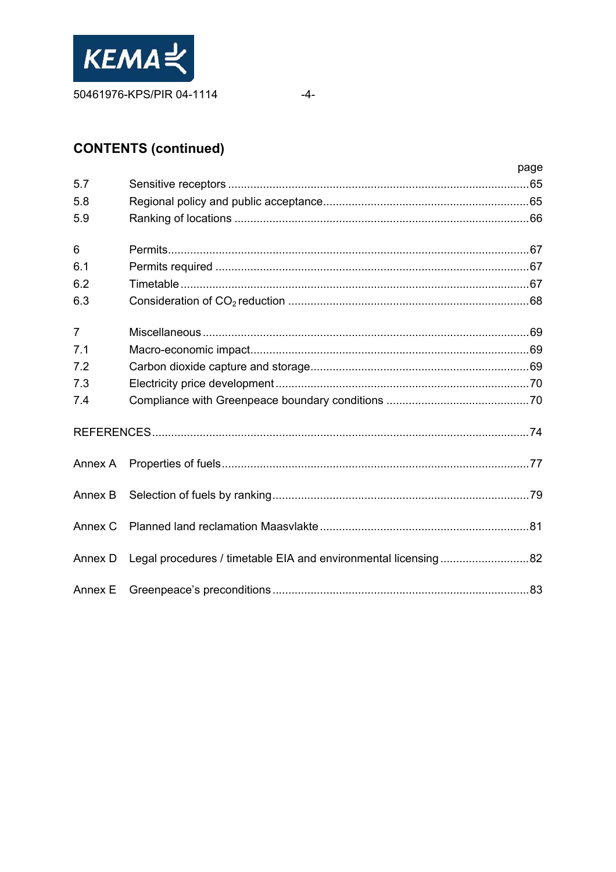

 $-4-$ 

# **CONTENTS (continued)**

|                |                                                                | page |
|----------------|----------------------------------------------------------------|------|
| 5.7            |                                                                |      |
| 5.8            |                                                                |      |
| 5.9            |                                                                |      |
| 6              |                                                                |      |
| 6.1            |                                                                |      |
| 6.2            |                                                                |      |
| 6.3            |                                                                |      |
| $\overline{7}$ |                                                                |      |
| 7.1            |                                                                |      |
| 7.2            |                                                                |      |
| 7.3            |                                                                |      |
| 7.4            |                                                                |      |
|                |                                                                |      |
| Annex A        |                                                                |      |
| Annex B        |                                                                |      |
| Annex C        |                                                                |      |
| Annex D        | Legal procedures / timetable EIA and environmental licensing82 |      |
| Annex E        |                                                                |      |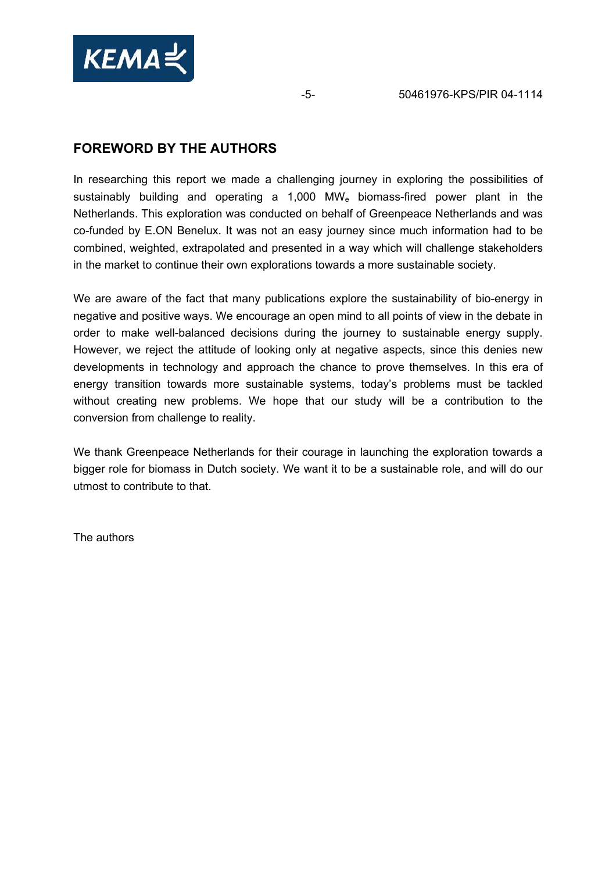

# **FOREWORD BY THE AUTHORS**

In researching this report we made a challenging journey in exploring the possibilities of sustainably building and operating a 1,000 MW<sub>e</sub> biomass-fired power plant in the Netherlands. This exploration was conducted on behalf of Greenpeace Netherlands and was co-funded by E.ON Benelux. It was not an easy journey since much information had to be combined, weighted, extrapolated and presented in a way which will challenge stakeholders in the market to continue their own explorations towards a more sustainable society.

We are aware of the fact that many publications explore the sustainability of bio-energy in negative and positive ways. We encourage an open mind to all points of view in the debate in order to make well-balanced decisions during the journey to sustainable energy supply. However, we reject the attitude of looking only at negative aspects, since this denies new developments in technology and approach the chance to prove themselves. In this era of energy transition towards more sustainable systems, today's problems must be tackled without creating new problems. We hope that our study will be a contribution to the conversion from challenge to reality.

We thank Greenpeace Netherlands for their courage in launching the exploration towards a bigger role for biomass in Dutch society. We want it to be a sustainable role, and will do our utmost to contribute to that.

The authors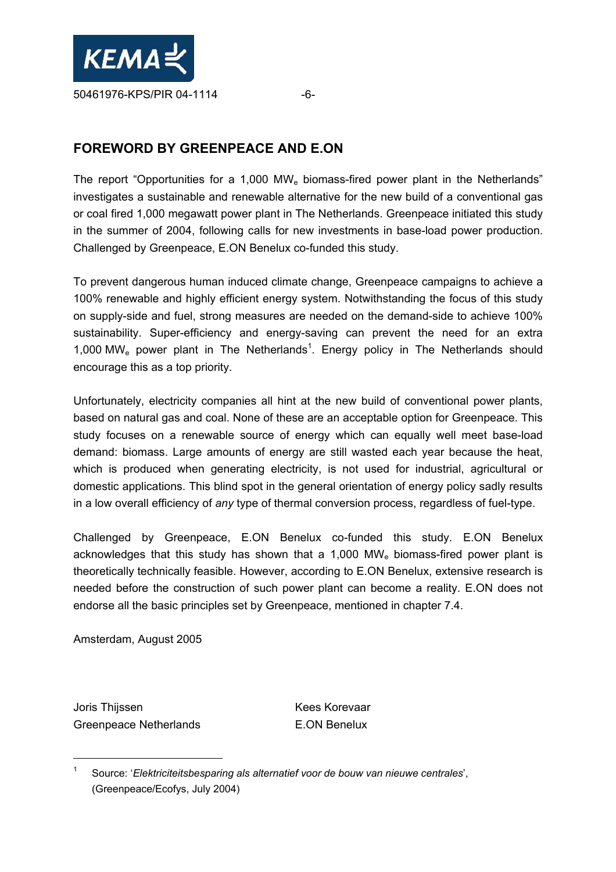

# **FOREWORD BY GREENPEACE AND E.ON**

The report "Opportunities for a 1,000 MWe biomass-fired power plant in the Netherlands" investigates a sustainable and renewable alternative for the new build of a conventional gas or coal fired 1,000 megawatt power plant in The Netherlands. Greenpeace initiated this study in the summer of 2004, following calls for new investments in base-load power production. Challenged by Greenpeace, E.ON Benelux co-funded this study.

To prevent dangerous human induced climate change, Greenpeace campaigns to achieve a 100% renewable and highly efficient energy system. Notwithstanding the focus of this study on supply-side and fuel, strong measures are needed on the demand-side to achieve 100% sustainability. Super-efficiency and energy-saving can prevent the need for an extra 1,000 MW<sub>e</sub> power plant in The Netherlands<sup>1</sup>. Energy policy in The Netherlands should encourage this as a top priority.

Unfortunately, electricity companies all hint at the new build of conventional power plants, based on natural gas and coal. None of these are an acceptable option for Greenpeace. This study focuses on a renewable source of energy which can equally well meet base-load demand: biomass. Large amounts of energy are still wasted each year because the heat, which is produced when generating electricity, is not used for industrial, agricultural or domestic applications. This blind spot in the general orientation of energy policy sadly results in a low overall efficiency of *any* type of thermal conversion process, regardless of fuel-type.

Challenged by Greenpeace, E.ON Benelux co-funded this study. E.ON Benelux acknowledges that this study has shown that a 1,000 MWe biomass-fired power plant is theoretically technically feasible. However, according to E.ON Benelux, extensive research is needed before the construction of such power plant can become a reality. E.ON does not endorse all the basic principles set by Greenpeace, mentioned in chapter 7.4.

Amsterdam, August 2005

Joris Thijssen Kees Korevaar Greenpeace Netherlands E.ON Benelux

<sup>1</sup> Source: '*Elektriciteitsbesparing als alternatief voor de bouw van nieuwe centrales*', (Greenpeace/Ecofys, July 2004)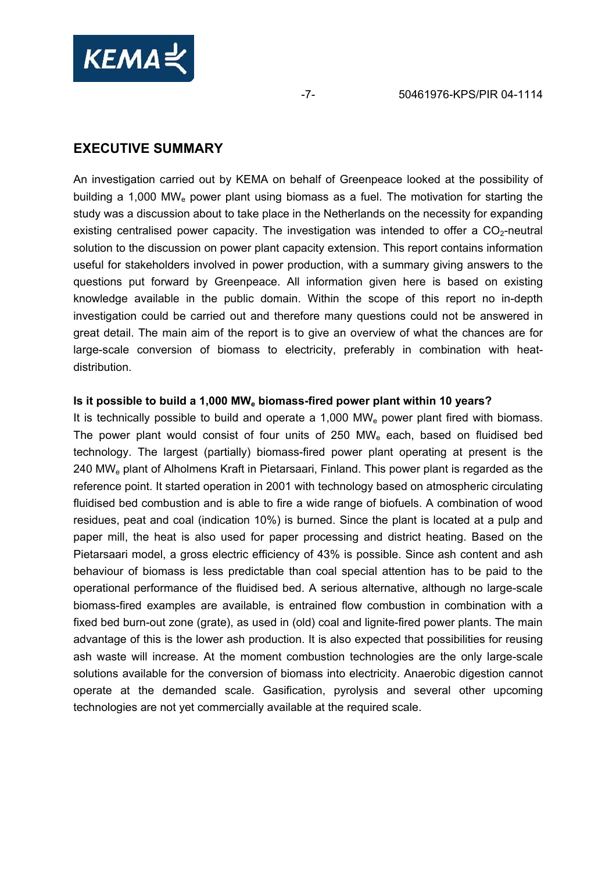

# **EXECUTIVE SUMMARY**

An investigation carried out by KEMA on behalf of Greenpeace looked at the possibility of building a 1,000 MWe power plant using biomass as a fuel. The motivation for starting the study was a discussion about to take place in the Netherlands on the necessity for expanding existing centralised power capacity. The investigation was intended to offer a  $CO<sub>2</sub>$ -neutral solution to the discussion on power plant capacity extension. This report contains information useful for stakeholders involved in power production, with a summary giving answers to the questions put forward by Greenpeace. All information given here is based on existing knowledge available in the public domain. Within the scope of this report no in-depth investigation could be carried out and therefore many questions could not be answered in great detail. The main aim of the report is to give an overview of what the chances are for large-scale conversion of biomass to electricity, preferably in combination with heatdistribution.

#### **Is it possible to build a 1,000 MWe biomass-fired power plant within 10 years?**

It is technically possible to build and operate a  $1,000$  MW<sub>e</sub> power plant fired with biomass. The power plant would consist of four units of  $250$  MW<sub>e</sub> each, based on fluidised bed technology. The largest (partially) biomass-fired power plant operating at present is the 240 MWe plant of Alholmens Kraft in Pietarsaari, Finland. This power plant is regarded as the reference point. It started operation in 2001 with technology based on atmospheric circulating fluidised bed combustion and is able to fire a wide range of biofuels. A combination of wood residues, peat and coal (indication 10%) is burned. Since the plant is located at a pulp and paper mill, the heat is also used for paper processing and district heating. Based on the Pietarsaari model, a gross electric efficiency of 43% is possible. Since ash content and ash behaviour of biomass is less predictable than coal special attention has to be paid to the operational performance of the fluidised bed. A serious alternative, although no large-scale biomass-fired examples are available, is entrained flow combustion in combination with a fixed bed burn-out zone (grate), as used in (old) coal and lignite-fired power plants. The main advantage of this is the lower ash production. It is also expected that possibilities for reusing ash waste will increase. At the moment combustion technologies are the only large-scale solutions available for the conversion of biomass into electricity. Anaerobic digestion cannot operate at the demanded scale. Gasification, pyrolysis and several other upcoming technologies are not yet commercially available at the required scale.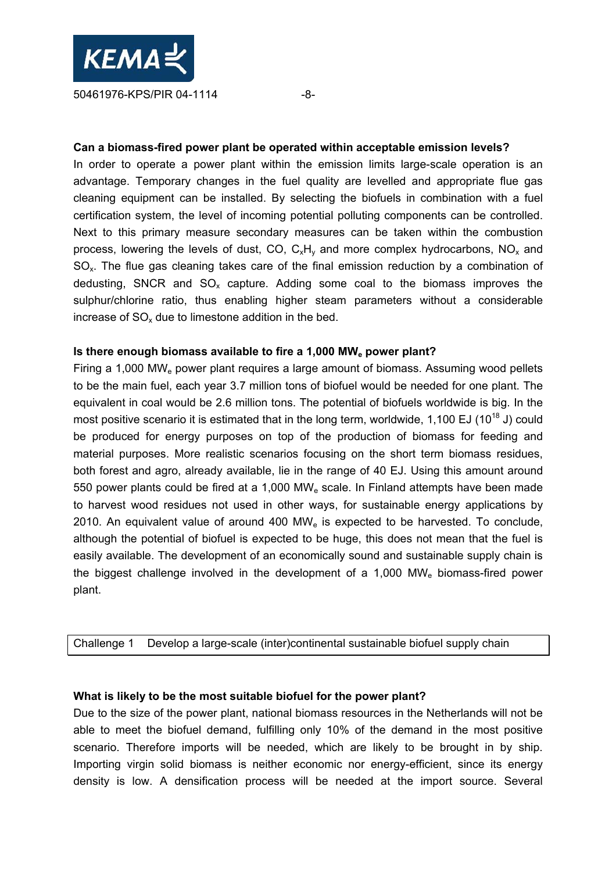

#### **Can a biomass-fired power plant be operated within acceptable emission levels?**

In order to operate a power plant within the emission limits large-scale operation is an advantage. Temporary changes in the fuel quality are levelled and appropriate flue gas cleaning equipment can be installed. By selecting the biofuels in combination with a fuel certification system, the level of incoming potential polluting components can be controlled. Next to this primary measure secondary measures can be taken within the combustion process, lowering the levels of dust, CO,  $C_xH_y$  and more complex hydrocarbons, NO<sub>x</sub> and  $SO_{x}$ . The flue gas cleaning takes care of the final emission reduction by a combination of dedusting, SNCR and  $SO<sub>x</sub>$  capture. Adding some coal to the biomass improves the sulphur/chlorine ratio, thus enabling higher steam parameters without a considerable increase of  $SO_{x}$  due to limestone addition in the bed.

#### **Is there enough biomass available to fire a 1,000 MWe power plant?**

Firing a 1,000 MWe power plant requires a large amount of biomass. Assuming wood pellets to be the main fuel, each year 3.7 million tons of biofuel would be needed for one plant. The equivalent in coal would be 2.6 million tons. The potential of biofuels worldwide is big. In the most positive scenario it is estimated that in the long term, worldwide, 1,100 EJ (10<sup>18</sup> J) could be produced for energy purposes on top of the production of biomass for feeding and material purposes. More realistic scenarios focusing on the short term biomass residues, both forest and agro, already available, lie in the range of 40 EJ. Using this amount around 550 power plants could be fired at a 1,000 MWe scale. In Finland attempts have been made to harvest wood residues not used in other ways, for sustainable energy applications by 2010. An equivalent value of around 400  $MW_e$  is expected to be harvested. To conclude, although the potential of biofuel is expected to be huge, this does not mean that the fuel is easily available. The development of an economically sound and sustainable supply chain is the biggest challenge involved in the development of a 1,000 MWe biomass-fired power plant.

Challenge 1 Develop a large-scale (inter)continental sustainable biofuel supply chain

#### **What is likely to be the most suitable biofuel for the power plant?**

Due to the size of the power plant, national biomass resources in the Netherlands will not be able to meet the biofuel demand, fulfilling only 10% of the demand in the most positive scenario. Therefore imports will be needed, which are likely to be brought in by ship. Importing virgin solid biomass is neither economic nor energy-efficient, since its energy density is low. A densification process will be needed at the import source. Several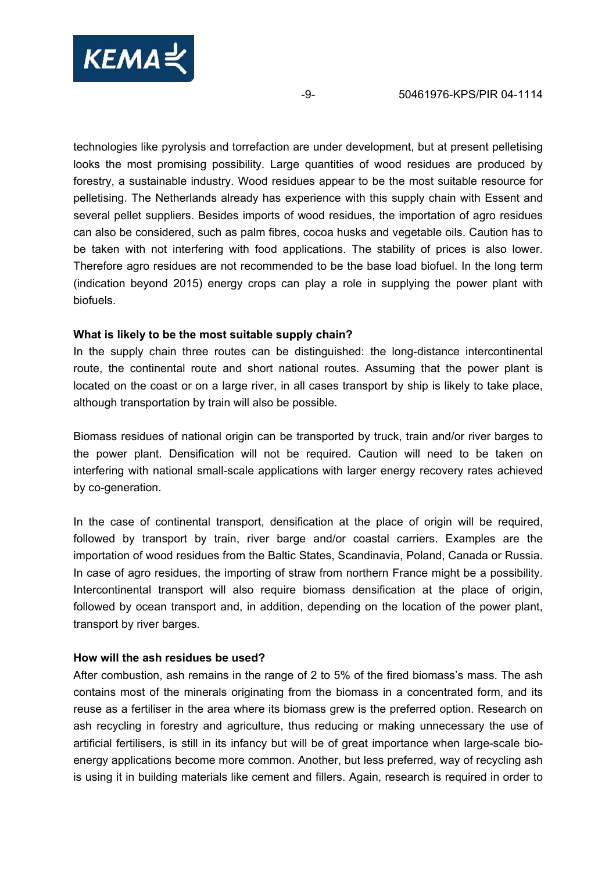

technologies like pyrolysis and torrefaction are under development, but at present pelletising looks the most promising possibility. Large quantities of wood residues are produced by forestry, a sustainable industry. Wood residues appear to be the most suitable resource for pelletising. The Netherlands already has experience with this supply chain with Essent and several pellet suppliers. Besides imports of wood residues, the importation of agro residues can also be considered, such as palm fibres, cocoa husks and vegetable oils. Caution has to be taken with not interfering with food applications. The stability of prices is also lower. Therefore agro residues are not recommended to be the base load biofuel. In the long term (indication beyond 2015) energy crops can play a role in supplying the power plant with biofuels.

#### **What is likely to be the most suitable supply chain?**

In the supply chain three routes can be distinguished: the long-distance intercontinental route, the continental route and short national routes. Assuming that the power plant is located on the coast or on a large river, in all cases transport by ship is likely to take place, although transportation by train will also be possible.

Biomass residues of national origin can be transported by truck, train and/or river barges to the power plant. Densification will not be required. Caution will need to be taken on interfering with national small-scale applications with larger energy recovery rates achieved by co-generation.

In the case of continental transport, densification at the place of origin will be required, followed by transport by train, river barge and/or coastal carriers. Examples are the importation of wood residues from the Baltic States, Scandinavia, Poland, Canada or Russia. In case of agro residues, the importing of straw from northern France might be a possibility. Intercontinental transport will also require biomass densification at the place of origin, followed by ocean transport and, in addition, depending on the location of the power plant, transport by river barges.

#### **How will the ash residues be used?**

After combustion, ash remains in the range of 2 to 5% of the fired biomass's mass. The ash contains most of the minerals originating from the biomass in a concentrated form, and its reuse as a fertiliser in the area where its biomass grew is the preferred option. Research on ash recycling in forestry and agriculture, thus reducing or making unnecessary the use of artificial fertilisers, is still in its infancy but will be of great importance when large-scale bioenergy applications become more common. Another, but less preferred, way of recycling ash is using it in building materials like cement and fillers. Again, research is required in order to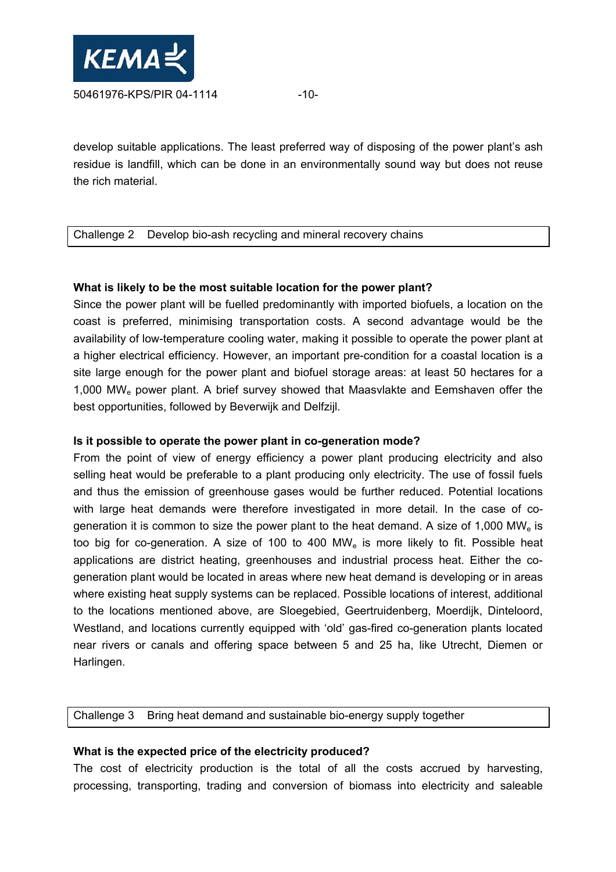

develop suitable applications. The least preferred way of disposing of the power plant's ash residue is landfill, which can be done in an environmentally sound way but does not reuse the rich material.

#### Challenge 2 Develop bio-ash recycling and mineral recovery chains

#### **What is likely to be the most suitable location for the power plant?**

Since the power plant will be fuelled predominantly with imported biofuels, a location on the coast is preferred, minimising transportation costs. A second advantage would be the availability of low-temperature cooling water, making it possible to operate the power plant at a higher electrical efficiency. However, an important pre-condition for a coastal location is a site large enough for the power plant and biofuel storage areas: at least 50 hectares for a 1,000 MWe power plant. A brief survey showed that Maasvlakte and Eemshaven offer the best opportunities, followed by Beverwijk and Delfzijl.

#### **Is it possible to operate the power plant in co-generation mode?**

From the point of view of energy efficiency a power plant producing electricity and also selling heat would be preferable to a plant producing only electricity. The use of fossil fuels and thus the emission of greenhouse gases would be further reduced. Potential locations with large heat demands were therefore investigated in more detail. In the case of cogeneration it is common to size the power plant to the heat demand. A size of 1,000 MW<sub>e</sub> is too big for co-generation. A size of 100 to 400 MWe is more likely to fit. Possible heat applications are district heating, greenhouses and industrial process heat. Either the cogeneration plant would be located in areas where new heat demand is developing or in areas where existing heat supply systems can be replaced. Possible locations of interest, additional to the locations mentioned above, are Sloegebied, Geertruidenberg, Moerdijk, Dinteloord, Westland, and locations currently equipped with 'old' gas-fired co-generation plants located near rivers or canals and offering space between 5 and 25 ha, like Utrecht, Diemen or Harlingen.

Challenge 3 Bring heat demand and sustainable bio-energy supply together

#### **What is the expected price of the electricity produced?**

The cost of electricity production is the total of all the costs accrued by harvesting, processing, transporting, trading and conversion of biomass into electricity and saleable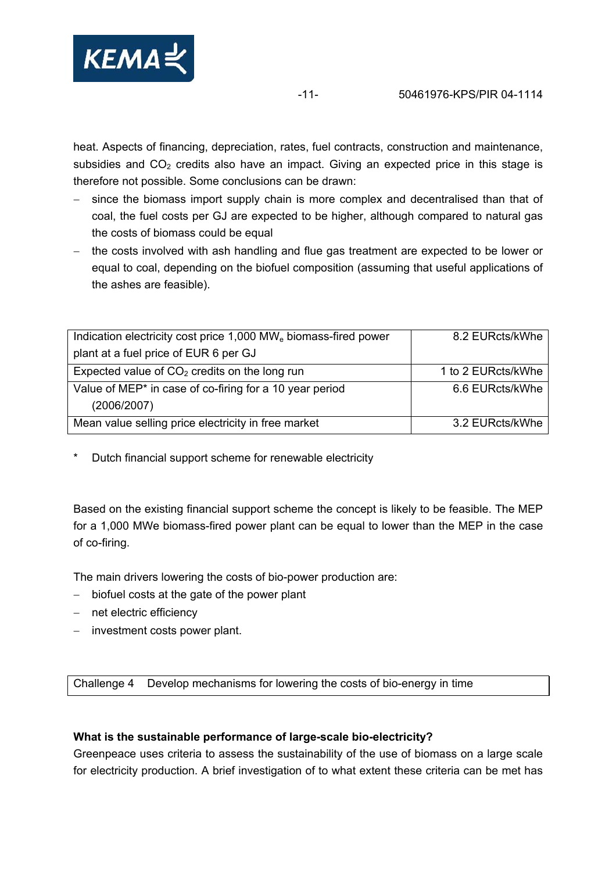

heat. Aspects of financing, depreciation, rates, fuel contracts, construction and maintenance, subsidies and  $CO<sub>2</sub>$  credits also have an impact. Giving an expected price in this stage is therefore not possible. Some conclusions can be drawn:

- since the biomass import supply chain is more complex and decentralised than that of coal, the fuel costs per GJ are expected to be higher, although compared to natural gas the costs of biomass could be equal
- − the costs involved with ash handling and flue gas treatment are expected to be lower or equal to coal, depending on the biofuel composition (assuming that useful applications of the ashes are feasible).

| Indication electricity cost price 1,000 MW <sub>e</sub> biomass-fired power | 8.2 EURcts/kWhe    |
|-----------------------------------------------------------------------------|--------------------|
| plant at a fuel price of EUR 6 per GJ                                       |                    |
| Expected value of $CO2$ credits on the long run                             | 1 to 2 EURcts/kWhe |
| Value of MEP <sup>*</sup> in case of co-firing for a 10 year period         | 6.6 EURcts/kWhe    |
| (2006/2007)                                                                 |                    |
| Mean value selling price electricity in free market                         | 3.2 EURcts/kWhe    |

Dutch financial support scheme for renewable electricity

Based on the existing financial support scheme the concept is likely to be feasible. The MEP for a 1,000 MWe biomass-fired power plant can be equal to lower than the MEP in the case of co-firing.

The main drivers lowering the costs of bio-power production are:

- − biofuel costs at the gate of the power plant
- − net electric efficiency
- − investment costs power plant.

Challenge 4 Develop mechanisms for lowering the costs of bio-energy in time

#### **What is the sustainable performance of large-scale bio-electricity?**

Greenpeace uses criteria to assess the sustainability of the use of biomass on a large scale for electricity production. A brief investigation of to what extent these criteria can be met has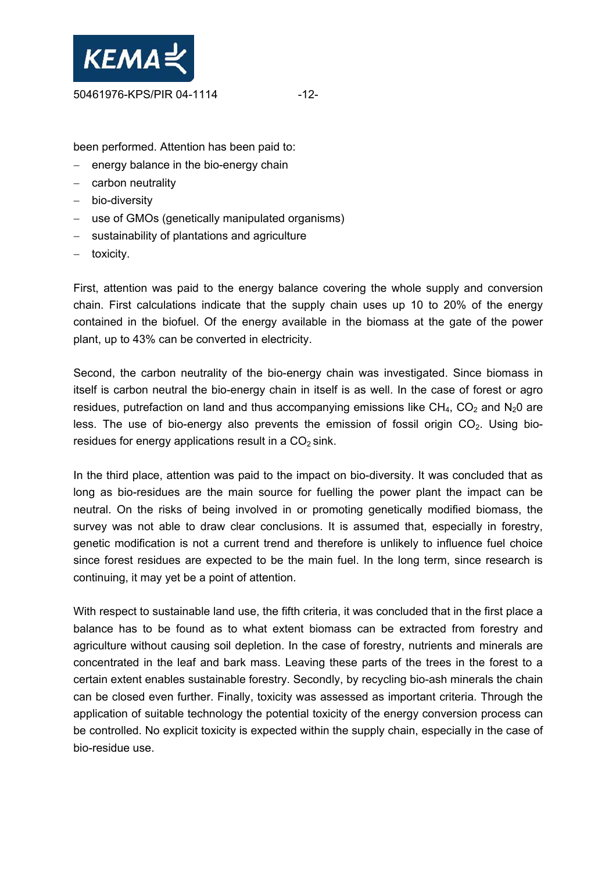

been performed. Attention has been paid to:

- − energy balance in the bio-energy chain
- − carbon neutrality
- − bio-diversity
- − use of GMOs (genetically manipulated organisms)
- − sustainability of plantations and agriculture
- − toxicity.

First, attention was paid to the energy balance covering the whole supply and conversion chain. First calculations indicate that the supply chain uses up 10 to 20% of the energy contained in the biofuel. Of the energy available in the biomass at the gate of the power plant, up to 43% can be converted in electricity.

Second, the carbon neutrality of the bio-energy chain was investigated. Since biomass in itself is carbon neutral the bio-energy chain in itself is as well. In the case of forest or agro residues, putrefaction on land and thus accompanying emissions like  $CH_4$ ,  $CO_2$  and  $N_2O$  are less. The use of bio-energy also prevents the emission of fossil origin  $CO<sub>2</sub>$ . Using bioresidues for energy applications result in a  $CO<sub>2</sub>$  sink.

In the third place, attention was paid to the impact on bio-diversity. It was concluded that as long as bio-residues are the main source for fuelling the power plant the impact can be neutral. On the risks of being involved in or promoting genetically modified biomass, the survey was not able to draw clear conclusions. It is assumed that, especially in forestry, genetic modification is not a current trend and therefore is unlikely to influence fuel choice since forest residues are expected to be the main fuel. In the long term, since research is continuing, it may yet be a point of attention.

With respect to sustainable land use, the fifth criteria, it was concluded that in the first place a balance has to be found as to what extent biomass can be extracted from forestry and agriculture without causing soil depletion. In the case of forestry, nutrients and minerals are concentrated in the leaf and bark mass. Leaving these parts of the trees in the forest to a certain extent enables sustainable forestry. Secondly, by recycling bio-ash minerals the chain can be closed even further. Finally, toxicity was assessed as important criteria. Through the application of suitable technology the potential toxicity of the energy conversion process can be controlled. No explicit toxicity is expected within the supply chain, especially in the case of bio-residue use.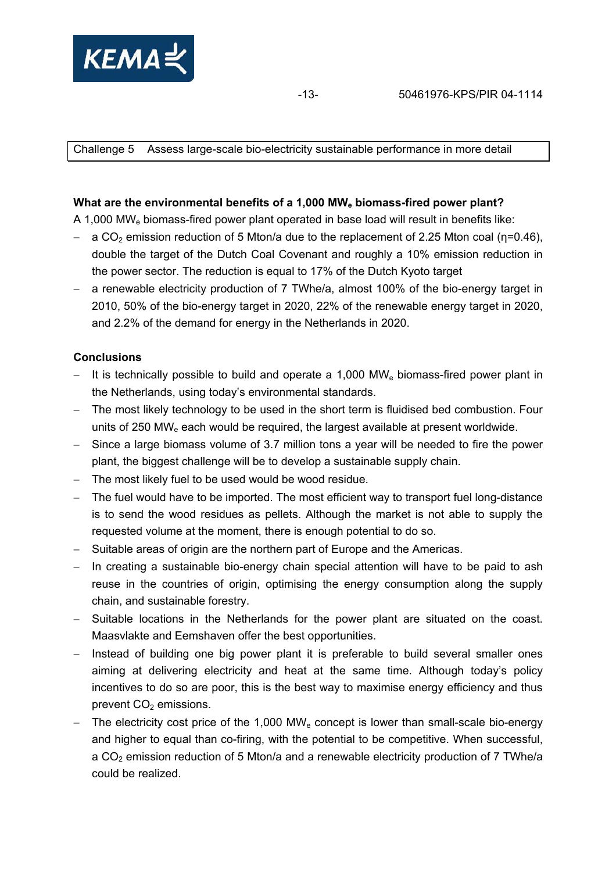

Challenge 5 Assess large-scale bio-electricity sustainable performance in more detail

#### What are the environmental benefits of a 1,000 MW<sub>e</sub> biomass-fired power plant?

A 1,000 MWe biomass-fired power plant operated in base load will result in benefits like:

- − a CO<sub>2</sub> emission reduction of 5 Mton/a due to the replacement of 2.25 Mton coal (η=0.46), double the target of the Dutch Coal Covenant and roughly a 10% emission reduction in the power sector. The reduction is equal to 17% of the Dutch Kyoto target
- − a renewable electricity production of 7 TWhe/a, almost 100% of the bio-energy target in 2010, 50% of the bio-energy target in 2020, 22% of the renewable energy target in 2020, and 2.2% of the demand for energy in the Netherlands in 2020.

#### **Conclusions**

- − It is technically possible to build and operate a 1,000 MW<sub>e</sub> biomass-fired power plant in the Netherlands, using today's environmental standards.
- − The most likely technology to be used in the short term is fluidised bed combustion. Four units of 250 MW<sub>e</sub> each would be required, the largest available at present worldwide.
- − Since a large biomass volume of 3.7 million tons a year will be needed to fire the power plant, the biggest challenge will be to develop a sustainable supply chain.
- − The most likely fuel to be used would be wood residue.
- − The fuel would have to be imported. The most efficient way to transport fuel long-distance is to send the wood residues as pellets. Although the market is not able to supply the requested volume at the moment, there is enough potential to do so.
- − Suitable areas of origin are the northern part of Europe and the Americas.
- − In creating a sustainable bio-energy chain special attention will have to be paid to ash reuse in the countries of origin, optimising the energy consumption along the supply chain, and sustainable forestry.
- − Suitable locations in the Netherlands for the power plant are situated on the coast. Maasvlakte and Eemshaven offer the best opportunities.
- − Instead of building one big power plant it is preferable to build several smaller ones aiming at delivering electricity and heat at the same time. Although today's policy incentives to do so are poor, this is the best way to maximise energy efficiency and thus prevent  $CO<sub>2</sub>$  emissions.
- The electricity cost price of the 1,000 MW<sub>e</sub> concept is lower than small-scale bio-energy and higher to equal than co-firing, with the potential to be competitive. When successful, a  $CO<sub>2</sub>$  emission reduction of 5 Mton/a and a renewable electricity production of 7 TWhe/a could be realized.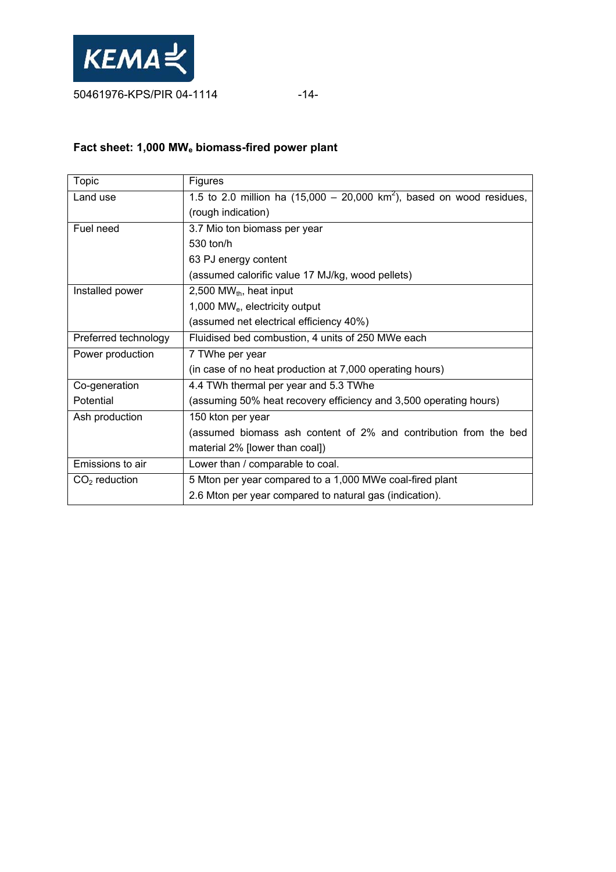

# **Fact sheet: 1,000 MWe biomass-fired power plant**

| Topic                | Figures                                                                          |  |  |  |  |
|----------------------|----------------------------------------------------------------------------------|--|--|--|--|
| Land use             | 1.5 to 2.0 million ha $(15,000 - 20,000 \text{ km}^2)$ , based on wood residues, |  |  |  |  |
|                      | (rough indication)                                                               |  |  |  |  |
| Fuel need            | 3.7 Mio ton biomass per year                                                     |  |  |  |  |
|                      | 530 ton/h                                                                        |  |  |  |  |
|                      | 63 PJ energy content                                                             |  |  |  |  |
|                      | (assumed calorific value 17 MJ/kg, wood pellets)                                 |  |  |  |  |
| Installed power      | 2,500 MW $_{th}$ , heat input                                                    |  |  |  |  |
|                      | 1,000 MW <sub>e</sub> , electricity output                                       |  |  |  |  |
|                      | (assumed net electrical efficiency 40%)                                          |  |  |  |  |
| Preferred technology | Fluidised bed combustion, 4 units of 250 MWe each                                |  |  |  |  |
| Power production     | 7 TWhe per year                                                                  |  |  |  |  |
|                      | (in case of no heat production at 7,000 operating hours)                         |  |  |  |  |
| Co-generation        | 4.4 TWh thermal per year and 5.3 TWhe                                            |  |  |  |  |
| Potential            | (assuming 50% heat recovery efficiency and 3,500 operating hours)                |  |  |  |  |
| Ash production       | 150 kton per year                                                                |  |  |  |  |
|                      | (assumed biomass ash content of 2% and contribution from the bed                 |  |  |  |  |
|                      | material 2% [lower than coal])                                                   |  |  |  |  |
| Emissions to air     | Lower than / comparable to coal.                                                 |  |  |  |  |
| $CO2$ reduction      | 5 Mton per year compared to a 1,000 MWe coal-fired plant                         |  |  |  |  |
|                      | 2.6 Mton per year compared to natural gas (indication).                          |  |  |  |  |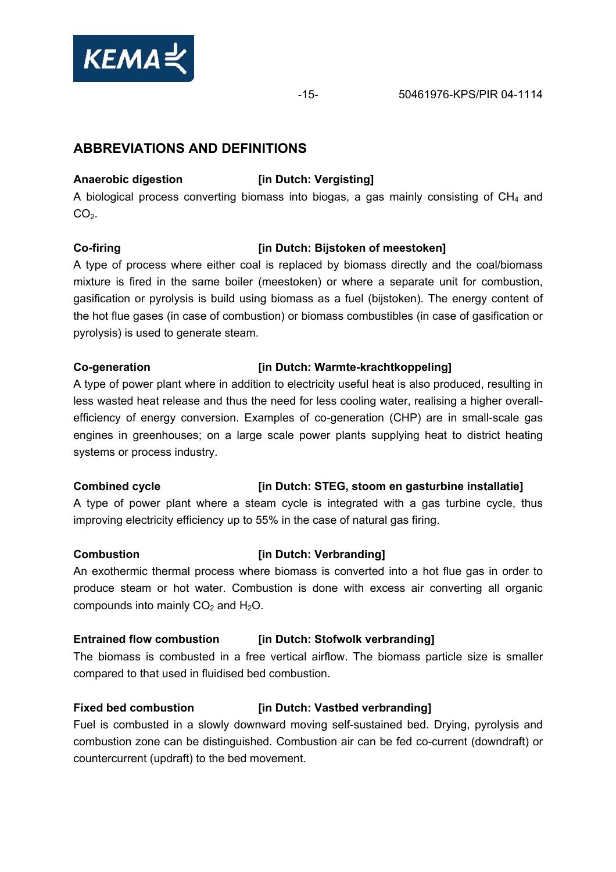

# **ABBREVIATIONS AND DEFINITIONS**

#### Anaerobic digestion *im Dutch: Vergisting*

A biological process converting biomass into biogas, a gas mainly consisting of  $CH<sub>4</sub>$  and  $CO<sub>2</sub>$ .

### **Co-firing [in Dutch: Bijstoken of meestoken]**

A type of process where either coal is replaced by biomass directly and the coal/biomass mixture is fired in the same boiler (meestoken) or where a separate unit for combustion, gasification or pyrolysis is build using biomass as a fuel (bijstoken). The energy content of the hot flue gases (in case of combustion) or biomass combustibles (in case of gasification or pyrolysis) is used to generate steam.

#### **Co-generation [in Dutch: Warmte-krachtkoppeling]**

A type of power plant where in addition to electricity useful heat is also produced, resulting in less wasted heat release and thus the need for less cooling water, realising a higher overallefficiency of energy conversion. Examples of co-generation (CHP) are in small-scale gas engines in greenhouses; on a large scale power plants supplying heat to district heating systems or process industry.

#### **Combined cycle** *Combined cycle iin Dutch: STEG, stoom en gasturbine installatie]*

A type of power plant where a steam cycle is integrated with a gas turbine cycle, thus improving electricity efficiency up to 55% in the case of natural gas firing.

#### **Combustion [in Dutch: Verbranding]**

An exothermic thermal process where biomass is converted into a hot flue gas in order to produce steam or hot water. Combustion is done with excess air converting all organic compounds into mainly  $CO<sub>2</sub>$  and  $H<sub>2</sub>O$ .

#### **Entrained flow combustion [in Dutch: Stofwolk verbranding]**

The biomass is combusted in a free vertical airflow. The biomass particle size is smaller compared to that used in fluidised bed combustion.

#### **Fixed bed combustion** *iin Dutch: Vastbed verbranding]*

Fuel is combusted in a slowly downward moving self-sustained bed. Drying, pyrolysis and combustion zone can be distinguished. Combustion air can be fed co-current (downdraft) or countercurrent (updraft) to the bed movement.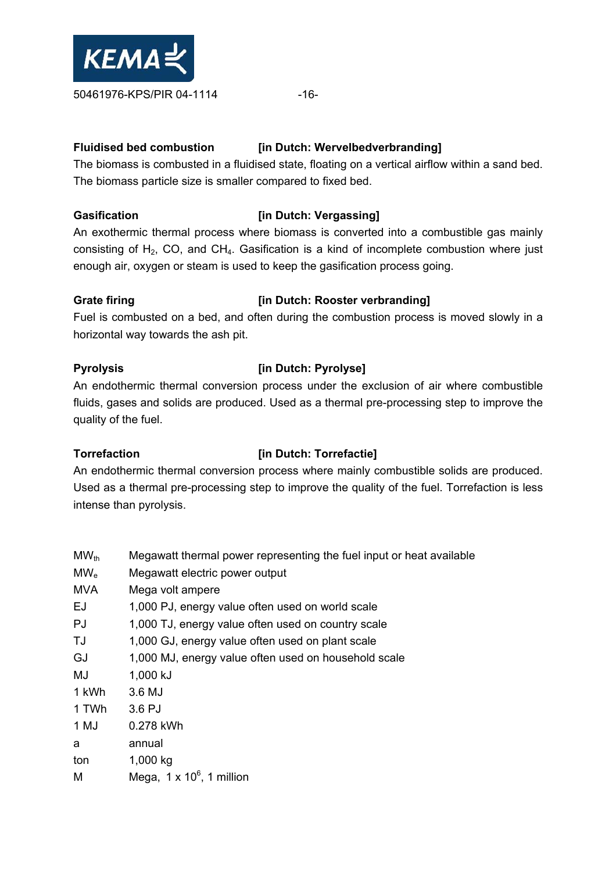

#### **Fluidised bed combustion [in Dutch: Wervelbedverbranding]**

The biomass is combusted in a fluidised state, floating on a vertical airflow within a sand bed. The biomass particle size is smaller compared to fixed bed.

#### **Gasification Example 2** [in Dutch: Vergassing]

An exothermic thermal process where biomass is converted into a combustible gas mainly consisting of  $H_2$ , CO, and CH<sub>4</sub>. Gasification is a kind of incomplete combustion where just enough air, oxygen or steam is used to keep the gasification process going.

### Grate firing **constant of the Constant Constant Constant Constant Constant Constant Constant Constant Constant Constant Constant Constant Constant Constant Constant Constant Constant Constant Constant Constant Constant Con**

Fuel is combusted on a bed, and often during the combustion process is moved slowly in a horizontal way towards the ash pit.

### **Pyrolysis [in Dutch: Pyrolyse]**

An endothermic thermal conversion process under the exclusion of air where combustible fluids, gases and solids are produced. Used as a thermal pre-processing step to improve the quality of the fuel.

# **Torrefaction** *I* **[in Dutch: Torrefactie]**

An endothermic thermal conversion process where mainly combustible solids are produced. Used as a thermal pre-processing step to improve the quality of the fuel. Torrefaction is less intense than pyrolysis.

| $MW_{th}$  | Megawatt thermal power representing the fuel input or heat available |
|------------|----------------------------------------------------------------------|
| $MW_{e}$   | Megawatt electric power output                                       |
| <b>MVA</b> | Mega volt ampere                                                     |
| EJ         | 1,000 PJ, energy value often used on world scale                     |
| PJ         | 1,000 TJ, energy value often used on country scale                   |
| TJ         | 1,000 GJ, energy value often used on plant scale                     |
| GJ         | 1,000 MJ, energy value often used on household scale                 |
| MJ         | 1,000 kJ                                                             |
| 1 kWh      | 3.6 MJ                                                               |
| 1 TWh      | 3.6 PJ                                                               |
| 1 MJ       | 0.278 kWh                                                            |
| a          | annual                                                               |
| ton        | 1,000 kg                                                             |
| M          | Mega, $1 \times 10^6$ , 1 million                                    |
|            |                                                                      |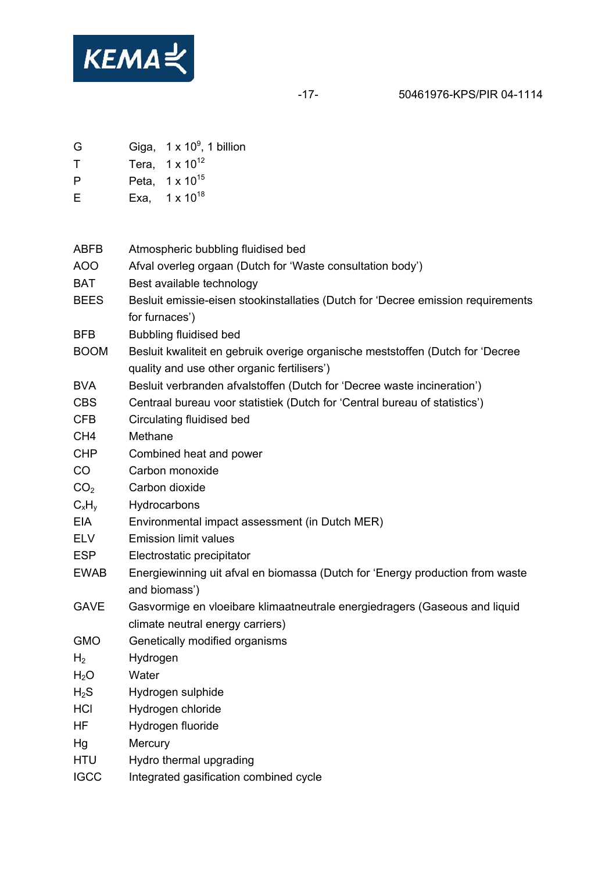

-17- 50461976-KPS/PIR 04-1114

- G Giga,  $1 \times 10^9$ , 1 billion
- $T$  Tera,  $1 \times 10^{12}$
- P Peta, 1 x 10<sup>15</sup>
- E Exa,  $1 \times 10^{18}$

| ABFB             | Atmospheric bubbling fluidised bed                                                                                            |
|------------------|-------------------------------------------------------------------------------------------------------------------------------|
| <b>AOO</b>       | Afval overleg orgaan (Dutch for 'Waste consultation body')                                                                    |
| BAT              | Best available technology                                                                                                     |
| <b>BEES</b>      | Besluit emissie-eisen stookinstallaties (Dutch for 'Decree emission requirements                                              |
|                  | for furnaces')                                                                                                                |
| <b>BFB</b>       | <b>Bubbling fluidised bed</b>                                                                                                 |
| <b>BOOM</b>      | Besluit kwaliteit en gebruik overige organische meststoffen (Dutch for 'Decree<br>quality and use other organic fertilisers') |
| <b>BVA</b>       | Besluit verbranden afvalstoffen (Dutch for 'Decree waste incineration')                                                       |
| <b>CBS</b>       | Centraal bureau voor statistiek (Dutch for 'Central bureau of statistics')                                                    |
| <b>CFB</b>       | Circulating fluidised bed                                                                                                     |
| CH <sub>4</sub>  | Methane                                                                                                                       |
| <b>CHP</b>       | Combined heat and power                                                                                                       |
| CO               | Carbon monoxide                                                                                                               |
| CO <sub>2</sub>  | Carbon dioxide                                                                                                                |
| $C_xH_v$         | Hydrocarbons                                                                                                                  |
| <b>EIA</b>       | Environmental impact assessment (in Dutch MER)                                                                                |
| <b>ELV</b>       | <b>Emission limit values</b>                                                                                                  |
| <b>ESP</b>       | Electrostatic precipitator                                                                                                    |
| <b>EWAB</b>      | Energiewinning uit afval en biomassa (Dutch for 'Energy production from waste<br>and biomass')                                |
| <b>GAVE</b>      | Gasvormige en vloeibare klimaatneutrale energiedragers (Gaseous and liquid<br>climate neutral energy carriers)                |
| <b>GMO</b>       | Genetically modified organisms                                                                                                |
| H <sub>2</sub>   | Hydrogen                                                                                                                      |
| H <sub>2</sub> O | Water                                                                                                                         |
| $H_2S$           | Hydrogen sulphide                                                                                                             |
| <b>HCI</b>       | Hydrogen chloride                                                                                                             |
| HF               | Hydrogen fluoride                                                                                                             |
| Hg               | Mercury                                                                                                                       |
| <b>HTU</b>       | Hydro thermal upgrading                                                                                                       |
| <b>IGCC</b>      | Integrated gasification combined cycle                                                                                        |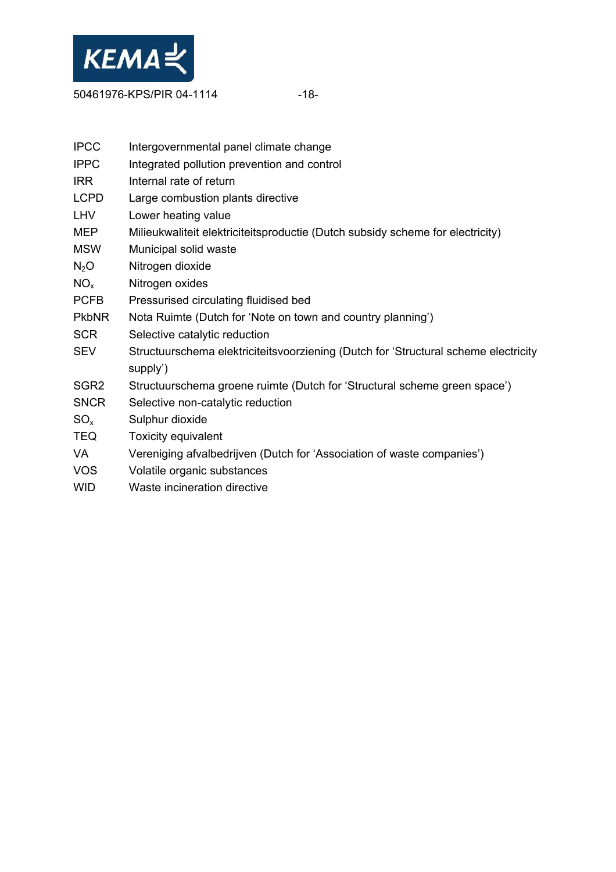

50461976-KPS/PIR 04-1114 - 18-

| <b>IPCC</b>              | Intergovernmental panel climate change                                              |
|--------------------------|-------------------------------------------------------------------------------------|
| <b>IPPC</b>              | Integrated pollution prevention and control                                         |
| <b>IRR</b>               | Internal rate of return                                                             |
| LCPD                     | Large combustion plants directive                                                   |
| LHV                      | Lower heating value                                                                 |
| MEP                      | Milieukwaliteit elektriciteitsproductie (Dutch subsidy scheme for electricity)      |
| MSW                      | Municipal solid waste                                                               |
| $N_2O$                   | Nitrogen dioxide                                                                    |
| $NO_{x}$                 | Nitrogen oxides                                                                     |
| PCFB                     | Pressurised circulating fluidised bed                                               |
| PkbNR                    | Nota Ruimte (Dutch for 'Note on town and country planning')                         |
| SCR                      | Selective catalytic reduction                                                       |
| SEV                      | Structuurschema elektriciteitsvoorziening (Dutch for 'Structural scheme electricity |
|                          | supply')                                                                            |
| SGR2                     | Structuurschema groene ruimte (Dutch for 'Structural scheme green space')           |
| <b>SNCR</b>              | Selective non-catalytic reduction                                                   |
| $\mathrm{SO}_\mathrm{x}$ | Sulphur dioxide                                                                     |
| TEQ                      | Toxicity equivalent                                                                 |
| VA                       | Vereniging afvalbedrijven (Dutch for 'Association of waste companies')              |
| VOS                      | Volatile organic substances                                                         |
| WID                      | Waste incineration directive                                                        |
|                          |                                                                                     |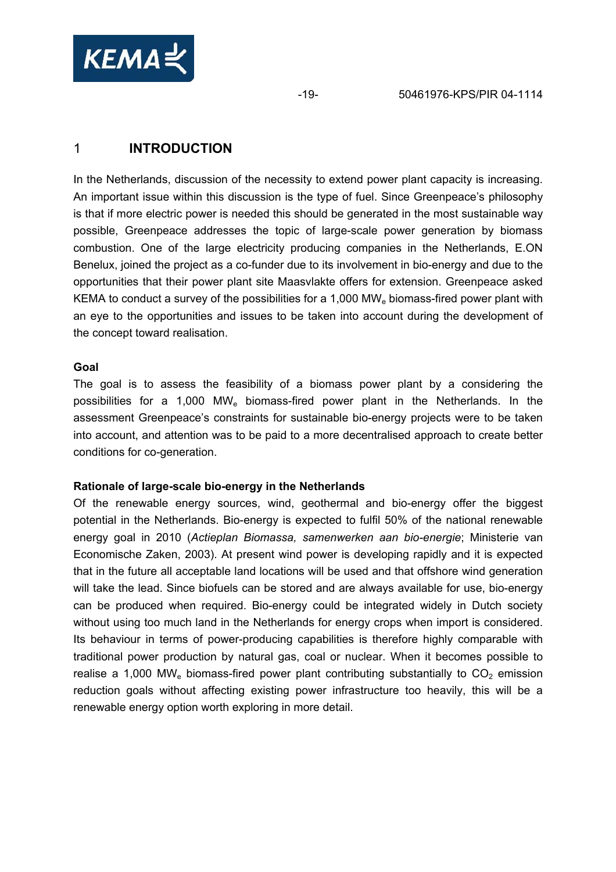

# 1 **INTRODUCTION**

In the Netherlands, discussion of the necessity to extend power plant capacity is increasing. An important issue within this discussion is the type of fuel. Since Greenpeace's philosophy is that if more electric power is needed this should be generated in the most sustainable way possible, Greenpeace addresses the topic of large-scale power generation by biomass combustion. One of the large electricity producing companies in the Netherlands, E.ON Benelux, joined the project as a co-funder due to its involvement in bio-energy and due to the opportunities that their power plant site Maasvlakte offers for extension. Greenpeace asked KEMA to conduct a survey of the possibilities for a 1,000 MW $_{\rm e}$  biomass-fired power plant with an eye to the opportunities and issues to be taken into account during the development of the concept toward realisation.

#### **Goal**

The goal is to assess the feasibility of a biomass power plant by a considering the possibilities for a 1,000 MWe biomass-fired power plant in the Netherlands. In the assessment Greenpeace's constraints for sustainable bio-energy projects were to be taken into account, and attention was to be paid to a more decentralised approach to create better conditions for co-generation.

#### **Rationale of large-scale bio-energy in the Netherlands**

Of the renewable energy sources, wind, geothermal and bio-energy offer the biggest potential in the Netherlands. Bio-energy is expected to fulfil 50% of the national renewable energy goal in 2010 (*Actieplan Biomassa, samenwerken aan bio-energie*; Ministerie van Economische Zaken, 2003). At present wind power is developing rapidly and it is expected that in the future all acceptable land locations will be used and that offshore wind generation will take the lead. Since biofuels can be stored and are always available for use, bio-energy can be produced when required. Bio-energy could be integrated widely in Dutch society without using too much land in the Netherlands for energy crops when import is considered. Its behaviour in terms of power-producing capabilities is therefore highly comparable with traditional power production by natural gas, coal or nuclear. When it becomes possible to realise a 1,000 MW<sub>e</sub> biomass-fired power plant contributing substantially to  $CO<sub>2</sub>$  emission reduction goals without affecting existing power infrastructure too heavily, this will be a renewable energy option worth exploring in more detail.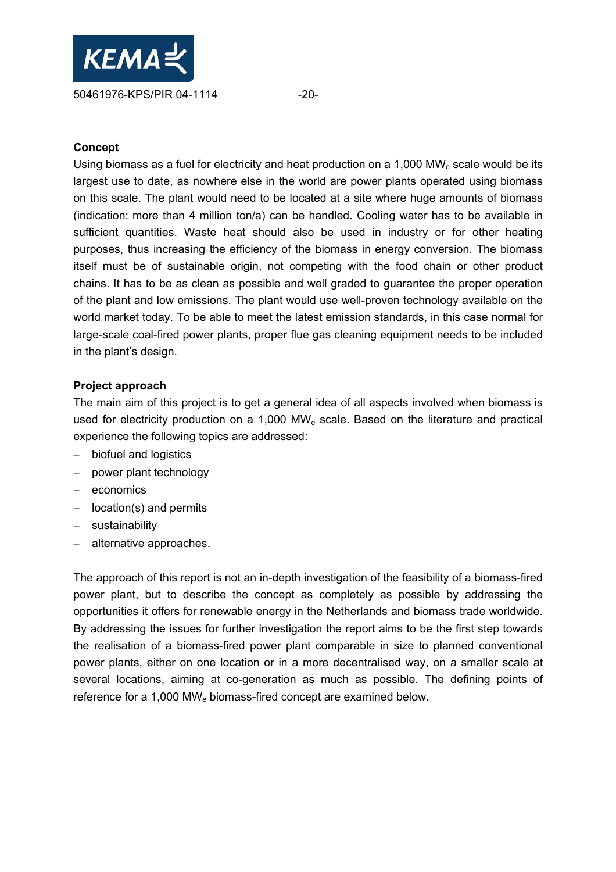

#### **Concept**

Using biomass as a fuel for electricity and heat production on a 1,000  $MW<sub>e</sub>$  scale would be its largest use to date, as nowhere else in the world are power plants operated using biomass on this scale. The plant would need to be located at a site where huge amounts of biomass (indication: more than 4 million ton/a) can be handled. Cooling water has to be available in sufficient quantities. Waste heat should also be used in industry or for other heating purposes, thus increasing the efficiency of the biomass in energy conversion. The biomass itself must be of sustainable origin, not competing with the food chain or other product chains. It has to be as clean as possible and well graded to guarantee the proper operation of the plant and low emissions. The plant would use well-proven technology available on the world market today. To be able to meet the latest emission standards, in this case normal for large-scale coal-fired power plants, proper flue gas cleaning equipment needs to be included in the plant's design.

#### **Project approach**

The main aim of this project is to get a general idea of all aspects involved when biomass is used for electricity production on a 1,000 MW<sub>e</sub> scale. Based on the literature and practical experience the following topics are addressed:

- − biofuel and logistics
- − power plant technology
- − economics
- − location(s) and permits
- − sustainability
- − alternative approaches.

The approach of this report is not an in-depth investigation of the feasibility of a biomass-fired power plant, but to describe the concept as completely as possible by addressing the opportunities it offers for renewable energy in the Netherlands and biomass trade worldwide. By addressing the issues for further investigation the report aims to be the first step towards the realisation of a biomass-fired power plant comparable in size to planned conventional power plants, either on one location or in a more decentralised way, on a smaller scale at several locations, aiming at co-generation as much as possible. The defining points of reference for a 1,000 MW<sub>e</sub> biomass-fired concept are examined below.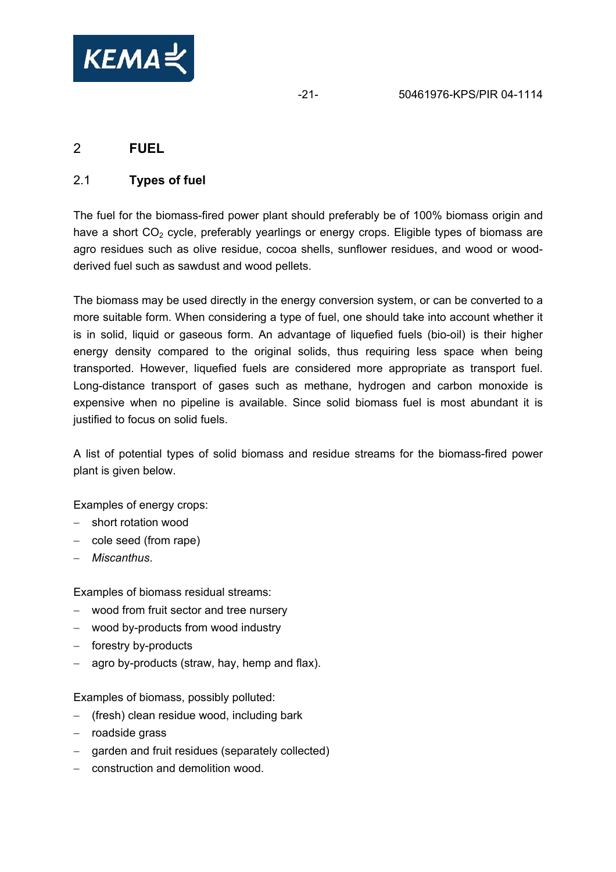

# 2 **FUEL**

## 2.1 **Types of fuel**

The fuel for the biomass-fired power plant should preferably be of 100% biomass origin and have a short  $CO<sub>2</sub>$  cycle, preferably yearlings or energy crops. Eligible types of biomass are agro residues such as olive residue, cocoa shells, sunflower residues, and wood or woodderived fuel such as sawdust and wood pellets.

The biomass may be used directly in the energy conversion system, or can be converted to a more suitable form. When considering a type of fuel, one should take into account whether it is in solid, liquid or gaseous form. An advantage of liquefied fuels (bio-oil) is their higher energy density compared to the original solids, thus requiring less space when being transported. However, liquefied fuels are considered more appropriate as transport fuel. Long-distance transport of gases such as methane, hydrogen and carbon monoxide is expensive when no pipeline is available. Since solid biomass fuel is most abundant it is justified to focus on solid fuels.

A list of potential types of solid biomass and residue streams for the biomass-fired power plant is given below.

Examples of energy crops:

- − short rotation wood
- − cole seed (from rape)
- − *Miscanthus*.

Examples of biomass residual streams:

- − wood from fruit sector and tree nursery
- − wood by-products from wood industry
- − forestry by-products
- − agro by-products (straw, hay, hemp and flax).

Examples of biomass, possibly polluted:

- − (fresh) clean residue wood, including bark
- − roadside grass
- garden and fruit residues (separately collected)
- − construction and demolition wood.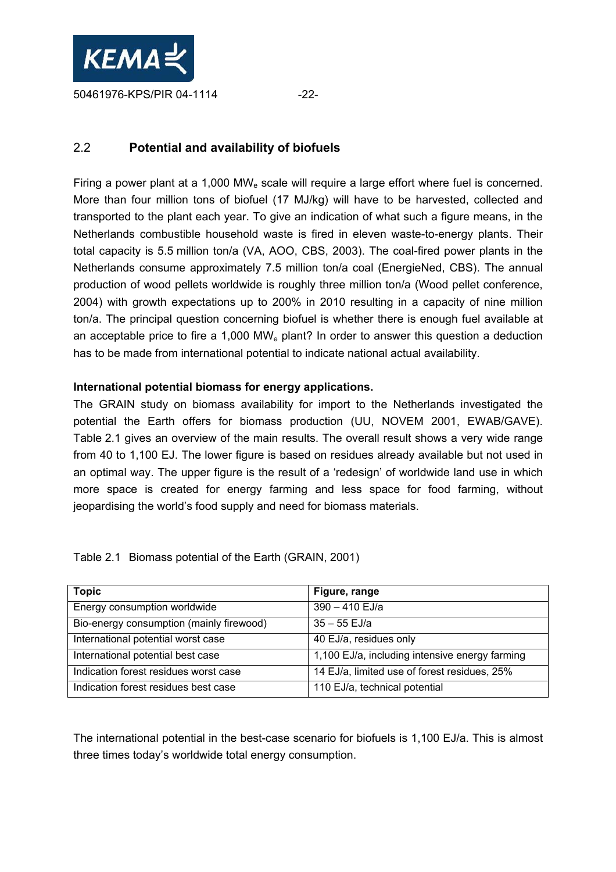

# 2.2 **Potential and availability of biofuels**

Firing a power plant at a 1,000 MW<sub>e</sub> scale will require a large effort where fuel is concerned. More than four million tons of biofuel (17 MJ/kg) will have to be harvested, collected and transported to the plant each year. To give an indication of what such a figure means, in the Netherlands combustible household waste is fired in eleven waste-to-energy plants. Their total capacity is 5.5 million ton/a (VA, AOO, CBS, 2003). The coal-fired power plants in the Netherlands consume approximately 7.5 million ton/a coal (EnergieNed, CBS). The annual production of wood pellets worldwide is roughly three million ton/a (Wood pellet conference, 2004) with growth expectations up to 200% in 2010 resulting in a capacity of nine million ton/a. The principal question concerning biofuel is whether there is enough fuel available at an acceptable price to fire a 1,000 MWe plant? In order to answer this question a deduction has to be made from international potential to indicate national actual availability.

### **International potential biomass for energy applications.**

The GRAIN study on biomass availability for import to the Netherlands investigated the potential the Earth offers for biomass production (UU, NOVEM 2001, EWAB/GAVE). Table 2.1 gives an overview of the main results. The overall result shows a very wide range from 40 to 1,100 EJ. The lower figure is based on residues already available but not used in an optimal way. The upper figure is the result of a 'redesign' of worldwide land use in which more space is created for energy farming and less space for food farming, without jeopardising the world's food supply and need for biomass materials.

| Table 2.1 Biomass potential of the Earth (GRAIN, 2001) |  |  |  |
|--------------------------------------------------------|--|--|--|
|                                                        |  |  |  |

| <b>Topic</b>                             | Figure, range                                  |
|------------------------------------------|------------------------------------------------|
| Energy consumption worldwide             | 390 - 410 EJ/a                                 |
| Bio-energy consumption (mainly firewood) | $35 - 55$ EJ/a                                 |
| International potential worst case       | 40 EJ/a, residues only                         |
| International potential best case        | 1,100 EJ/a, including intensive energy farming |
| Indication forest residues worst case    | 14 EJ/a, limited use of forest residues, 25%   |
| Indication forest residues best case     | 110 EJ/a, technical potential                  |

The international potential in the best-case scenario for biofuels is 1,100 EJ/a. This is almost three times today's worldwide total energy consumption.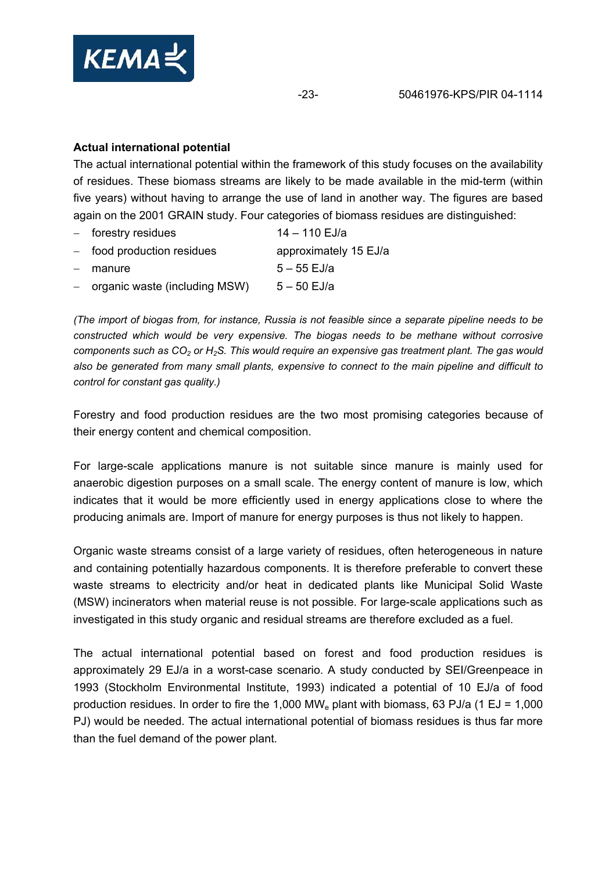

#### **Actual international potential**

The actual international potential within the framework of this study focuses on the availability of residues. These biomass streams are likely to be made available in the mid-term (within five years) without having to arrange the use of land in another way. The figures are based again on the 2001 GRAIN study. Four categories of biomass residues are distinguished:

| $-$ forestry residues             | 14 - 110 EJ/a         |
|-----------------------------------|-----------------------|
| $-$ food production residues      | approximately 15 EJ/a |
| - manure                          | $5 - 55$ EJ/a         |
| $-$ organic waste (including MSW) | $5 - 50$ EJ/a         |

*(The import of biogas from, for instance, Russia is not feasible since a separate pipeline needs to be constructed which would be very expensive. The biogas needs to be methane without corrosive components such as CO<sub>2</sub> or H<sub>2</sub>S. This would require an expensive gas treatment plant. The gas would also be generated from many small plants, expensive to connect to the main pipeline and difficult to control for constant gas quality.)* 

Forestry and food production residues are the two most promising categories because of their energy content and chemical composition.

For large-scale applications manure is not suitable since manure is mainly used for anaerobic digestion purposes on a small scale. The energy content of manure is low, which indicates that it would be more efficiently used in energy applications close to where the producing animals are. Import of manure for energy purposes is thus not likely to happen.

Organic waste streams consist of a large variety of residues, often heterogeneous in nature and containing potentially hazardous components. It is therefore preferable to convert these waste streams to electricity and/or heat in dedicated plants like Municipal Solid Waste (MSW) incinerators when material reuse is not possible. For large-scale applications such as investigated in this study organic and residual streams are therefore excluded as a fuel.

The actual international potential based on forest and food production residues is approximately 29 EJ/a in a worst-case scenario. A study conducted by SEI/Greenpeace in 1993 (Stockholm Environmental Institute, 1993) indicated a potential of 10 EJ/a of food production residues. In order to fire the 1,000 MW<sub>e</sub> plant with biomass, 63 PJ/a (1 EJ = 1,000 PJ) would be needed. The actual international potential of biomass residues is thus far more than the fuel demand of the power plant.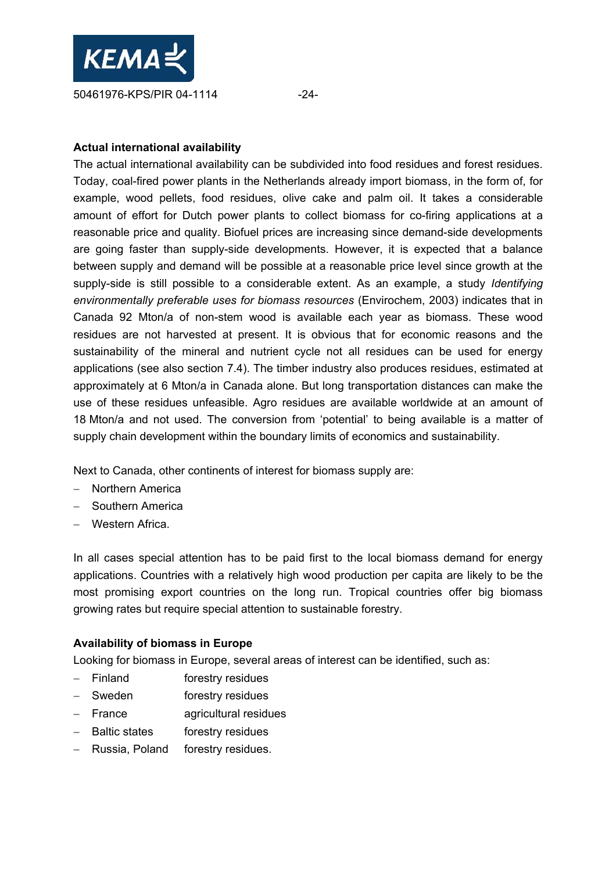

#### **Actual international availability**

The actual international availability can be subdivided into food residues and forest residues. Today, coal-fired power plants in the Netherlands already import biomass, in the form of, for example, wood pellets, food residues, olive cake and palm oil. It takes a considerable amount of effort for Dutch power plants to collect biomass for co-firing applications at a reasonable price and quality. Biofuel prices are increasing since demand-side developments are going faster than supply-side developments. However, it is expected that a balance between supply and demand will be possible at a reasonable price level since growth at the supply-side is still possible to a considerable extent. As an example, a study *Identifying environmentally preferable uses for biomass resources* (Envirochem, 2003) indicates that in Canada 92 Mton/a of non-stem wood is available each year as biomass. These wood residues are not harvested at present. It is obvious that for economic reasons and the sustainability of the mineral and nutrient cycle not all residues can be used for energy applications (see also section 7.4). The timber industry also produces residues, estimated at approximately at 6 Mton/a in Canada alone. But long transportation distances can make the use of these residues unfeasible. Agro residues are available worldwide at an amount of 18 Mton/a and not used. The conversion from 'potential' to being available is a matter of supply chain development within the boundary limits of economics and sustainability.

Next to Canada, other continents of interest for biomass supply are:

- − Northern America
- − Southern America
- − Western Africa.

In all cases special attention has to be paid first to the local biomass demand for energy applications. Countries with a relatively high wood production per capita are likely to be the most promising export countries on the long run. Tropical countries offer big biomass growing rates but require special attention to sustainable forestry.

#### **Availability of biomass in Europe**

Looking for biomass in Europe, several areas of interest can be identified, such as:

- − Finland forestry residues
- − Sweden forestry residues
- − France agricultural residues
- − Baltic states forestry residues
- − Russia, Poland forestry residues.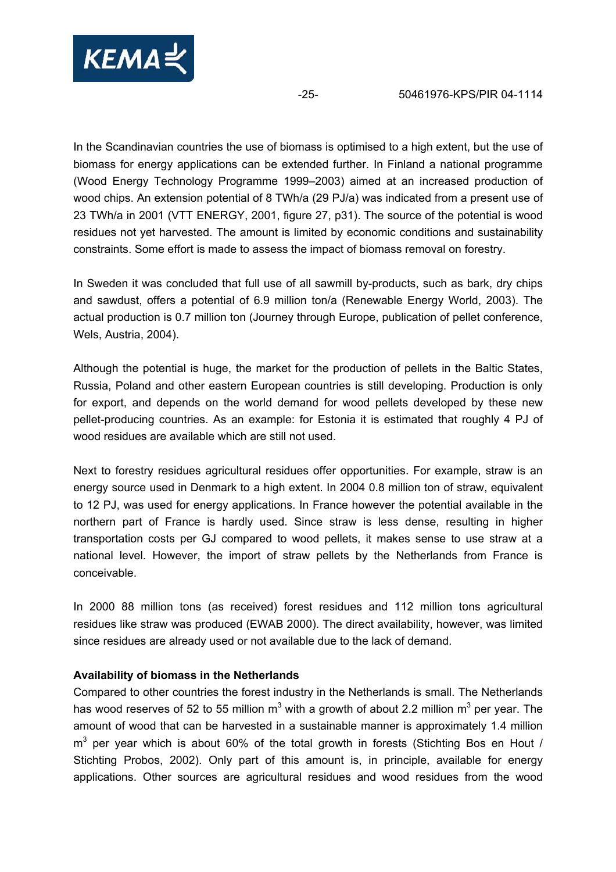

In the Scandinavian countries the use of biomass is optimised to a high extent, but the use of biomass for energy applications can be extended further. In Finland a national programme (Wood Energy Technology Programme 1999–2003) aimed at an increased production of wood chips. An extension potential of 8 TWh/a (29 PJ/a) was indicated from a present use of 23 TWh/a in 2001 (VTT ENERGY, 2001, figure 27, p31). The source of the potential is wood residues not yet harvested. The amount is limited by economic conditions and sustainability constraints. Some effort is made to assess the impact of biomass removal on forestry.

In Sweden it was concluded that full use of all sawmill by-products, such as bark, dry chips and sawdust, offers a potential of 6.9 million ton/a (Renewable Energy World, 2003). The actual production is 0.7 million ton (Journey through Europe, publication of pellet conference, Wels, Austria, 2004).

Although the potential is huge, the market for the production of pellets in the Baltic States, Russia, Poland and other eastern European countries is still developing. Production is only for export, and depends on the world demand for wood pellets developed by these new pellet-producing countries. As an example: for Estonia it is estimated that roughly 4 PJ of wood residues are available which are still not used.

Next to forestry residues agricultural residues offer opportunities. For example, straw is an energy source used in Denmark to a high extent. In 2004 0.8 million ton of straw, equivalent to 12 PJ, was used for energy applications. In France however the potential available in the northern part of France is hardly used. Since straw is less dense, resulting in higher transportation costs per GJ compared to wood pellets, it makes sense to use straw at a national level. However, the import of straw pellets by the Netherlands from France is conceivable.

In 2000 88 million tons (as received) forest residues and 112 million tons agricultural residues like straw was produced (EWAB 2000). The direct availability, however, was limited since residues are already used or not available due to the lack of demand.

#### **Availability of biomass in the Netherlands**

Compared to other countries the forest industry in the Netherlands is small. The Netherlands has wood reserves of 52 to 55 million m<sup>3</sup> with a growth of about 2.2 million m<sup>3</sup> per year. The amount of wood that can be harvested in a sustainable manner is approximately 1.4 million  $m<sup>3</sup>$  per year which is about 60% of the total growth in forests (Stichting Bos en Hout / Stichting Probos, 2002). Only part of this amount is, in principle, available for energy applications. Other sources are agricultural residues and wood residues from the wood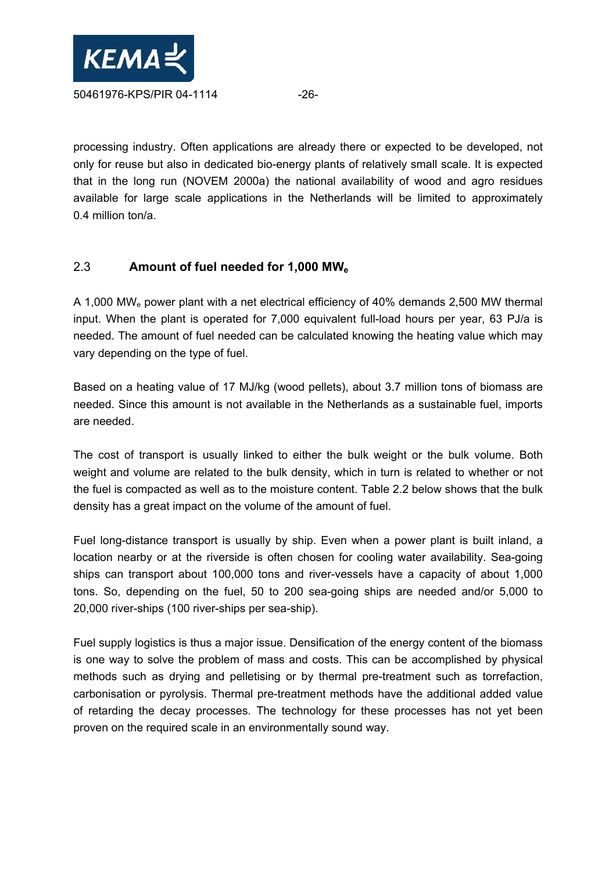

processing industry. Often applications are already there or expected to be developed, not only for reuse but also in dedicated bio-energy plants of relatively small scale. It is expected that in the long run (NOVEM 2000a) the national availability of wood and agro residues available for large scale applications in the Netherlands will be limited to approximately 0.4 million ton/a.

# 2.3 **Amount of fuel needed for 1,000 MWe**

A 1,000 MWe power plant with a net electrical efficiency of 40% demands 2,500 MW thermal input. When the plant is operated for 7,000 equivalent full-load hours per year, 63 PJ/a is needed. The amount of fuel needed can be calculated knowing the heating value which may vary depending on the type of fuel.

Based on a heating value of 17 MJ/kg (wood pellets), about 3.7 million tons of biomass are needed. Since this amount is not available in the Netherlands as a sustainable fuel, imports are needed.

The cost of transport is usually linked to either the bulk weight or the bulk volume. Both weight and volume are related to the bulk density, which in turn is related to whether or not the fuel is compacted as well as to the moisture content. Table 2.2 below shows that the bulk density has a great impact on the volume of the amount of fuel.

Fuel long-distance transport is usually by ship. Even when a power plant is built inland, a location nearby or at the riverside is often chosen for cooling water availability. Sea-going ships can transport about 100,000 tons and river-vessels have a capacity of about 1,000 tons. So, depending on the fuel, 50 to 200 sea-going ships are needed and/or 5,000 to 20,000 river-ships (100 river-ships per sea-ship).

Fuel supply logistics is thus a major issue. Densification of the energy content of the biomass is one way to solve the problem of mass and costs. This can be accomplished by physical methods such as drying and pelletising or by thermal pre-treatment such as torrefaction, carbonisation or pyrolysis. Thermal pre-treatment methods have the additional added value of retarding the decay processes. The technology for these processes has not yet been proven on the required scale in an environmentally sound way.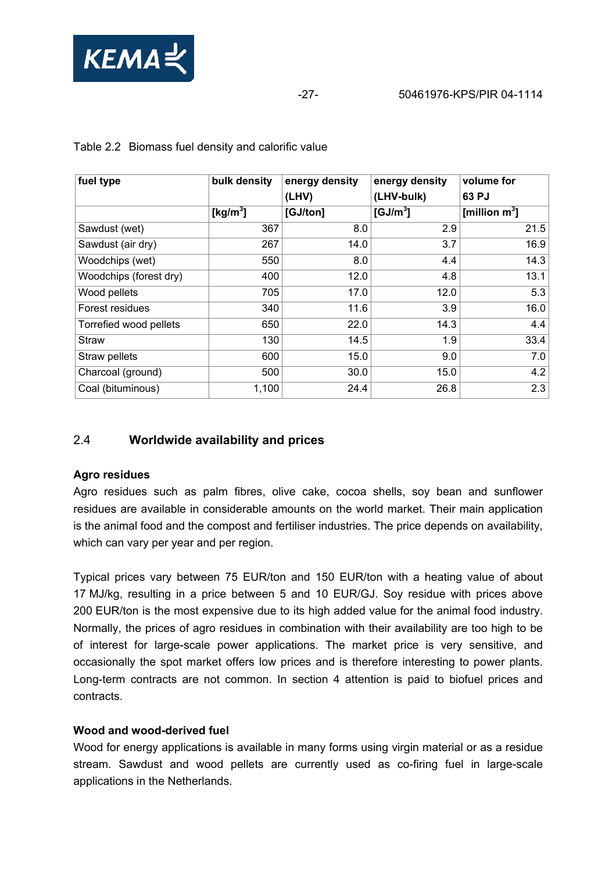

| fuel type              | bulk density         | energy density | energy density       | volume for       |
|------------------------|----------------------|----------------|----------------------|------------------|
|                        |                      | (LHV)          | (LHV-bulk)           | 63 PJ            |
|                        | [kg/m <sup>3</sup> ] | [GJ/ton]       | [GJ/m <sup>3</sup> ] | [million $m^3$ ] |
| Sawdust (wet)          | 367                  | 8.0            | 2.9                  | 21.5             |
| Sawdust (air dry)      | 267                  | 14.0           | 3.7                  | 16.9             |
| Woodchips (wet)        | 550                  | 8.0            | 4.4                  | 14.3             |
| Woodchips (forest dry) | 400                  | 12.0           | 4.8                  | 13.1             |
| Wood pellets           | 705                  | 17.0           | 12.0                 | 5.3              |
| Forest residues        | 340                  | 11.6           | 3.9                  | 16.0             |
| Torrefied wood pellets | 650                  | 22.0           | 14.3                 | 4.4              |
| <b>Straw</b>           | 130                  | 14.5           | 1.9                  | 33.4             |
| Straw pellets          | 600                  | 15.0           | 9.0                  | 7.0              |
| Charcoal (ground)      | 500                  | 30.0           | 15.0                 | 4.2              |
| Coal (bituminous)      | 1,100                | 24.4           | 26.8                 | 2.3              |

Table 2.2 Biomass fuel density and calorific value

# 2.4 **Worldwide availability and prices**

#### **Agro residues**

Agro residues such as palm fibres, olive cake, cocoa shells, soy bean and sunflower residues are available in considerable amounts on the world market. Their main application is the animal food and the compost and fertiliser industries. The price depends on availability, which can vary per year and per region.

Typical prices vary between 75 EUR/ton and 150 EUR/ton with a heating value of about 17 MJ/kg, resulting in a price between 5 and 10 EUR/GJ. Soy residue with prices above 200 EUR/ton is the most expensive due to its high added value for the animal food industry. Normally, the prices of agro residues in combination with their availability are too high to be of interest for large-scale power applications. The market price is very sensitive, and occasionally the spot market offers low prices and is therefore interesting to power plants. Long-term contracts are not common. In section 4 attention is paid to biofuel prices and contracts.

#### **Wood and wood-derived fuel**

Wood for energy applications is available in many forms using virgin material or as a residue stream. Sawdust and wood pellets are currently used as co-firing fuel in large-scale applications in the Netherlands.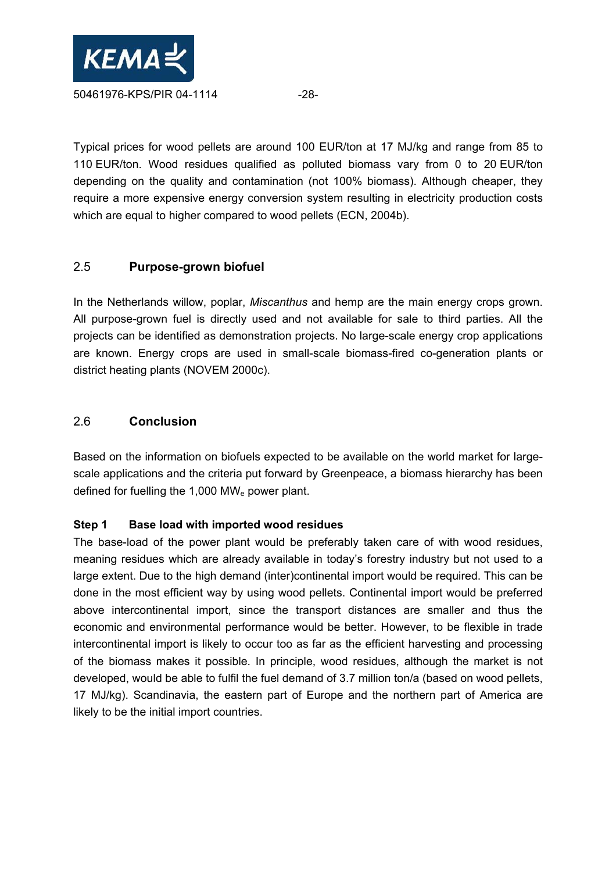

Typical prices for wood pellets are around 100 EUR/ton at 17 MJ/kg and range from 85 to 110 EUR/ton. Wood residues qualified as polluted biomass vary from 0 to 20 EUR/ton depending on the quality and contamination (not 100% biomass). Although cheaper, they require a more expensive energy conversion system resulting in electricity production costs which are equal to higher compared to wood pellets (ECN, 2004b).

# 2.5 **Purpose-grown biofuel**

In the Netherlands willow, poplar, *Miscanthus* and hemp are the main energy crops grown. All purpose-grown fuel is directly used and not available for sale to third parties. All the projects can be identified as demonstration projects. No large-scale energy crop applications are known. Energy crops are used in small-scale biomass-fired co-generation plants or district heating plants (NOVEM 2000c).

# 2.6 **Conclusion**

Based on the information on biofuels expected to be available on the world market for largescale applications and the criteria put forward by Greenpeace, a biomass hierarchy has been defined for fuelling the 1,000 MWe power plant.

#### **Step 1 Base load with imported wood residues**

The base-load of the power plant would be preferably taken care of with wood residues, meaning residues which are already available in today's forestry industry but not used to a large extent. Due to the high demand (inter)continental import would be required. This can be done in the most efficient way by using wood pellets. Continental import would be preferred above intercontinental import, since the transport distances are smaller and thus the economic and environmental performance would be better. However, to be flexible in trade intercontinental import is likely to occur too as far as the efficient harvesting and processing of the biomass makes it possible. In principle, wood residues, although the market is not developed, would be able to fulfil the fuel demand of 3.7 million ton/a (based on wood pellets, 17 MJ/kg). Scandinavia, the eastern part of Europe and the northern part of America are likely to be the initial import countries.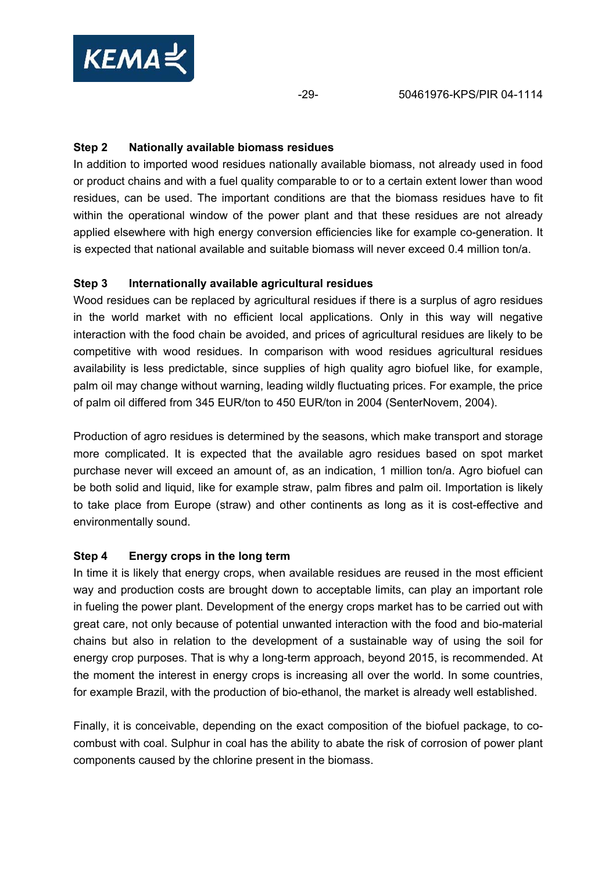

#### **Step 2 Nationally available biomass residues**

In addition to imported wood residues nationally available biomass, not already used in food or product chains and with a fuel quality comparable to or to a certain extent lower than wood residues, can be used. The important conditions are that the biomass residues have to fit within the operational window of the power plant and that these residues are not already applied elsewhere with high energy conversion efficiencies like for example co-generation. It is expected that national available and suitable biomass will never exceed 0.4 million ton/a.

### **Step 3 Internationally available agricultural residues**

Wood residues can be replaced by agricultural residues if there is a surplus of agro residues in the world market with no efficient local applications. Only in this way will negative interaction with the food chain be avoided, and prices of agricultural residues are likely to be competitive with wood residues. In comparison with wood residues agricultural residues availability is less predictable, since supplies of high quality agro biofuel like, for example, palm oil may change without warning, leading wildly fluctuating prices. For example, the price of palm oil differed from 345 EUR/ton to 450 EUR/ton in 2004 (SenterNovem, 2004).

Production of agro residues is determined by the seasons, which make transport and storage more complicated. It is expected that the available agro residues based on spot market purchase never will exceed an amount of, as an indication, 1 million ton/a. Agro biofuel can be both solid and liquid, like for example straw, palm fibres and palm oil. Importation is likely to take place from Europe (straw) and other continents as long as it is cost-effective and environmentally sound.

#### **Step 4 Energy crops in the long term**

In time it is likely that energy crops, when available residues are reused in the most efficient way and production costs are brought down to acceptable limits, can play an important role in fueling the power plant. Development of the energy crops market has to be carried out with great care, not only because of potential unwanted interaction with the food and bio-material chains but also in relation to the development of a sustainable way of using the soil for energy crop purposes. That is why a long-term approach, beyond 2015, is recommended. At the moment the interest in energy crops is increasing all over the world. In some countries, for example Brazil, with the production of bio-ethanol, the market is already well established.

Finally, it is conceivable, depending on the exact composition of the biofuel package, to cocombust with coal. Sulphur in coal has the ability to abate the risk of corrosion of power plant components caused by the chlorine present in the biomass.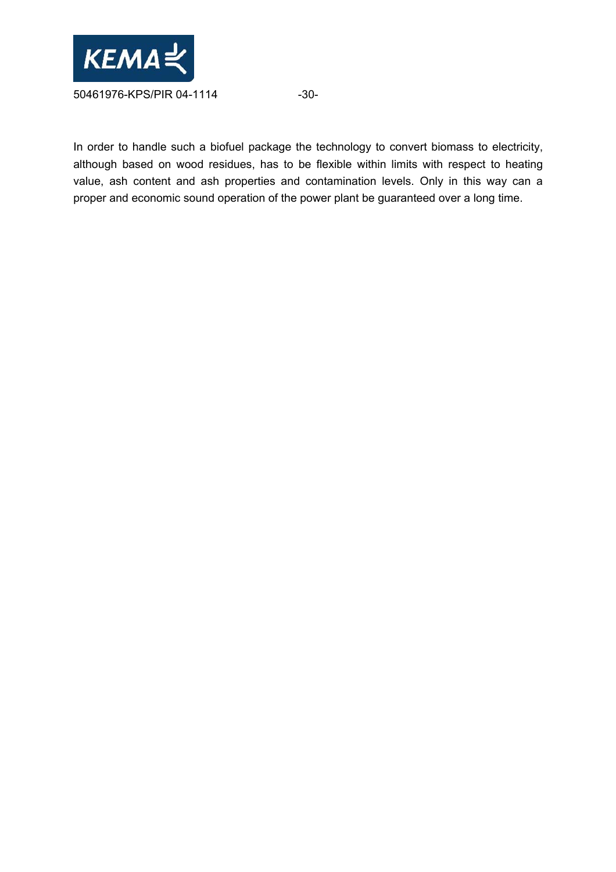

In order to handle such a biofuel package the technology to convert biomass to electricity, although based on wood residues, has to be flexible within limits with respect to heating value, ash content and ash properties and contamination levels. Only in this way can a proper and economic sound operation of the power plant be guaranteed over a long time.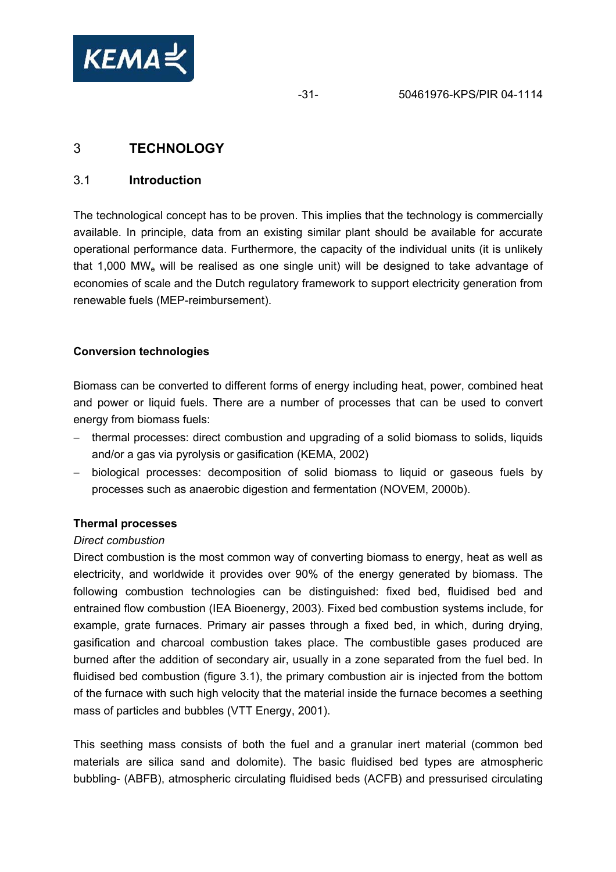

# 3 **TECHNOLOGY**

#### 3.1 **Introduction**

The technological concept has to be proven. This implies that the technology is commercially available. In principle, data from an existing similar plant should be available for accurate operational performance data. Furthermore, the capacity of the individual units (it is unlikely that 1,000 MWe will be realised as one single unit) will be designed to take advantage of economies of scale and the Dutch regulatory framework to support electricity generation from renewable fuels (MEP-reimbursement).

#### **Conversion technologies**

Biomass can be converted to different forms of energy including heat, power, combined heat and power or liquid fuels. There are a number of processes that can be used to convert energy from biomass fuels:

- − thermal processes: direct combustion and upgrading of a solid biomass to solids, liquids and/or a gas via pyrolysis or gasification (KEMA, 2002)
- − biological processes: decomposition of solid biomass to liquid or gaseous fuels by processes such as anaerobic digestion and fermentation (NOVEM, 2000b).

#### **Thermal processes**

#### *Direct combustion*

Direct combustion is the most common way of converting biomass to energy, heat as well as electricity, and worldwide it provides over 90% of the energy generated by biomass. The following combustion technologies can be distinguished: fixed bed, fluidised bed and entrained flow combustion (IEA Bioenergy, 2003). Fixed bed combustion systems include, for example, grate furnaces. Primary air passes through a fixed bed, in which, during drying, gasification and charcoal combustion takes place. The combustible gases produced are burned after the addition of secondary air, usually in a zone separated from the fuel bed. In fluidised bed combustion (figure 3.1), the primary combustion air is injected from the bottom of the furnace with such high velocity that the material inside the furnace becomes a seething mass of particles and bubbles (VTT Energy, 2001).

This seething mass consists of both the fuel and a granular inert material (common bed materials are silica sand and dolomite). The basic fluidised bed types are atmospheric bubbling- (ABFB), atmospheric circulating fluidised beds (ACFB) and pressurised circulating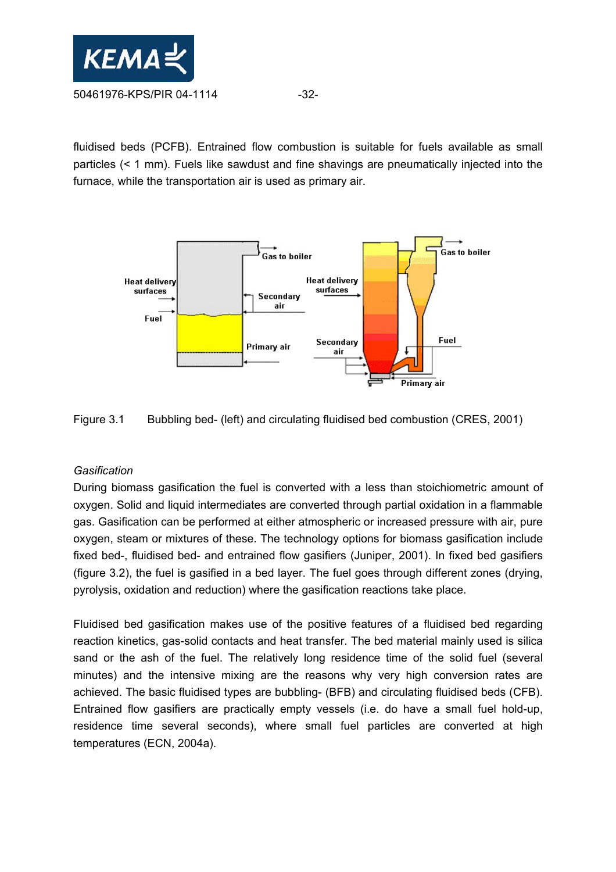

fluidised beds (PCFB). Entrained flow combustion is suitable for fuels available as small particles (< 1 mm). Fuels like sawdust and fine shavings are pneumatically injected into the furnace, while the transportation air is used as primary air.





#### *Gasification*

During biomass gasification the fuel is converted with a less than stoichiometric amount of oxygen. Solid and liquid intermediates are converted through partial oxidation in a flammable gas. Gasification can be performed at either atmospheric or increased pressure with air, pure oxygen, steam or mixtures of these. The technology options for biomass gasification include fixed bed-, fluidised bed- and entrained flow gasifiers (Juniper, 2001). In fixed bed gasifiers (figure 3.2), the fuel is gasified in a bed layer. The fuel goes through different zones (drying, pyrolysis, oxidation and reduction) where the gasification reactions take place.

Fluidised bed gasification makes use of the positive features of a fluidised bed regarding reaction kinetics, gas-solid contacts and heat transfer. The bed material mainly used is silica sand or the ash of the fuel. The relatively long residence time of the solid fuel (several minutes) and the intensive mixing are the reasons why very high conversion rates are achieved. The basic fluidised types are bubbling- (BFB) and circulating fluidised beds (CFB). Entrained flow gasifiers are practically empty vessels (i.e. do have a small fuel hold-up, residence time several seconds), where small fuel particles are converted at high temperatures (ECN, 2004a).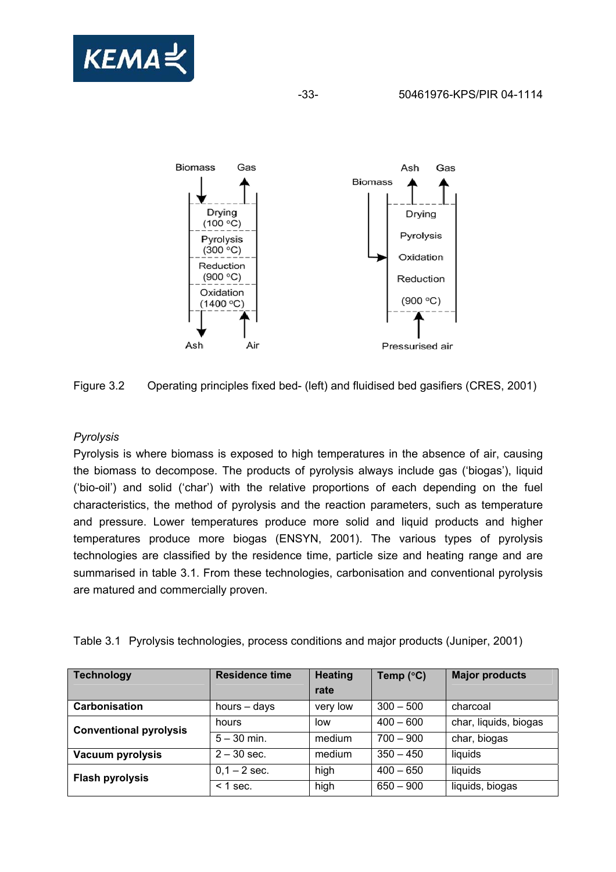



Figure 3.2 Operating principles fixed bed- (left) and fluidised bed gasifiers (CRES, 2001)

## *Pyrolysis*

Pyrolysis is where biomass is exposed to high temperatures in the absence of air, causing the biomass to decompose. The products of pyrolysis always include gas ('biogas'), liquid ('bio-oil') and solid ('char') with the relative proportions of each depending on the fuel characteristics, the method of pyrolysis and the reaction parameters, such as temperature and pressure. Lower temperatures produce more solid and liquid products and higher temperatures produce more biogas (ENSYN, 2001). The various types of pyrolysis technologies are classified by the residence time, particle size and heating range and are summarised in table 3.1. From these technologies, carbonisation and conventional pyrolysis are matured and commercially proven.

| Table 3.1 Pyrolysis technologies, process conditions and major products (Juniper, 2001) |  |  |
|-----------------------------------------------------------------------------------------|--|--|
|                                                                                         |  |  |

| <b>Technology</b>             | <b>Residence time</b> | <b>Heating</b> | Temp (°C)   | <b>Major products</b> |
|-------------------------------|-----------------------|----------------|-------------|-----------------------|
|                               |                       | rate           |             |                       |
| Carbonisation                 | hours - days          | very low       | $300 - 500$ | charcoal              |
| <b>Conventional pyrolysis</b> | hours                 | low            | $400 - 600$ | char, liquids, biogas |
|                               | $5 - 30$ min.         | medium         | $700 - 900$ | char, biogas          |
| Vacuum pyrolysis              | $2 - 30$ sec.         | medium         | $350 - 450$ | liquids               |
| <b>Flash pyrolysis</b>        | $0,1 - 2$ sec.        | high           | $400 - 650$ | liquids               |
|                               | $<$ 1 sec.            | high           | $650 - 900$ | liquids, biogas       |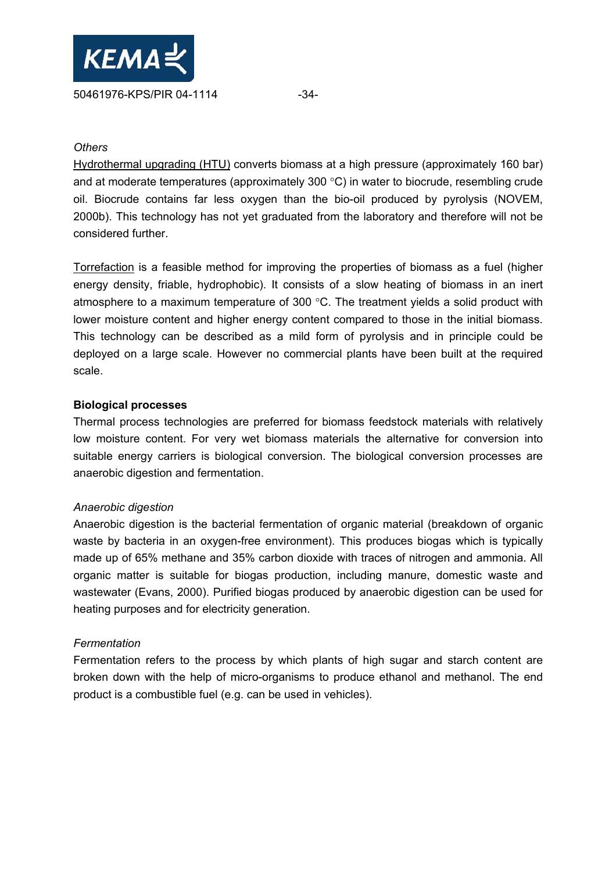

#### *Others*

Hydrothermal upgrading (HTU) converts biomass at a high pressure (approximately 160 bar) and at moderate temperatures (approximately 300 °C) in water to biocrude, resembling crude oil. Biocrude contains far less oxygen than the bio-oil produced by pyrolysis (NOVEM, 2000b). This technology has not yet graduated from the laboratory and therefore will not be considered further.

Torrefaction is a feasible method for improving the properties of biomass as a fuel (higher energy density, friable, hydrophobic). It consists of a slow heating of biomass in an inert atmosphere to a maximum temperature of 300 °C. The treatment yields a solid product with lower moisture content and higher energy content compared to those in the initial biomass. This technology can be described as a mild form of pyrolysis and in principle could be deployed on a large scale. However no commercial plants have been built at the required scale.

#### **Biological processes**

Thermal process technologies are preferred for biomass feedstock materials with relatively low moisture content. For very wet biomass materials the alternative for conversion into suitable energy carriers is biological conversion. The biological conversion processes are anaerobic digestion and fermentation.

#### *Anaerobic digestion*

Anaerobic digestion is the bacterial fermentation of organic material (breakdown of organic waste by bacteria in an oxygen-free environment). This produces biogas which is typically made up of 65% methane and 35% carbon dioxide with traces of nitrogen and ammonia. All organic matter is suitable for biogas production, including manure, domestic waste and wastewater (Evans, 2000). Purified biogas produced by anaerobic digestion can be used for heating purposes and for electricity generation.

#### *Fermentation*

Fermentation refers to the process by which plants of high sugar and starch content are broken down with the help of micro-organisms to produce ethanol and methanol. The end product is a combustible fuel (e.g. can be used in vehicles).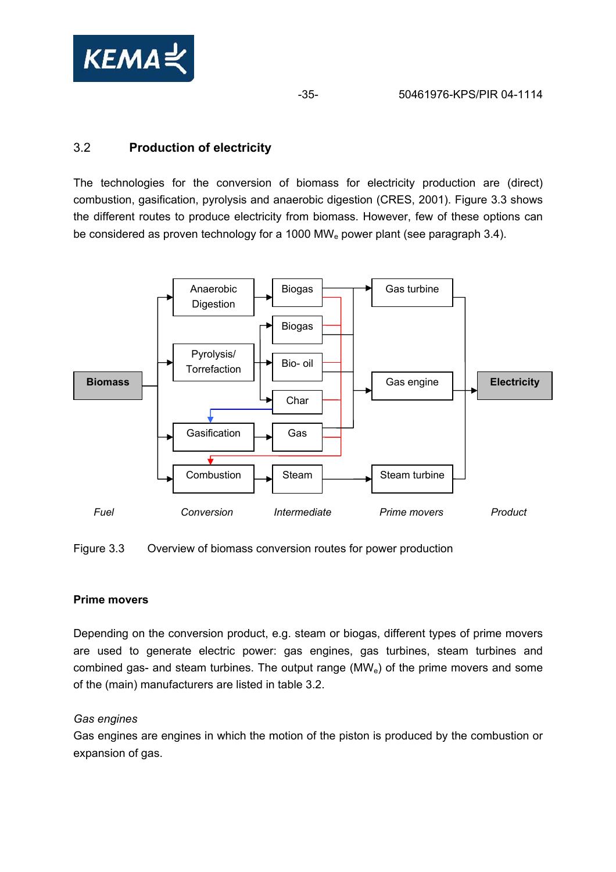

-35- 50461976-KPS/PIR 04-1114

# 3.2 **Production of electricity**

The technologies for the conversion of biomass for electricity production are (direct) combustion, gasification, pyrolysis and anaerobic digestion (CRES, 2001). Figure 3.3 shows the different routes to produce electricity from biomass. However, few of these options can be considered as proven technology for a 1000 MW<sub>e</sub> power plant (see paragraph 3.4).



Figure 3.3 Overview of biomass conversion routes for power production

#### **Prime movers**

Depending on the conversion product, e.g. steam or biogas, different types of prime movers are used to generate electric power: gas engines, gas turbines, steam turbines and combined gas- and steam turbines. The output range  $(MW<sub>e</sub>)$  of the prime movers and some of the (main) manufacturers are listed in table 3.2.

#### *Gas engines*

Gas engines are engines in which the motion of the piston is produced by the combustion or expansion of gas.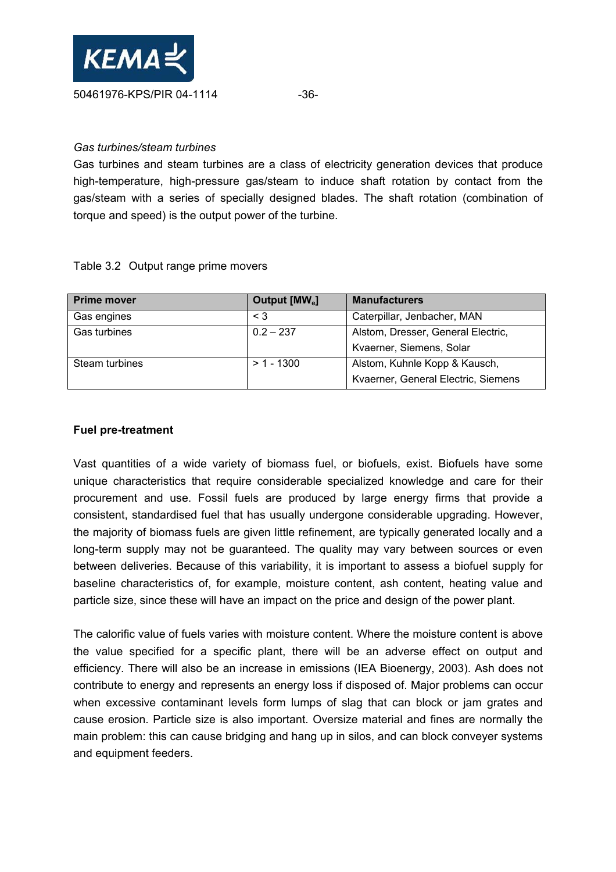

#### *Gas turbines/steam turbines*

Gas turbines and steam turbines are a class of electricity generation devices that produce high-temperature, high-pressure gas/steam to induce shaft rotation by contact from the gas/steam with a series of specially designed blades. The shaft rotation (combination of torque and speed) is the output power of the turbine.

|  |  | Table 3.2 Output range prime movers |
|--|--|-------------------------------------|
|--|--|-------------------------------------|

| <b>Prime mover</b> | Output [MW <sub>e</sub> ] | <b>Manufacturers</b>                |
|--------------------|---------------------------|-------------------------------------|
| Gas engines        | $\leq$ 3                  | Caterpillar, Jenbacher, MAN         |
| Gas turbines       | $0.2 - 237$               | Alstom, Dresser, General Electric,  |
|                    |                           | Kvaerner, Siemens, Solar            |
| Steam turbines     | $> 1 - 1300$              | Alstom, Kuhnle Kopp & Kausch,       |
|                    |                           | Kvaerner, General Electric, Siemens |

#### **Fuel pre-treatment**

Vast quantities of a wide variety of biomass fuel, or biofuels, exist. Biofuels have some unique characteristics that require considerable specialized knowledge and care for their procurement and use. Fossil fuels are produced by large energy firms that provide a consistent, standardised fuel that has usually undergone considerable upgrading. However, the majority of biomass fuels are given little refinement, are typically generated locally and a long-term supply may not be guaranteed. The quality may vary between sources or even between deliveries. Because of this variability, it is important to assess a biofuel supply for baseline characteristics of, for example, moisture content, ash content, heating value and particle size, since these will have an impact on the price and design of the power plant.

The calorific value of fuels varies with moisture content. Where the moisture content is above the value specified for a specific plant, there will be an adverse effect on output and efficiency. There will also be an increase in emissions (IEA Bioenergy, 2003). Ash does not contribute to energy and represents an energy loss if disposed of. Major problems can occur when excessive contaminant levels form lumps of slag that can block or jam grates and cause erosion. Particle size is also important. Oversize material and fines are normally the main problem: this can cause bridging and hang up in silos, and can block conveyer systems and equipment feeders.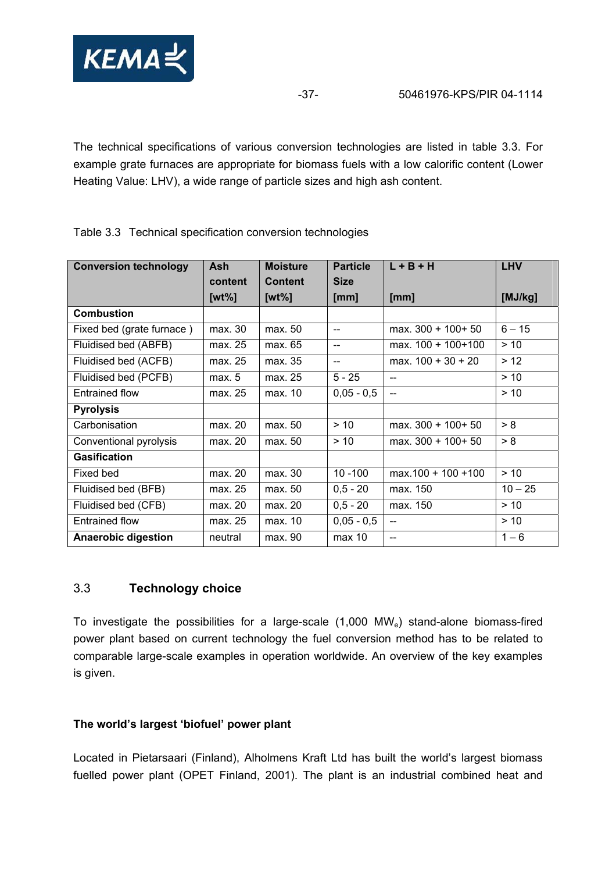

The technical specifications of various conversion technologies are listed in table 3.3. For example grate furnaces are appropriate for biomass fuels with a low calorific content (Lower Heating Value: LHV), a wide range of particle sizes and high ash content.

| <b>Conversion technology</b> | <b>Ash</b> | <b>Moisture</b> | <b>Particle</b> | $L + B + H$           | <b>LHV</b> |
|------------------------------|------------|-----------------|-----------------|-----------------------|------------|
|                              | content    | <b>Content</b>  | <b>Size</b>     |                       |            |
|                              | [ $wt\%$ ] | [ $wt\%$ ]      | [mm]            | [mm]                  | [MJ/kg]    |
| <b>Combustion</b>            |            |                 |                 |                       |            |
| Fixed bed (grate furnace)    | max. 30    | max. 50         | $-$             | max. 300 + 100+ 50    | $6 - 15$   |
| Fluidised bed (ABFB)         | max. 25    | max. 65         | $-$             | max. 100 + 100+100    | > 10       |
| Fluidised bed (ACFB)         | max. 25    | max. 35         | $-$             | max. $100 + 30 + 20$  | > 12       |
| Fluidised bed (PCFB)         | max. 5     | max. 25         | $5 - 25$        | $-$                   | > 10       |
| <b>Entrained flow</b>        | max. 25    | max. 10         | $0,05 - 0,5$    |                       | > 10       |
| <b>Pyrolysis</b>             |            |                 |                 |                       |            |
| Carbonisation                | max. 20    | max. 50         | $> 10$          | max. 300 + 100+ 50    | > 8        |
| Conventional pyrolysis       | max. 20    | max. 50         | > 10            | max. $300 + 100 + 50$ | > 8        |
| <b>Gasification</b>          |            |                 |                 |                       |            |
| Fixed bed                    | max. 20    | max. 30         | $10 - 100$      | $max.100 + 100 + 100$ | > 10       |
| Fluidised bed (BFB)          | max. 25    | max. 50         | $0,5 - 20$      | max. 150              | $10 - 25$  |
| Fluidised bed (CFB)          | max. 20    | max. 20         | $0,5 - 20$      | max. 150              | > 10       |
| <b>Entrained flow</b>        | max. 25    | max. 10         | $0,05 - 0,5$    | $\equiv$              | $> 10$     |
| <b>Anaerobic digestion</b>   | neutral    | max. 90         | max 10          | $-$                   | $1 - 6$    |

Table 3.3 Technical specification conversion technologies

## 3.3 **Technology choice**

To investigate the possibilities for a large-scale (1,000 MWe) stand-alone biomass-fired power plant based on current technology the fuel conversion method has to be related to comparable large-scale examples in operation worldwide. An overview of the key examples is given.

## **The world's largest 'biofuel' power plant**

Located in Pietarsaari (Finland), Alholmens Kraft Ltd has built the world's largest biomass fuelled power plant (OPET Finland, 2001). The plant is an industrial combined heat and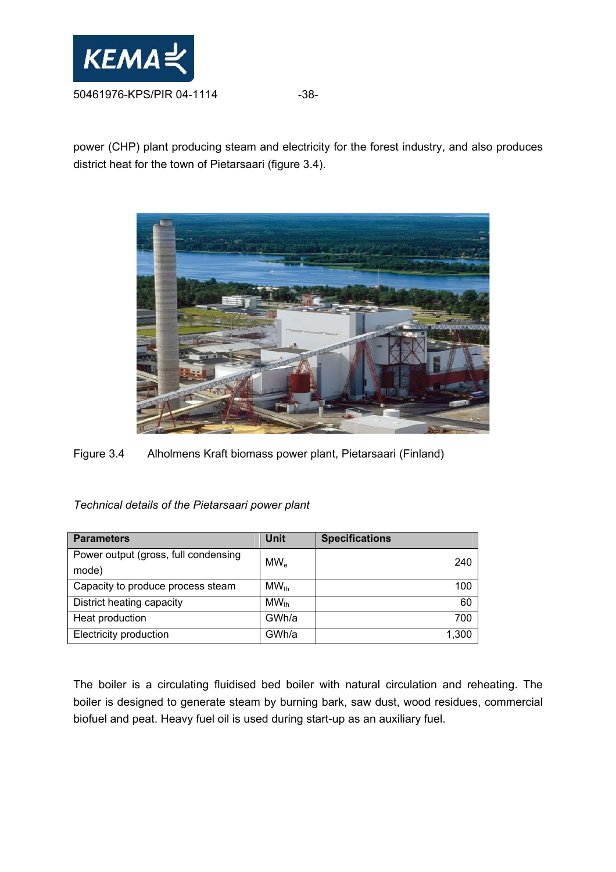

power (CHP) plant producing steam and electricity for the forest industry, and also produces district heat for the town of Pietarsaari (figure 3.4).



Figure 3.4 Alholmens Kraft biomass power plant, Pietarsaari (Finland)

*Technical details of the Pietarsaari power plant* 

| <b>Parameters</b>                    | <b>Unit</b> | <b>Specifications</b> |
|--------------------------------------|-------------|-----------------------|
| Power output (gross, full condensing | $MW_{e}$    | 240                   |
| mode)                                |             |                       |
| Capacity to produce process steam    | $MW_{th}$   | 100                   |
| District heating capacity            | $MW_{th}$   | 60                    |
| Heat production                      | GWh/a       | 700                   |
| Electricity production               | GWh/a       | 1,300                 |

The boiler is a circulating fluidised bed boiler with natural circulation and reheating. The boiler is designed to generate steam by burning bark, saw dust, wood residues, commercial biofuel and peat. Heavy fuel oil is used during start-up as an auxiliary fuel.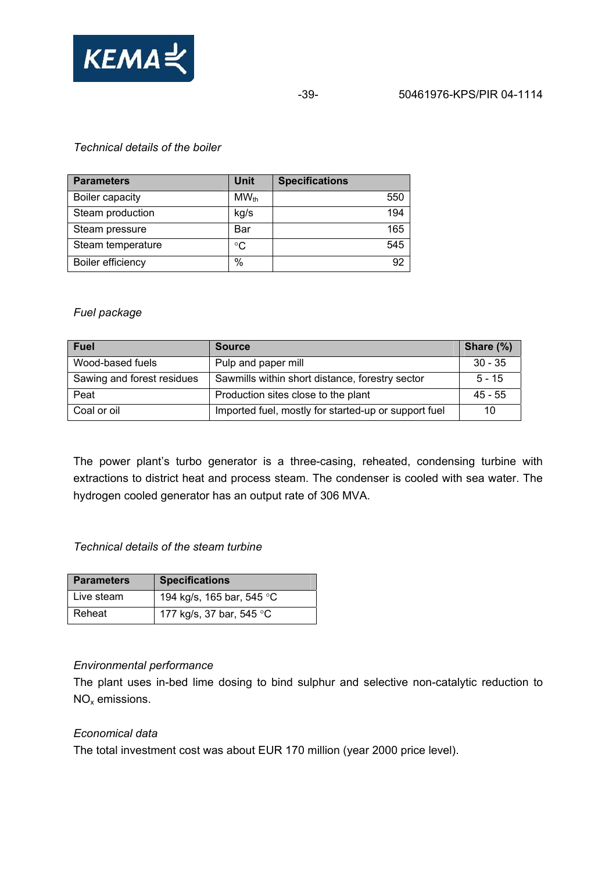

-39- 50461976-KPS/PIR 04-1114

### *Technical details of the boiler*

| <b>Parameters</b> | Unit      | <b>Specifications</b> |
|-------------------|-----------|-----------------------|
| Boiler capacity   | $MW_{th}$ | 550                   |
| Steam production  | kg/s      | 194                   |
| Steam pressure    | Bar       | 165                   |
| Steam temperature | °C        | 545                   |
| Boiler efficiency | %         | 92                    |

#### *Fuel package*

| <b>Fuel</b>                | <b>Source</b>                                        | Share (%) |
|----------------------------|------------------------------------------------------|-----------|
| Wood-based fuels           | Pulp and paper mill                                  | $30 - 35$ |
| Sawing and forest residues | Sawmills within short distance, forestry sector      | $5 - 15$  |
| Peat                       | Production sites close to the plant                  | $45 - 55$ |
| Coal or oil                | Imported fuel, mostly for started-up or support fuel | 10        |

The power plant's turbo generator is a three-casing, reheated, condensing turbine with extractions to district heat and process steam. The condenser is cooled with sea water. The hydrogen cooled generator has an output rate of 306 MVA.

#### *Technical details of the steam turbine*

| <b>Parameters</b> | <b>Specifications</b>     |
|-------------------|---------------------------|
| Live steam        | 194 kg/s, 165 bar, 545 °C |
| Reheat            | 177 kg/s, 37 bar, 545 °C  |

#### *Environmental performance*

The plant uses in-bed lime dosing to bind sulphur and selective non-catalytic reduction to NOx emissions.

#### *Economical data*

The total investment cost was about EUR 170 million (year 2000 price level).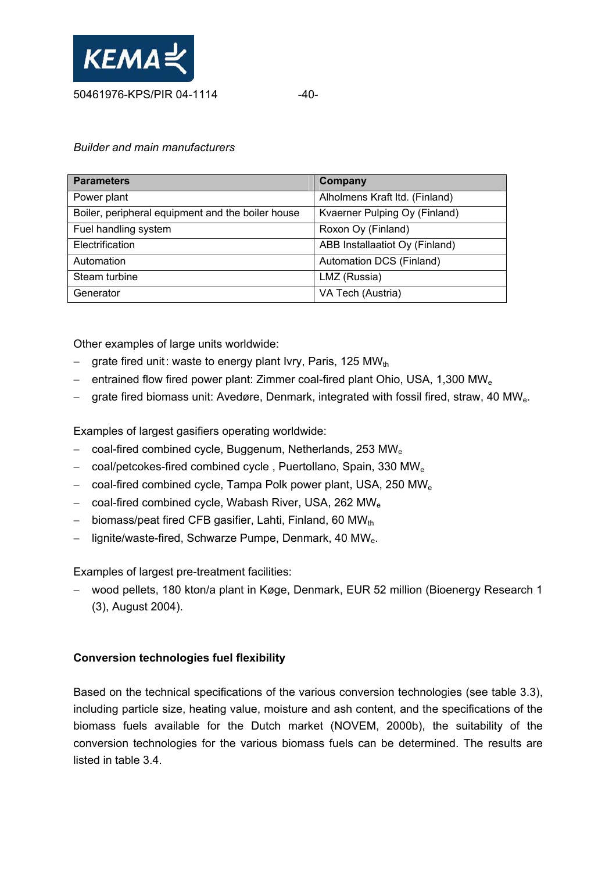

### *Builder and main manufacturers*

| <b>Parameters</b>                                 | Company                        |
|---------------------------------------------------|--------------------------------|
| Power plant                                       | Alholmens Kraft Itd. (Finland) |
| Boiler, peripheral equipment and the boiler house | Kvaerner Pulping Oy (Finland)  |
| Fuel handling system                              | Roxon Oy (Finland)             |
| Electrification                                   | ABB Installaatiot Oy (Finland) |
| Automation                                        | Automation DCS (Finland)       |
| Steam turbine                                     | LMZ (Russia)                   |
| Generator                                         | VA Tech (Austria)              |

Other examples of large units worldwide:

- grate fired unit: waste to energy plant Ivry, Paris, 125 MWth
- − entrained flow fired power plant: Zimmer coal-fired plant Ohio, USA, 1,300 MW<sub>e</sub>
- grate fired biomass unit: Avedøre, Denmark, integrated with fossil fired, straw, 40 MW<sub>e</sub>.

Examples of largest gasifiers operating worldwide:

- − coal-fired combined cycle, Buggenum, Netherlands, 253 MWe
- − coal/petcokes-fired combined cycle , Puertollano, Spain, 330 MWe
- − coal-fired combined cycle, Tampa Polk power plant, USA, 250 MWe
- − coal-fired combined cycle, Wabash River, USA, 262 MWe
- biomass/peat fired CFB gasifier, Lahti, Finland, 60 MWth
- − lignite/waste-fired, Schwarze Pumpe, Denmark, 40 MWe.

Examples of largest pre-treatment facilities:

− wood pellets, 180 kton/a plant in Køge, Denmark, EUR 52 million (Bioenergy Research 1 (3), August 2004).

## **Conversion technologies fuel flexibility**

Based on the technical specifications of the various conversion technologies (see table 3.3), including particle size, heating value, moisture and ash content, and the specifications of the biomass fuels available for the Dutch market (NOVEM, 2000b), the suitability of the conversion technologies for the various biomass fuels can be determined. The results are listed in table 3.4.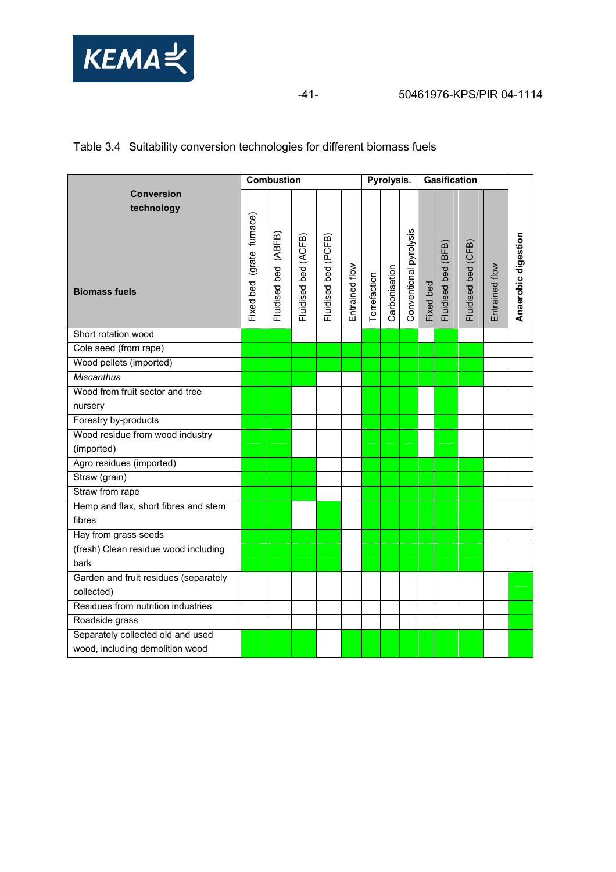

## Table 3.4 Suitability conversion technologies for different biomass fuels

|                                                         |                              | <b>Combustion</b>       |                      |                      |                | Pyrolysis.   |               |                        | <b>Gasification</b> |                     |                     |                |                     |
|---------------------------------------------------------|------------------------------|-------------------------|----------------------|----------------------|----------------|--------------|---------------|------------------------|---------------------|---------------------|---------------------|----------------|---------------------|
| <b>Conversion</b><br>technology<br><b>Biomass fuels</b> | (grate furnace)<br>Fixed bed | (ABFB)<br>Fluidised bed | Fluidised bed (ACFB) | Fluidised bed (PCFB) | Entrained flow | Torrefaction | Carbonisation | Conventional pyrolysis | Fixed bed           | Fluidised bed (BFB) | Fluidised bed (CFB) | Entrained flow | Anaerobic digestion |
| Short rotation wood                                     |                              |                         |                      |                      |                |              |               |                        |                     |                     |                     |                |                     |
| Cole seed (from rape)                                   |                              |                         |                      |                      |                |              |               |                        |                     |                     |                     |                |                     |
| Wood pellets (imported)                                 |                              |                         |                      |                      |                |              |               |                        |                     |                     |                     |                |                     |
| <b>Miscanthus</b>                                       |                              |                         |                      |                      |                |              |               |                        |                     |                     |                     |                |                     |
| Wood from fruit sector and tree                         |                              |                         |                      |                      |                |              |               |                        |                     |                     |                     |                |                     |
| nursery                                                 |                              |                         |                      |                      |                |              |               |                        |                     |                     |                     |                |                     |
| Forestry by-products                                    |                              |                         |                      |                      |                |              |               |                        |                     |                     |                     |                |                     |
| Wood residue from wood industry                         |                              |                         |                      |                      |                |              |               |                        |                     |                     |                     |                |                     |
| (imported)                                              |                              |                         |                      |                      |                |              |               |                        |                     |                     |                     |                |                     |
| Agro residues (imported)                                |                              |                         |                      |                      |                |              |               |                        |                     |                     |                     |                |                     |
| Straw (grain)                                           |                              |                         |                      |                      |                |              |               |                        |                     |                     |                     |                |                     |
| Straw from rape                                         |                              |                         |                      |                      |                |              |               |                        |                     |                     |                     |                |                     |
| Hemp and flax, short fibres and stem                    |                              |                         |                      |                      |                |              |               |                        |                     |                     |                     |                |                     |
| fibres                                                  |                              |                         |                      |                      |                |              |               |                        |                     |                     |                     |                |                     |
| Hay from grass seeds                                    |                              |                         |                      |                      |                |              |               |                        |                     |                     |                     |                |                     |
| (fresh) Clean residue wood including                    |                              |                         |                      |                      |                |              |               |                        |                     |                     |                     |                |                     |
| bark                                                    |                              |                         |                      |                      |                |              |               |                        |                     |                     |                     |                |                     |
| Garden and fruit residues (separately                   |                              |                         |                      |                      |                |              |               |                        |                     |                     |                     |                |                     |
| collected)                                              |                              |                         |                      |                      |                |              |               |                        |                     |                     |                     |                |                     |
| Residues from nutrition industries                      |                              |                         |                      |                      |                |              |               |                        |                     |                     |                     |                |                     |
| Roadside grass                                          |                              |                         |                      |                      |                |              |               |                        |                     |                     |                     |                |                     |
| Separately collected old and used                       |                              |                         |                      |                      |                |              |               |                        |                     |                     |                     |                |                     |
| wood, including demolition wood                         |                              |                         |                      |                      |                |              |               |                        |                     |                     |                     |                |                     |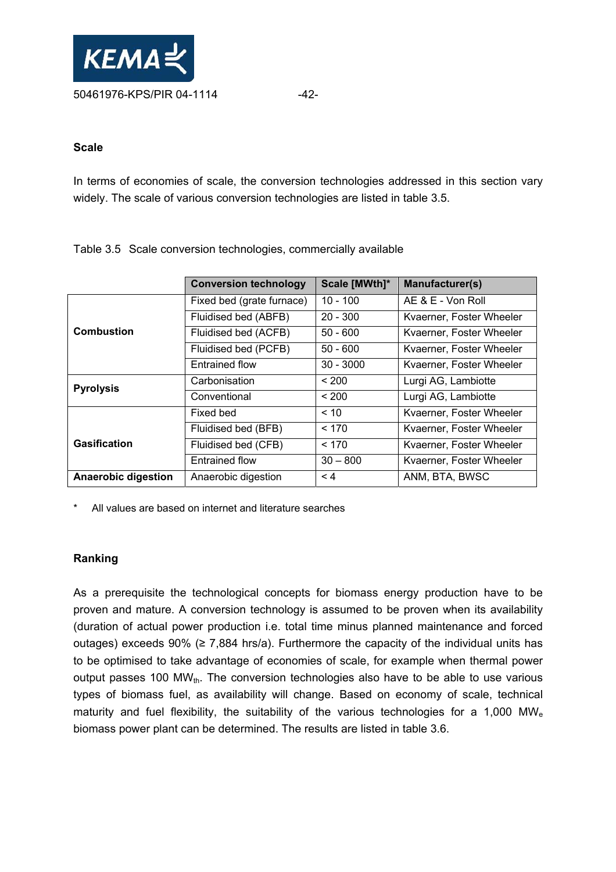

#### **Scale**

In terms of economies of scale, the conversion technologies addressed in this section vary widely. The scale of various conversion technologies are listed in table 3.5.

|                            | <b>Conversion technology</b> | Scale [MWth]* | Manufacturer(s)          |
|----------------------------|------------------------------|---------------|--------------------------|
|                            | Fixed bed (grate furnace)    | $10 - 100$    | AE & E - Von Roll        |
|                            | Fluidised bed (ABFB)         | $20 - 300$    | Kvaerner, Foster Wheeler |
| <b>Combustion</b>          | Fluidised bed (ACFB)         | $50 - 600$    | Kvaerner, Foster Wheeler |
|                            | Fluidised bed (PCFB)         | $50 - 600$    | Kvaerner, Foster Wheeler |
|                            | <b>Entrained flow</b>        | $30 - 3000$   | Kvaerner, Foster Wheeler |
| <b>Pyrolysis</b>           | Carbonisation                | < 200         | Lurgi AG, Lambiotte      |
|                            | Conventional                 | < 200         | Lurgi AG, Lambiotte      |
|                            | Fixed bed                    | ~10           | Kvaerner, Foster Wheeler |
|                            | Fluidised bed (BFB)          | < 170         | Kvaerner, Foster Wheeler |
| <b>Gasification</b>        | Fluidised bed (CFB)          | < 170         | Kvaerner, Foster Wheeler |
|                            | <b>Entrained flow</b>        | $30 - 800$    | Kvaerner, Foster Wheeler |
| <b>Anaerobic digestion</b> | Anaerobic digestion          | $\leq 4$      | ANM, BTA, BWSC           |

Table 3.5 Scale conversion technologies, commercially available

All values are based on internet and literature searches

## **Ranking**

As a prerequisite the technological concepts for biomass energy production have to be proven and mature. A conversion technology is assumed to be proven when its availability (duration of actual power production i.e. total time minus planned maintenance and forced outages) exceeds 90% ( $\geq$  7,884 hrs/a). Furthermore the capacity of the individual units has to be optimised to take advantage of economies of scale, for example when thermal power output passes 100 MW $_{th}$ . The conversion technologies also have to be able to use various types of biomass fuel, as availability will change. Based on economy of scale, technical maturity and fuel flexibility, the suitability of the various technologies for a 1,000 MW<sub>e</sub> biomass power plant can be determined. The results are listed in table 3.6.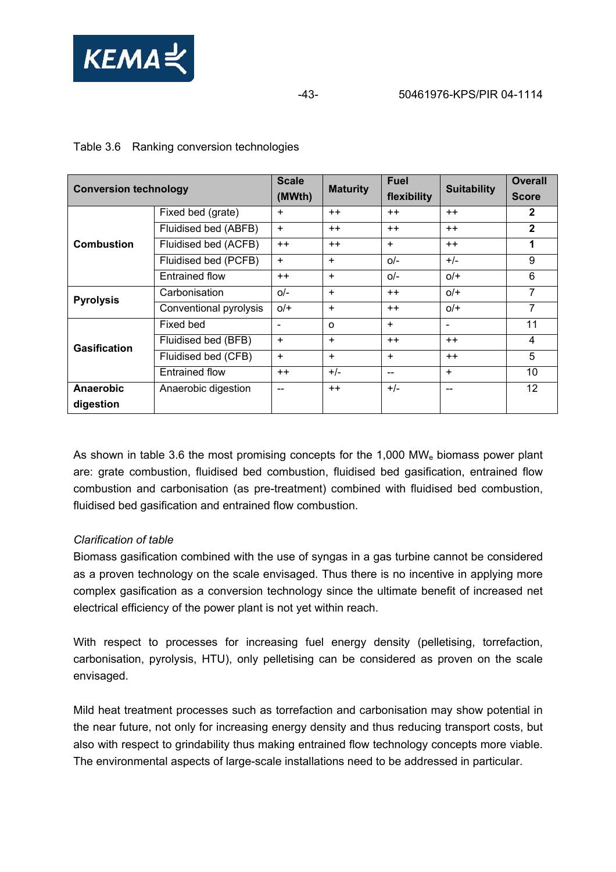

| <b>Conversion technology</b> |                        | <b>Scale</b><br>(MWth) | <b>Maturity</b> | <b>Fuel</b><br>flexibility | <b>Suitability</b>       | <b>Overall</b><br><b>Score</b> |
|------------------------------|------------------------|------------------------|-----------------|----------------------------|--------------------------|--------------------------------|
|                              | Fixed bed (grate)      | $\ddot{}$              | $++$            | $++$                       | $++$                     | $\mathbf{2}$                   |
|                              | Fluidised bed (ABFB)   | $\ddot{}$              | $++$            | $++$                       | $++$                     | $\mathbf{2}$                   |
| <b>Combustion</b>            | Fluidised bed (ACFB)   | $++$                   | $++$            | $+$                        | $++$                     |                                |
|                              | Fluidised bed (PCFB)   | $\ddot{}$              | $+$             | $Q/-$                      | $+/-$                    | 9                              |
|                              | Entrained flow         | $++$                   | $+$             | $Q/-$                      | $O/$ +                   | 6                              |
| <b>Pyrolysis</b>             | Carbonisation          | $Q/-$                  | $+$             | $++$                       | $O/$ +                   | $\overline{7}$                 |
|                              | Conventional pyrolysis | $O/$ +                 | $\ddot{}$       | $++$                       | $O/$ +                   | 7                              |
|                              | Fixed bed              | $\blacksquare$         | $\Omega$        | $+$                        | $\overline{\phantom{a}}$ | 11                             |
| <b>Gasification</b>          | Fluidised bed (BFB)    | $\ddot{}$              | $+$             | $++$                       | $++$                     | 4                              |
|                              | Fluidised bed (CFB)    | $+$                    | $+$             | $+$                        | $++$                     | 5                              |
|                              | Entrained flow         | $++$                   | $+/-$           | $-$                        | $+$                      | 10                             |
| Anaerobic                    | Anaerobic digestion    | --                     | $++$            | $+/-$                      | $\qquad \qquad \qquad -$ | $12 \overline{ }$              |
| digestion                    |                        |                        |                 |                            |                          |                                |

## Table 3.6 Ranking conversion technologies

As shown in table 3.6 the most promising concepts for the 1,000 MW<sub>e</sub> biomass power plant are: grate combustion, fluidised bed combustion, fluidised bed gasification, entrained flow combustion and carbonisation (as pre-treatment) combined with fluidised bed combustion, fluidised bed gasification and entrained flow combustion.

## *Clarification of table*

Biomass gasification combined with the use of syngas in a gas turbine cannot be considered as a proven technology on the scale envisaged. Thus there is no incentive in applying more complex gasification as a conversion technology since the ultimate benefit of increased net electrical efficiency of the power plant is not yet within reach.

With respect to processes for increasing fuel energy density (pelletising, torrefaction, carbonisation, pyrolysis, HTU), only pelletising can be considered as proven on the scale envisaged.

Mild heat treatment processes such as torrefaction and carbonisation may show potential in the near future, not only for increasing energy density and thus reducing transport costs, but also with respect to grindability thus making entrained flow technology concepts more viable. The environmental aspects of large-scale installations need to be addressed in particular.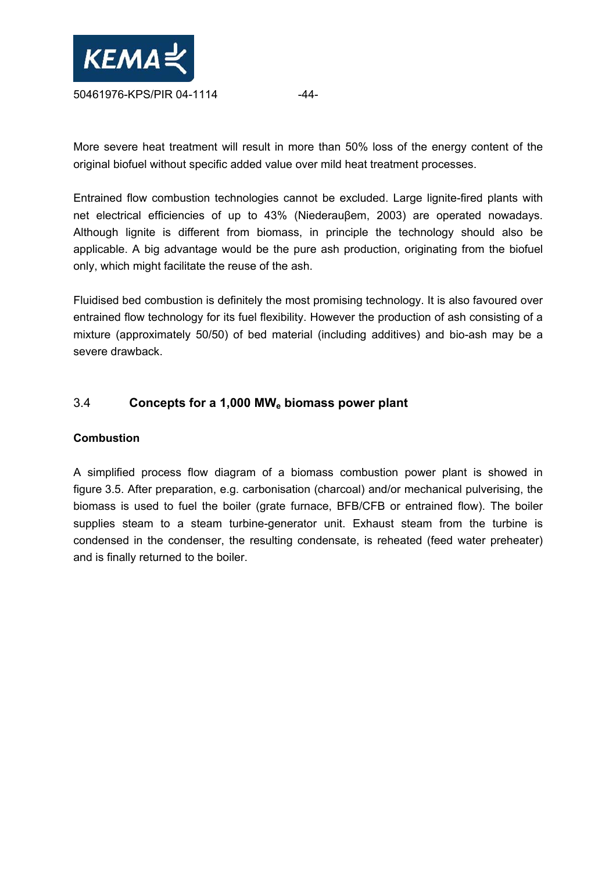

More severe heat treatment will result in more than 50% loss of the energy content of the original biofuel without specific added value over mild heat treatment processes.

Entrained flow combustion technologies cannot be excluded. Large lignite-fired plants with net electrical efficiencies of up to 43% (Niederauβem, 2003) are operated nowadays. Although lignite is different from biomass, in principle the technology should also be applicable. A big advantage would be the pure ash production, originating from the biofuel only, which might facilitate the reuse of the ash.

Fluidised bed combustion is definitely the most promising technology. It is also favoured over entrained flow technology for its fuel flexibility. However the production of ash consisting of a mixture (approximately 50/50) of bed material (including additives) and bio-ash may be a severe drawback.

## 3.4 **Concepts for a 1,000 MWe biomass power plant**

## **Combustion**

A simplified process flow diagram of a biomass combustion power plant is showed in figure 3.5. After preparation, e.g. carbonisation (charcoal) and/or mechanical pulverising, the biomass is used to fuel the boiler (grate furnace, BFB/CFB or entrained flow). The boiler supplies steam to a steam turbine-generator unit. Exhaust steam from the turbine is condensed in the condenser, the resulting condensate, is reheated (feed water preheater) and is finally returned to the boiler.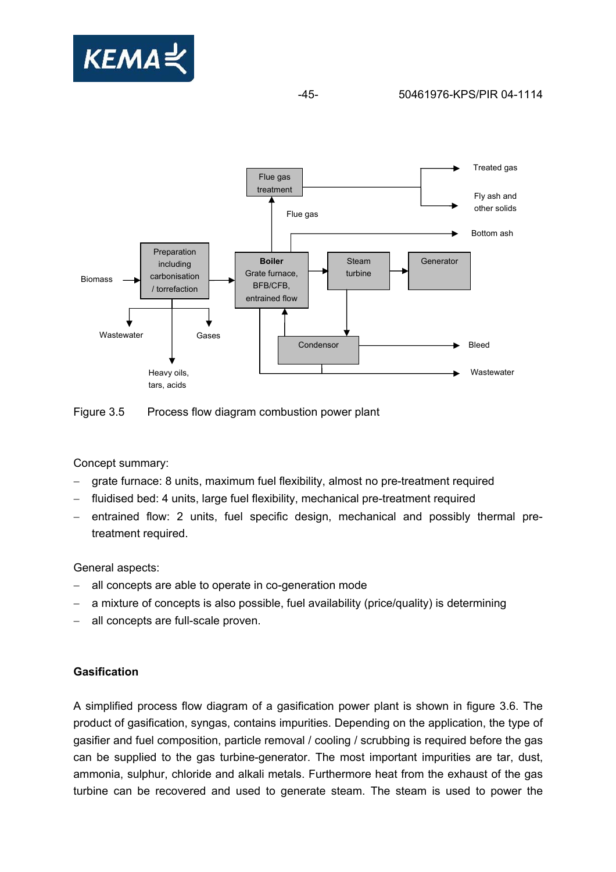

## -45- 50461976-KPS/PIR 04-1114





Concept summary:

- grate furnace: 8 units, maximum fuel flexibility, almost no pre-treatment required
- fluidised bed: 4 units, large fuel flexibility, mechanical pre-treatment required
- − entrained flow: 2 units, fuel specific design, mechanical and possibly thermal pretreatment required.

General aspects:

- all concepts are able to operate in co-generation mode
- a mixture of concepts is also possible, fuel availability (price/quality) is determining
- all concepts are full-scale proven.

## **Gasification**

A simplified process flow diagram of a gasification power plant is shown in figure 3.6. The product of gasification, syngas, contains impurities. Depending on the application, the type of gasifier and fuel composition, particle removal / cooling / scrubbing is required before the gas can be supplied to the gas turbine-generator. The most important impurities are tar, dust, ammonia, sulphur, chloride and alkali metals. Furthermore heat from the exhaust of the gas turbine can be recovered and used to generate steam. The steam is used to power the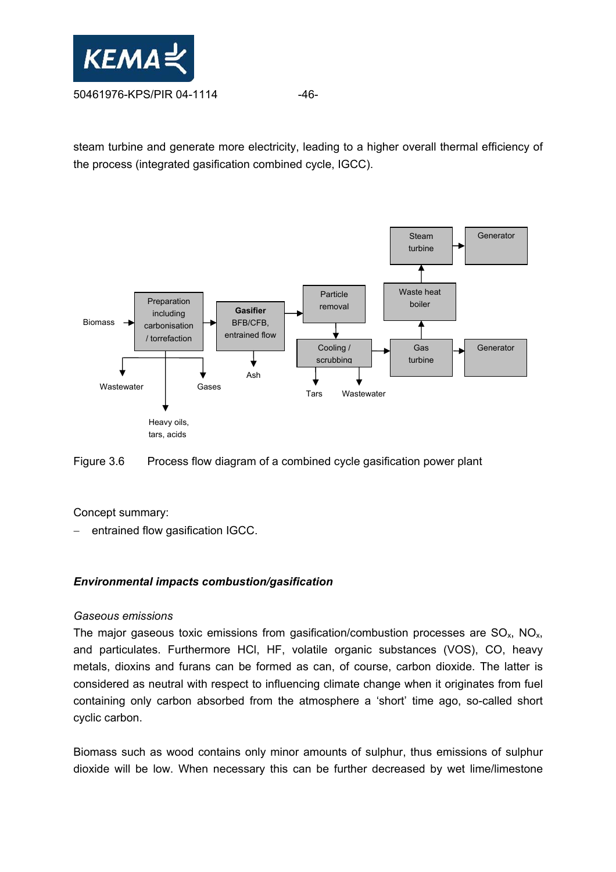

steam turbine and generate more electricity, leading to a higher overall thermal efficiency of the process (integrated gasification combined cycle, IGCC).



Figure 3.6 Process flow diagram of a combined cycle gasification power plant

Concept summary:

entrained flow gasification IGCC.

## *Environmental impacts combustion/gasification*

## *Gaseous emissions*

The major gaseous toxic emissions from gasification/combustion processes are  $SO_x$ ,  $NO_x$ , and particulates. Furthermore HCl, HF, volatile organic substances (VOS), CO, heavy metals, dioxins and furans can be formed as can, of course, carbon dioxide. The latter is considered as neutral with respect to influencing climate change when it originates from fuel containing only carbon absorbed from the atmosphere a 'short' time ago, so-called short cyclic carbon.

Biomass such as wood contains only minor amounts of sulphur, thus emissions of sulphur dioxide will be low. When necessary this can be further decreased by wet lime/limestone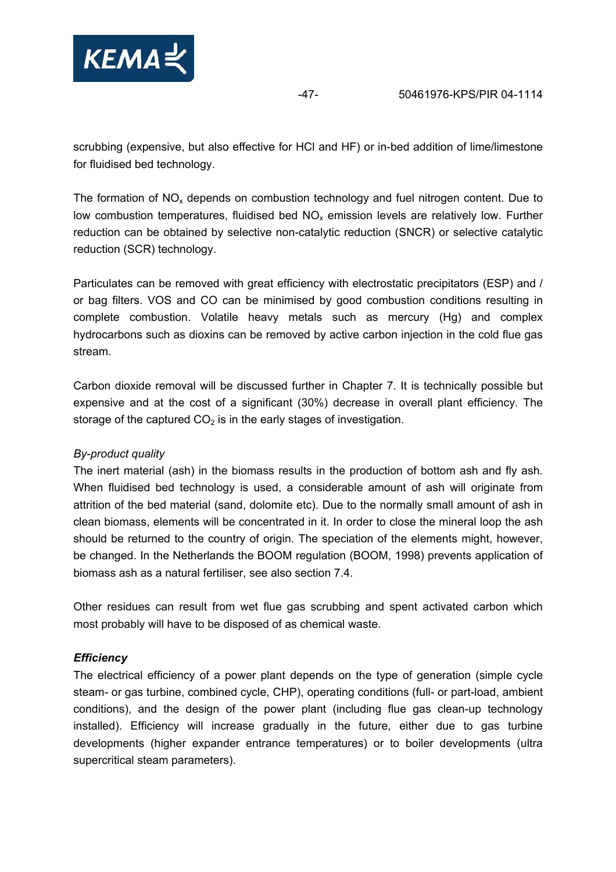

scrubbing (expensive, but also effective for HCl and HF) or in-bed addition of lime/limestone for fluidised bed technology.

The formation of  $NO<sub>x</sub>$  depends on combustion technology and fuel nitrogen content. Due to low combustion temperatures, fluidised bed  $NO<sub>x</sub>$  emission levels are relatively low. Further reduction can be obtained by selective non-catalytic reduction (SNCR) or selective catalytic reduction (SCR) technology.

Particulates can be removed with great efficiency with electrostatic precipitators (ESP) and / or bag filters. VOS and CO can be minimised by good combustion conditions resulting in complete combustion. Volatile heavy metals such as mercury (Hg) and complex hydrocarbons such as dioxins can be removed by active carbon injection in the cold flue gas stream.

Carbon dioxide removal will be discussed further in Chapter 7. It is technically possible but expensive and at the cost of a significant (30%) decrease in overall plant efficiency. The storage of the captured  $CO<sub>2</sub>$  is in the early stages of investigation.

## *By-product quality*

The inert material (ash) in the biomass results in the production of bottom ash and fly ash. When fluidised bed technology is used, a considerable amount of ash will originate from attrition of the bed material (sand, dolomite etc). Due to the normally small amount of ash in clean biomass, elements will be concentrated in it. In order to close the mineral loop the ash should be returned to the country of origin. The speciation of the elements might, however, be changed. In the Netherlands the BOOM regulation (BOOM, 1998) prevents application of biomass ash as a natural fertiliser, see also section 7.4.

Other residues can result from wet flue gas scrubbing and spent activated carbon which most probably will have to be disposed of as chemical waste.

## *Efficiency*

The electrical efficiency of a power plant depends on the type of generation (simple cycle steam- or gas turbine, combined cycle, CHP), operating conditions (full- or part-load, ambient conditions), and the design of the power plant (including flue gas clean-up technology installed). Efficiency will increase gradually in the future, either due to gas turbine developments (higher expander entrance temperatures) or to boiler developments (ultra supercritical steam parameters).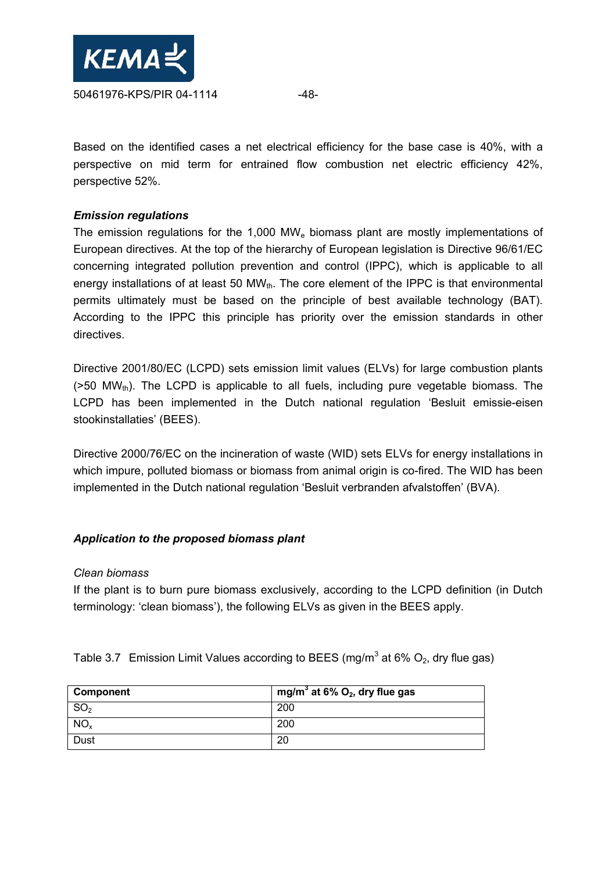

Based on the identified cases a net electrical efficiency for the base case is 40%, with a perspective on mid term for entrained flow combustion net electric efficiency 42%, perspective 52%.

### *Emission regulations*

The emission regulations for the 1,000 MW<sub>e</sub> biomass plant are mostly implementations of European directives. At the top of the hierarchy of European legislation is Directive 96/61/EC concerning integrated pollution prevention and control (IPPC), which is applicable to all energy installations of at least 50  $MW_{th}$ . The core element of the IPPC is that environmental permits ultimately must be based on the principle of best available technology (BAT). According to the IPPC this principle has priority over the emission standards in other directives.

Directive 2001/80/EC (LCPD) sets emission limit values (ELVs) for large combustion plants  $(550 \text{ MW}_{\text{th}})$ . The LCPD is applicable to all fuels, including pure vegetable biomass. The LCPD has been implemented in the Dutch national regulation 'Besluit emissie-eisen stookinstallaties' (BEES).

Directive 2000/76/EC on the incineration of waste (WID) sets ELVs for energy installations in which impure, polluted biomass or biomass from animal origin is co-fired. The WID has been implemented in the Dutch national regulation 'Besluit verbranden afvalstoffen' (BVA).

## *Application to the proposed biomass plant*

#### *Clean biomass*

If the plant is to burn pure biomass exclusively, according to the LCPD definition (in Dutch terminology: 'clean biomass'), the following ELVs as given in the BEES apply.

Table 3.7 Emission Limit Values according to BEES (mg/m<sup>3</sup> at 6%  $O_2$ , dry flue gas)

| <b>Component</b> | mg/m <sup>3</sup> at 6% $O_2$ , dry flue gas |
|------------------|----------------------------------------------|
| SO <sub>2</sub>  | 200                                          |
| NO <sub>x</sub>  | 200                                          |
| <b>Dust</b>      | 20                                           |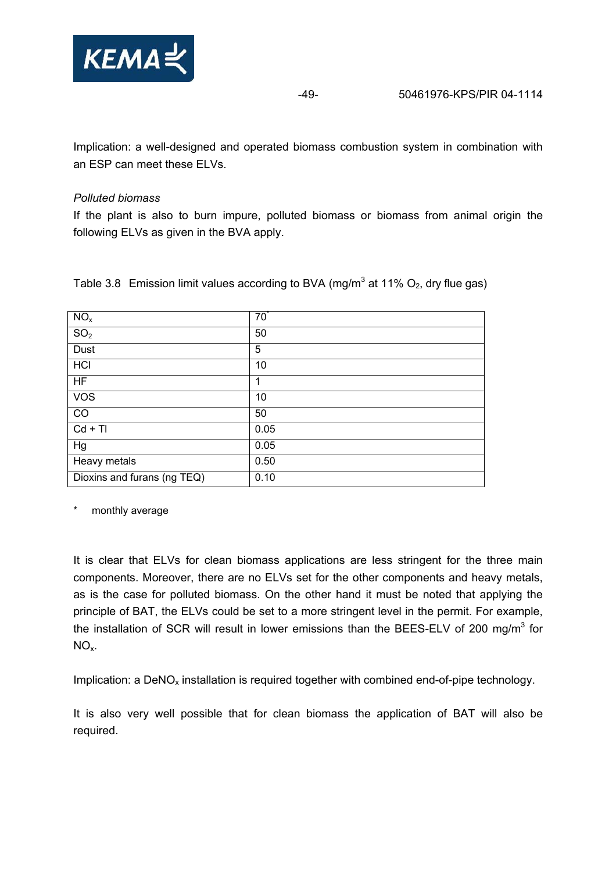

Implication: a well-designed and operated biomass combustion system in combination with an ESP can meet these ELVs.

## *Polluted biomass*

If the plant is also to burn impure, polluted biomass or biomass from animal origin the following ELVs as given in the BVA apply.

| NO <sub>x</sub>             | $70^{\degree}$ |
|-----------------------------|----------------|
| SO <sub>2</sub>             | 50             |
| <b>Dust</b>                 | 5              |
| HCI                         | 10             |
| <b>HF</b>                   | 1              |
| <b>VOS</b>                  | 10             |
| CO                          | 50             |
| $Cd + TI$                   | 0.05           |
| Hg                          | 0.05           |
| Heavy metals                | 0.50           |
| Dioxins and furans (ng TEQ) | 0.10           |

Table 3.8 Emission limit values according to BVA (mg/m<sup>3</sup> at 11%  $O_2$ , dry flue gas)

monthly average

It is clear that ELVs for clean biomass applications are less stringent for the three main components. Moreover, there are no ELVs set for the other components and heavy metals, as is the case for polluted biomass. On the other hand it must be noted that applying the principle of BAT, the ELVs could be set to a more stringent level in the permit. For example, the installation of SCR will result in lower emissions than the BEES-ELV of 200 mg/m<sup>3</sup> for  $NO<sub>x</sub>$ .

Implication: a  $DeNO<sub>x</sub>$  installation is required together with combined end-of-pipe technology.

It is also very well possible that for clean biomass the application of BAT will also be required.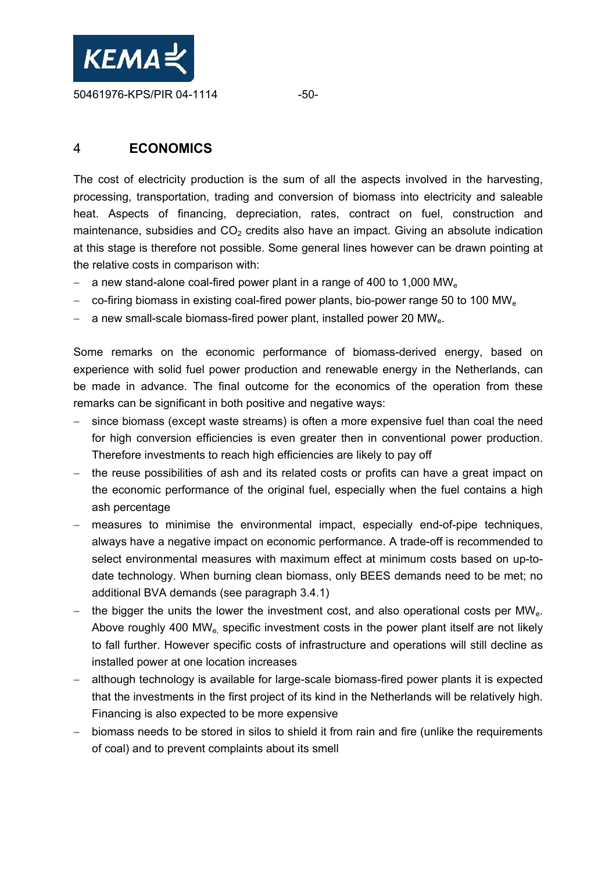

## 4 **ECONOMICS**

The cost of electricity production is the sum of all the aspects involved in the harvesting, processing, transportation, trading and conversion of biomass into electricity and saleable heat. Aspects of financing, depreciation, rates, contract on fuel, construction and maintenance, subsidies and  $CO<sub>2</sub>$  credits also have an impact. Giving an absolute indication at this stage is therefore not possible. Some general lines however can be drawn pointing at the relative costs in comparison with:

- − a new stand-alone coal-fired power plant in a range of 400 to 1,000 MW<sub>e</sub>
- − co-firing biomass in existing coal-fired power plants, bio-power range 50 to 100 MW<sub>e</sub>
- − a new small-scale biomass-fired power plant, installed power 20 MW<sub>e</sub>.

Some remarks on the economic performance of biomass-derived energy, based on experience with solid fuel power production and renewable energy in the Netherlands, can be made in advance. The final outcome for the economics of the operation from these remarks can be significant in both positive and negative ways:

- since biomass (except waste streams) is often a more expensive fuel than coal the need for high conversion efficiencies is even greater then in conventional power production. Therefore investments to reach high efficiencies are likely to pay off
- − the reuse possibilities of ash and its related costs or profits can have a great impact on the economic performance of the original fuel, especially when the fuel contains a high ash percentage
- − measures to minimise the environmental impact, especially end-of-pipe techniques, always have a negative impact on economic performance. A trade-off is recommended to select environmental measures with maximum effect at minimum costs based on up-todate technology. When burning clean biomass, only BEES demands need to be met; no additional BVA demands (see paragraph 3.4.1)
- − the bigger the units the lower the investment cost, and also operational costs per MW<sub>e</sub>. Above roughly 400 MW<sub>e</sub> specific investment costs in the power plant itself are not likely to fall further. However specific costs of infrastructure and operations will still decline as installed power at one location increases
- although technology is available for large-scale biomass-fired power plants it is expected that the investments in the first project of its kind in the Netherlands will be relatively high. Financing is also expected to be more expensive
- − biomass needs to be stored in silos to shield it from rain and fire (unlike the requirements of coal) and to prevent complaints about its smell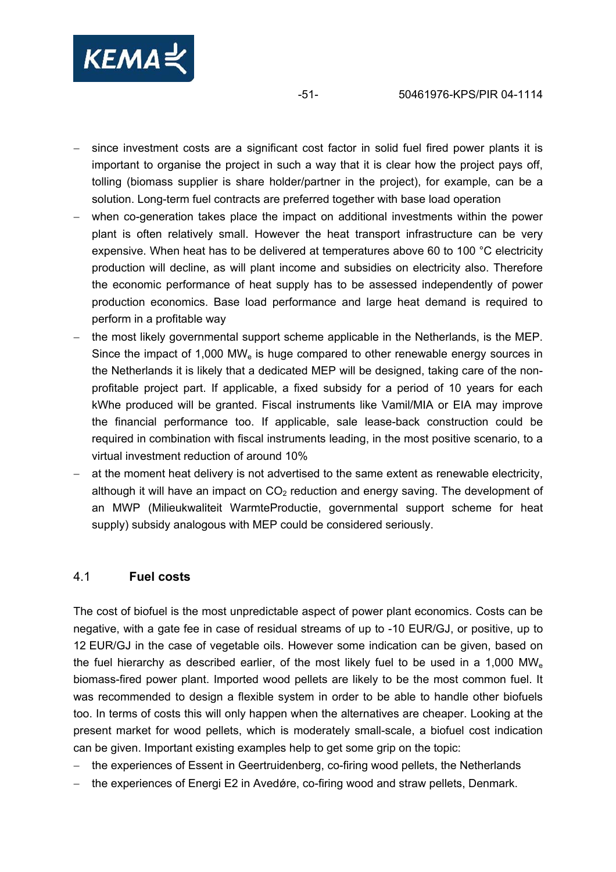

- since investment costs are a significant cost factor in solid fuel fired power plants it is important to organise the project in such a way that it is clear how the project pays off, tolling (biomass supplier is share holder/partner in the project), for example, can be a solution. Long-term fuel contracts are preferred together with base load operation
- when co-generation takes place the impact on additional investments within the power plant is often relatively small. However the heat transport infrastructure can be very expensive. When heat has to be delivered at temperatures above 60 to 100 °C electricity production will decline, as will plant income and subsidies on electricity also. Therefore the economic performance of heat supply has to be assessed independently of power production economics. Base load performance and large heat demand is required to perform in a profitable way
- the most likely governmental support scheme applicable in the Netherlands, is the MEP. Since the impact of  $1,000$  MW<sub>e</sub> is huge compared to other renewable energy sources in the Netherlands it is likely that a dedicated MEP will be designed, taking care of the nonprofitable project part. If applicable, a fixed subsidy for a period of 10 years for each kWhe produced will be granted. Fiscal instruments like Vamil/MIA or EIA may improve the financial performance too. If applicable, sale lease-back construction could be required in combination with fiscal instruments leading, in the most positive scenario, to a virtual investment reduction of around 10%
- at the moment heat delivery is not advertised to the same extent as renewable electricity, although it will have an impact on  $CO<sub>2</sub>$  reduction and energy saving. The development of an MWP (Milieukwaliteit WarmteProductie, governmental support scheme for heat supply) subsidy analogous with MEP could be considered seriously.

## 4.1 **Fuel costs**

The cost of biofuel is the most unpredictable aspect of power plant economics. Costs can be negative, with a gate fee in case of residual streams of up to -10 EUR/GJ, or positive, up to 12 EUR/GJ in the case of vegetable oils. However some indication can be given, based on the fuel hierarchy as described earlier, of the most likely fuel to be used in a 1,000 MW<sub>e</sub> biomass-fired power plant. Imported wood pellets are likely to be the most common fuel. It was recommended to design a flexible system in order to be able to handle other biofuels too. In terms of costs this will only happen when the alternatives are cheaper. Looking at the present market for wood pellets, which is moderately small-scale, a biofuel cost indication can be given. Important existing examples help to get some grip on the topic:

- − the experiences of Essent in Geertruidenberg, co-firing wood pellets, the Netherlands
- the experiences of Energi E2 in Avedǿre, co-firing wood and straw pellets, Denmark.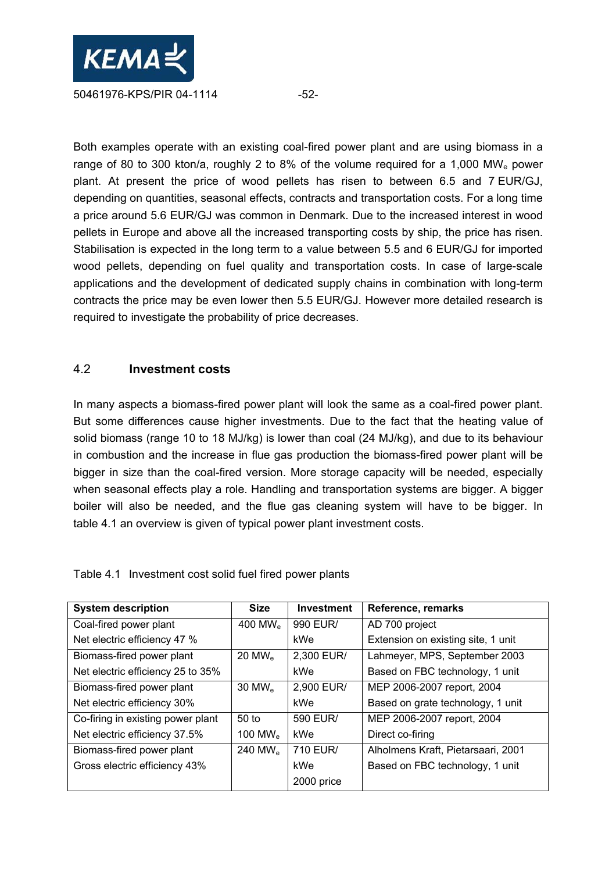

Both examples operate with an existing coal-fired power plant and are using biomass in a range of 80 to 300 kton/a, roughly 2 to 8% of the volume required for a 1,000 MW<sub>e</sub> power plant. At present the price of wood pellets has risen to between 6.5 and 7 EUR/GJ, depending on quantities, seasonal effects, contracts and transportation costs. For a long time a price around 5.6 EUR/GJ was common in Denmark. Due to the increased interest in wood pellets in Europe and above all the increased transporting costs by ship, the price has risen. Stabilisation is expected in the long term to a value between 5.5 and 6 EUR/GJ for imported wood pellets, depending on fuel quality and transportation costs. In case of large-scale applications and the development of dedicated supply chains in combination with long-term contracts the price may be even lower then 5.5 EUR/GJ. However more detailed research is required to investigate the probability of price decreases.

## 4.2 **Investment costs**

In many aspects a biomass-fired power plant will look the same as a coal-fired power plant. But some differences cause higher investments. Due to the fact that the heating value of solid biomass (range 10 to 18 MJ/kg) is lower than coal (24 MJ/kg), and due to its behaviour in combustion and the increase in flue gas production the biomass-fired power plant will be bigger in size than the coal-fired version. More storage capacity will be needed, especially when seasonal effects play a role. Handling and transportation systems are bigger. A bigger boiler will also be needed, and the flue gas cleaning system will have to be bigger. In table 4.1 an overview is given of typical power plant investment costs.

| <b>System description</b>         | <b>Size</b>          | <b>Investment</b> | Reference, remarks                 |
|-----------------------------------|----------------------|-------------------|------------------------------------|
| Coal-fired power plant            | 400 MW $_{\rm e}$    | 990 EUR/          | AD 700 project                     |
| Net electric efficiency 47 %      |                      | kWe               | Extension on existing site, 1 unit |
| Biomass-fired power plant         | $20$ MW <sub>e</sub> | 2,300 EUR/        | Lahmeyer, MPS, September 2003      |
| Net electric efficiency 25 to 35% |                      | kWe               | Based on FBC technology, 1 unit    |
| Biomass-fired power plant         | $30$ MW <sub>e</sub> | 2,900 EUR/        | MEP 2006-2007 report, 2004         |
| Net electric efficiency 30%       |                      | kWe               | Based on grate technology, 1 unit  |
| Co-firing in existing power plant | 50 <sub>to</sub>     | 590 EUR/          | MEP 2006-2007 report, 2004         |
| Net electric efficiency 37.5%     | 100 MW $_{\rm e}$    | kWe               | Direct co-firing                   |
| Biomass-fired power plant         | 240 MW <sub>e</sub>  | 710 EUR/          | Alholmens Kraft, Pietarsaari, 2001 |
| Gross electric efficiency 43%     |                      | kWe               | Based on FBC technology, 1 unit    |
|                                   |                      | 2000 price        |                                    |

Table 4.1 Investment cost solid fuel fired power plants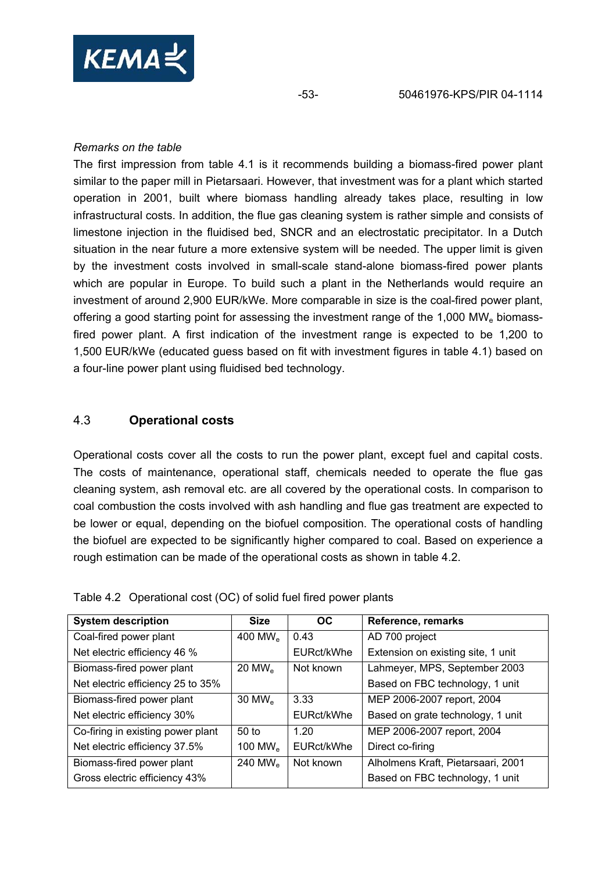

### *Remarks on the table*

The first impression from table 4.1 is it recommends building a biomass-fired power plant similar to the paper mill in Pietarsaari. However, that investment was for a plant which started operation in 2001, built where biomass handling already takes place, resulting in low infrastructural costs. In addition, the flue gas cleaning system is rather simple and consists of limestone injection in the fluidised bed, SNCR and an electrostatic precipitator. In a Dutch situation in the near future a more extensive system will be needed. The upper limit is given by the investment costs involved in small-scale stand-alone biomass-fired power plants which are popular in Europe. To build such a plant in the Netherlands would require an investment of around 2,900 EUR/kWe. More comparable in size is the coal-fired power plant, offering a good starting point for assessing the investment range of the 1,000 MW<sub>e</sub> biomassfired power plant. A first indication of the investment range is expected to be 1,200 to 1,500 EUR/kWe (educated guess based on fit with investment figures in table 4.1) based on a four-line power plant using fluidised bed technology.

## 4.3 **Operational costs**

Operational costs cover all the costs to run the power plant, except fuel and capital costs. The costs of maintenance, operational staff, chemicals needed to operate the flue gas cleaning system, ash removal etc. are all covered by the operational costs. In comparison to coal combustion the costs involved with ash handling and flue gas treatment are expected to be lower or equal, depending on the biofuel composition. The operational costs of handling the biofuel are expected to be significantly higher compared to coal. Based on experience a rough estimation can be made of the operational costs as shown in table 4.2.

| <b>System description</b>         | <b>Size</b>          | <b>OC</b>  | Reference, remarks                 |
|-----------------------------------|----------------------|------------|------------------------------------|
| Coal-fired power plant            | 400 MW <sub>e</sub>  | 0.43       | AD 700 project                     |
| Net electric efficiency 46 %      |                      | EURct/kWhe | Extension on existing site, 1 unit |
| Biomass-fired power plant         | $20$ MW <sub>e</sub> | Not known  | Lahmeyer, MPS, September 2003      |
| Net electric efficiency 25 to 35% |                      |            | Based on FBC technology, 1 unit    |
| Biomass-fired power plant         | $30$ MW <sub>e</sub> | 3.33       | MEP 2006-2007 report, 2004         |
| Net electric efficiency 30%       |                      | EURct/kWhe | Based on grate technology, 1 unit  |
| Co-firing in existing power plant | 50 <sub>to</sub>     | 1.20       | MEP 2006-2007 report, 2004         |
| Net electric efficiency 37.5%     | 100 MW $_{\rm e}$    | EURct/kWhe | Direct co-firing                   |
| Biomass-fired power plant         | 240 MW $_{\rm e}$    | Not known  | Alholmens Kraft, Pietarsaari, 2001 |
| Gross electric efficiency 43%     |                      |            | Based on FBC technology, 1 unit    |

Table 4.2 Operational cost (OC) of solid fuel fired power plants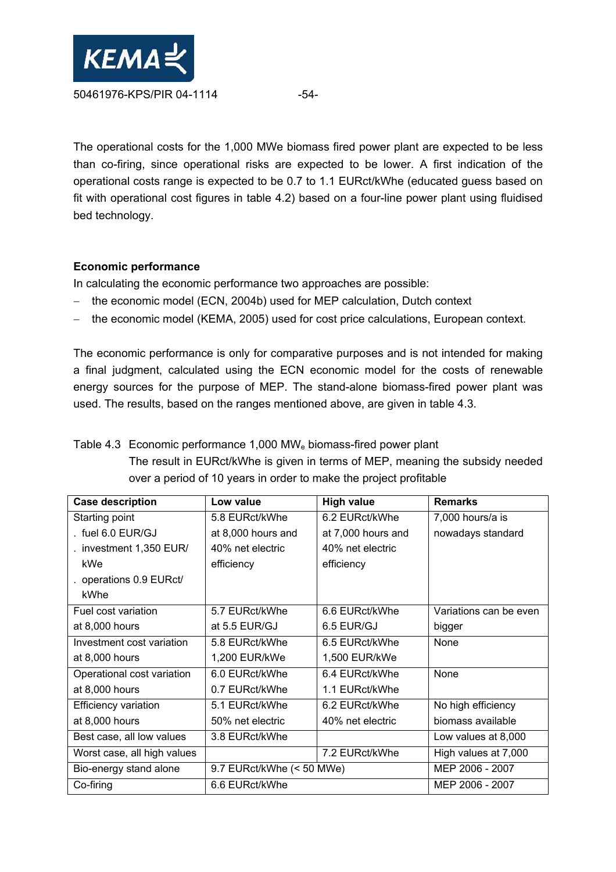

The operational costs for the 1,000 MWe biomass fired power plant are expected to be less than co-firing, since operational risks are expected to be lower. A first indication of the operational costs range is expected to be 0.7 to 1.1 EURct/kWhe (educated guess based on fit with operational cost figures in table 4.2) based on a four-line power plant using fluidised bed technology.

## **Economic performance**

In calculating the economic performance two approaches are possible:

- the economic model (ECN, 2004b) used for MEP calculation, Dutch context
- the economic model (KEMA, 2005) used for cost price calculations, European context.

The economic performance is only for comparative purposes and is not intended for making a final judgment, calculated using the ECN economic model for the costs of renewable energy sources for the purpose of MEP. The stand-alone biomass-fired power plant was used. The results, based on the ranges mentioned above, are given in table 4.3.

## Table 4.3 Economic performance 1,000 MW<sub>e</sub> biomass-fired power plant The result in EURct/kWhe is given in terms of MEP, meaning the subsidy needed over a period of 10 years in order to make the project profitable

| <b>Case description</b>     | Low value                 | <b>High value</b>  | <b>Remarks</b>         |
|-----------------------------|---------------------------|--------------------|------------------------|
| Starting point              | 5.8 EURct/kWhe            | 6.2 EURct/kWhe     | 7,000 hours/a is       |
| . fuel $6.0$ $E$ UR/GJ      | at 8,000 hours and        | at 7,000 hours and | nowadays standard      |
| . investment 1,350 EUR/     | 40% net electric          | 40% net electric   |                        |
| kWe                         | efficiency                | efficiency         |                        |
| . operations 0.9 EURct/     |                           |                    |                        |
| kWhe                        |                           |                    |                        |
| Fuel cost variation         | 5.7 EURct/kWhe            | 6.6 EURct/kWhe     | Variations can be even |
| at $8,000$ hours            | at 5.5 EUR/GJ             | 6.5 EUR/GJ         | bigger                 |
| Investment cost variation   | 5.8 EURct/kWhe            | 6.5 EURct/kWhe     | None                   |
| at $8,000$ hours            | 1,200 EUR/kWe             | 1,500 EUR/kWe      |                        |
| Operational cost variation  | 6.0 EURct/kWhe            | 6.4 EURct/kWhe     | None                   |
| at 8,000 hours              | 0.7 EURct/kWhe            | 1.1 EURct/kWhe     |                        |
| <b>Efficiency variation</b> | 5.1 EURct/kWhe            | 6.2 EURct/kWhe     | No high efficiency     |
| at 8,000 hours              | 50% net electric          | 40% net electric   | biomass available      |
| Best case, all low values   | 3.8 EURct/kWhe            |                    | Low values at 8,000    |
| Worst case, all high values |                           | 7.2 EURct/kWhe     | High values at 7,000   |
| Bio-energy stand alone      | 9.7 EURct/kWhe (< 50 MWe) | MEP 2006 - 2007    |                        |
| Co-firing                   | 6.6 EURct/kWhe            |                    | MEP 2006 - 2007        |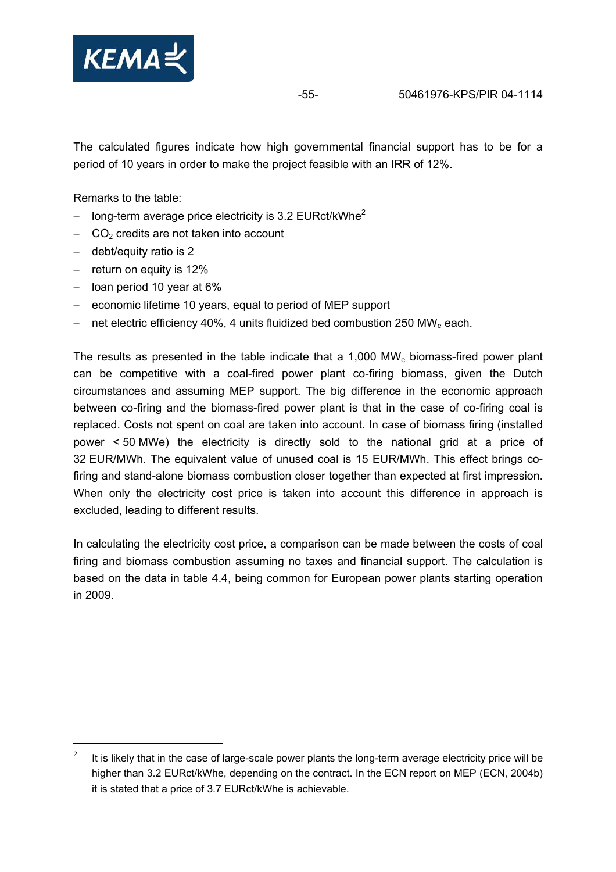

The calculated figures indicate how high governmental financial support has to be for a period of 10 years in order to make the project feasible with an IRR of 12%.

Remarks to the table:

- long-term average price electricity is 3.2 EURct/kWhe<sup>2</sup>
- − CO2 credits are not taken into account
- − debt/equity ratio is 2

 $\overline{a}$ 

- − return on equity is 12%
- − loan period 10 year at 6%
- − economic lifetime 10 years, equal to period of MEP support
- net electric efficiency 40%, 4 units fluidized bed combustion 250 MW<sub>e</sub> each.

The results as presented in the table indicate that a  $1,000$  MW<sub>e</sub> biomass-fired power plant can be competitive with a coal-fired power plant co-firing biomass, given the Dutch circumstances and assuming MEP support. The big difference in the economic approach between co-firing and the biomass-fired power plant is that in the case of co-firing coal is replaced. Costs not spent on coal are taken into account. In case of biomass firing (installed power < 50 MWe) the electricity is directly sold to the national grid at a price of 32 EUR/MWh. The equivalent value of unused coal is 15 EUR/MWh. This effect brings cofiring and stand-alone biomass combustion closer together than expected at first impression. When only the electricity cost price is taken into account this difference in approach is excluded, leading to different results.

In calculating the electricity cost price, a comparison can be made between the costs of coal firing and biomass combustion assuming no taxes and financial support. The calculation is based on the data in table 4.4, being common for European power plants starting operation in 2009.

<sup>2</sup> It is likely that in the case of large-scale power plants the long-term average electricity price will be higher than 3.2 EURct/kWhe, depending on the contract. In the ECN report on MEP (ECN, 2004b) it is stated that a price of 3.7 EURct/kWhe is achievable.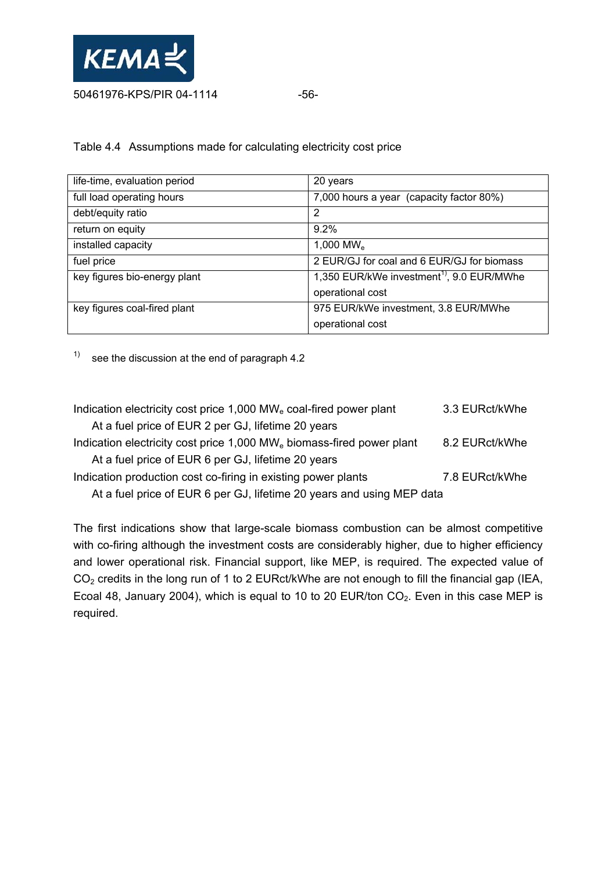

Table 4.4 Assumptions made for calculating electricity cost price

| life-time, evaluation period | 20 years                                              |
|------------------------------|-------------------------------------------------------|
| full load operating hours    | 7,000 hours a year (capacity factor 80%)              |
| debt/equity ratio            | $\overline{2}$                                        |
| return on equity             | $9.2\%$                                               |
| installed capacity           | 1,000 MW $_{\rm e}$                                   |
| fuel price                   | 2 EUR/GJ for coal and 6 EUR/GJ for biomass            |
| key figures bio-energy plant | 1,350 EUR/kWe investment <sup>1)</sup> , 9.0 EUR/MWhe |
|                              | operational cost                                      |
| key figures coal-fired plant | 975 EUR/kWe investment, 3.8 EUR/MWhe                  |
|                              | operational cost                                      |

 $1)$  see the discussion at the end of paragraph 4.2

| Indication electricity cost price 1,000 MW <sub>e</sub> coal-fired power plant    | 3.3 EURct/kWhe |
|-----------------------------------------------------------------------------------|----------------|
| At a fuel price of EUR 2 per GJ, lifetime 20 years                                |                |
| Indication electricity cost price 1,000 MW <sub>e</sub> biomass-fired power plant | 8.2 EURct/kWhe |
| At a fuel price of EUR 6 per GJ, lifetime 20 years                                |                |
| Indication production cost co-firing in existing power plants                     | 7.8 EURct/kWhe |
| At a fuel price of EUR 6 per GJ, lifetime 20 years and using MEP data             |                |

The first indications show that large-scale biomass combustion can be almost competitive with co-firing although the investment costs are considerably higher, due to higher efficiency and lower operational risk. Financial support, like MEP, is required. The expected value of  $CO<sub>2</sub>$  credits in the long run of 1 to 2 EURct/kWhe are not enough to fill the financial gap (IEA, Ecoal 48, January 2004), which is equal to 10 to 20 EUR/ton  $CO<sub>2</sub>$ . Even in this case MEP is required.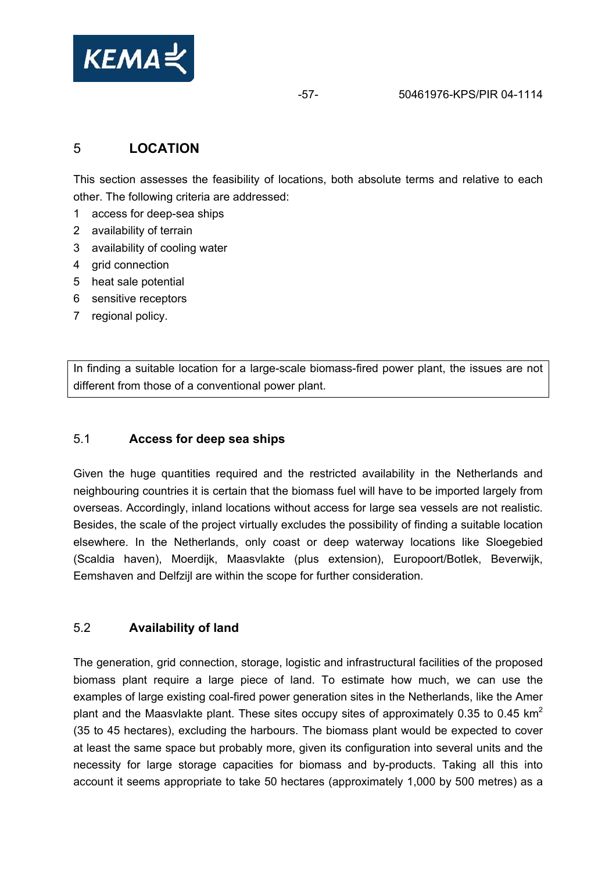

# 5 **LOCATION**

This section assesses the feasibility of locations, both absolute terms and relative to each other. The following criteria are addressed:

- 1 access for deep-sea ships
- 2 availability of terrain
- 3 availability of cooling water
- 4 grid connection
- 5 heat sale potential
- 6 sensitive receptors
- 7 regional policy.

In finding a suitable location for a large-scale biomass-fired power plant, the issues are not different from those of a conventional power plant.

## 5.1 **Access for deep sea ships**

Given the huge quantities required and the restricted availability in the Netherlands and neighbouring countries it is certain that the biomass fuel will have to be imported largely from overseas. Accordingly, inland locations without access for large sea vessels are not realistic. Besides, the scale of the project virtually excludes the possibility of finding a suitable location elsewhere. In the Netherlands, only coast or deep waterway locations like Sloegebied (Scaldia haven), Moerdijk, Maasvlakte (plus extension), Europoort/Botlek, Beverwijk, Eemshaven and Delfzijl are within the scope for further consideration.

## 5.2 **Availability of land**

The generation, grid connection, storage, logistic and infrastructural facilities of the proposed biomass plant require a large piece of land. To estimate how much, we can use the examples of large existing coal-fired power generation sites in the Netherlands, like the Amer plant and the Maasvlakte plant. These sites occupy sites of approximately 0.35 to 0.45 km<sup>2</sup> (35 to 45 hectares), excluding the harbours. The biomass plant would be expected to cover at least the same space but probably more, given its configuration into several units and the necessity for large storage capacities for biomass and by-products. Taking all this into account it seems appropriate to take 50 hectares (approximately 1,000 by 500 metres) as a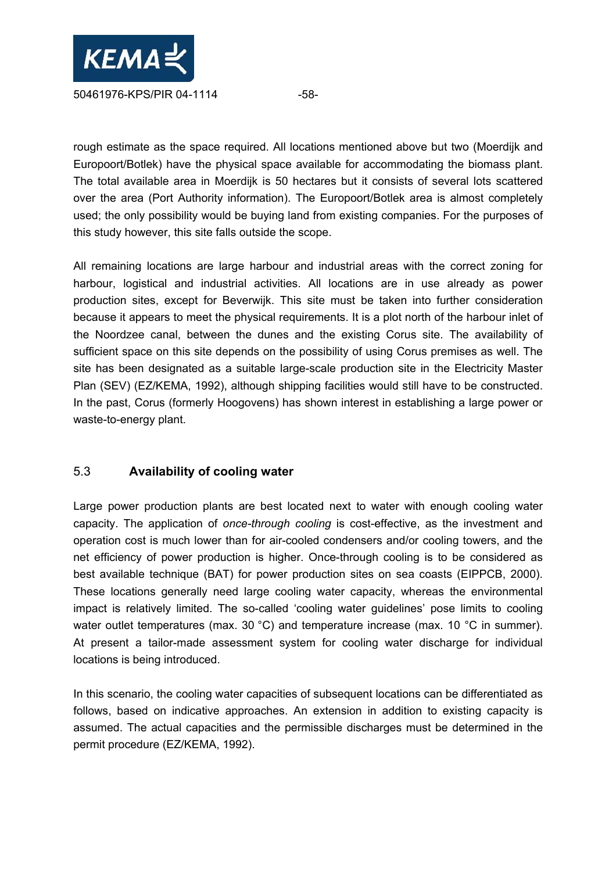

rough estimate as the space required. All locations mentioned above but two (Moerdijk and Europoort/Botlek) have the physical space available for accommodating the biomass plant. The total available area in Moerdijk is 50 hectares but it consists of several lots scattered over the area (Port Authority information). The Europoort/Botlek area is almost completely used; the only possibility would be buying land from existing companies. For the purposes of this study however, this site falls outside the scope.

All remaining locations are large harbour and industrial areas with the correct zoning for harbour, logistical and industrial activities. All locations are in use already as power production sites, except for Beverwijk. This site must be taken into further consideration because it appears to meet the physical requirements. It is a plot north of the harbour inlet of the Noordzee canal, between the dunes and the existing Corus site. The availability of sufficient space on this site depends on the possibility of using Corus premises as well. The site has been designated as a suitable large-scale production site in the Electricity Master Plan (SEV) (EZ/KEMA, 1992), although shipping facilities would still have to be constructed. In the past, Corus (formerly Hoogovens) has shown interest in establishing a large power or waste-to-energy plant.

## 5.3 **Availability of cooling water**

Large power production plants are best located next to water with enough cooling water capacity. The application of *once-through cooling* is cost-effective, as the investment and operation cost is much lower than for air-cooled condensers and/or cooling towers, and the net efficiency of power production is higher. Once-through cooling is to be considered as best available technique (BAT) for power production sites on sea coasts (EIPPCB, 2000). These locations generally need large cooling water capacity, whereas the environmental impact is relatively limited. The so-called 'cooling water guidelines' pose limits to cooling water outlet temperatures (max. 30 °C) and temperature increase (max. 10 °C in summer). At present a tailor-made assessment system for cooling water discharge for individual locations is being introduced.

In this scenario, the cooling water capacities of subsequent locations can be differentiated as follows, based on indicative approaches. An extension in addition to existing capacity is assumed. The actual capacities and the permissible discharges must be determined in the permit procedure (EZ/KEMA, 1992).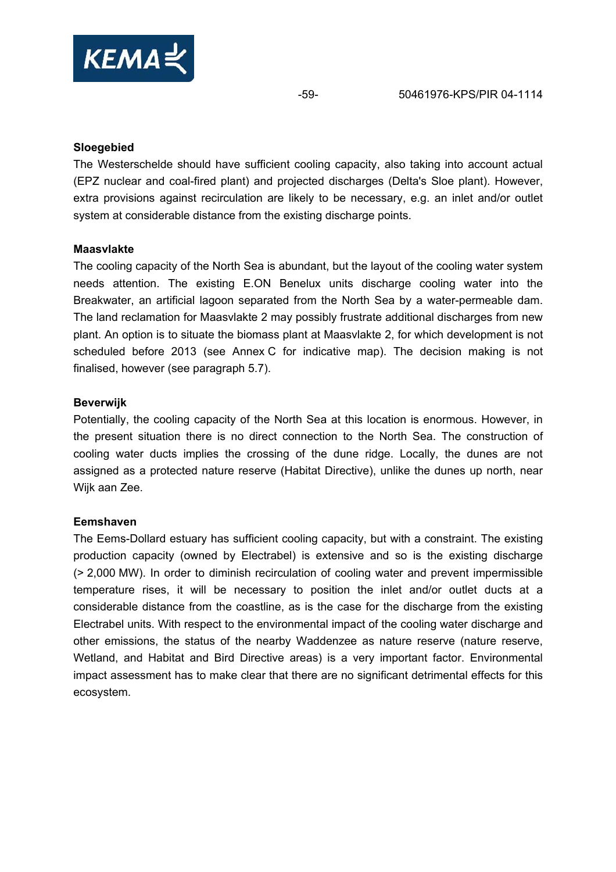

#### **Sloegebied**

The Westerschelde should have sufficient cooling capacity, also taking into account actual (EPZ nuclear and coal-fired plant) and projected discharges (Delta's Sloe plant). However, extra provisions against recirculation are likely to be necessary, e.g. an inlet and/or outlet system at considerable distance from the existing discharge points.

#### **Maasvlakte**

The cooling capacity of the North Sea is abundant, but the layout of the cooling water system needs attention. The existing E.ON Benelux units discharge cooling water into the Breakwater, an artificial lagoon separated from the North Sea by a water-permeable dam. The land reclamation for Maasvlakte 2 may possibly frustrate additional discharges from new plant. An option is to situate the biomass plant at Maasvlakte 2, for which development is not scheduled before 2013 (see Annex C for indicative map). The decision making is not finalised, however (see paragraph 5.7).

#### **Beverwijk**

Potentially, the cooling capacity of the North Sea at this location is enormous. However, in the present situation there is no direct connection to the North Sea. The construction of cooling water ducts implies the crossing of the dune ridge. Locally, the dunes are not assigned as a protected nature reserve (Habitat Directive), unlike the dunes up north, near Wijk aan Zee.

## **Eemshaven**

The Eems-Dollard estuary has sufficient cooling capacity, but with a constraint. The existing production capacity (owned by Electrabel) is extensive and so is the existing discharge (> 2,000 MW). In order to diminish recirculation of cooling water and prevent impermissible temperature rises, it will be necessary to position the inlet and/or outlet ducts at a considerable distance from the coastline, as is the case for the discharge from the existing Electrabel units. With respect to the environmental impact of the cooling water discharge and other emissions, the status of the nearby Waddenzee as nature reserve (nature reserve, Wetland, and Habitat and Bird Directive areas) is a very important factor. Environmental impact assessment has to make clear that there are no significant detrimental effects for this ecosystem.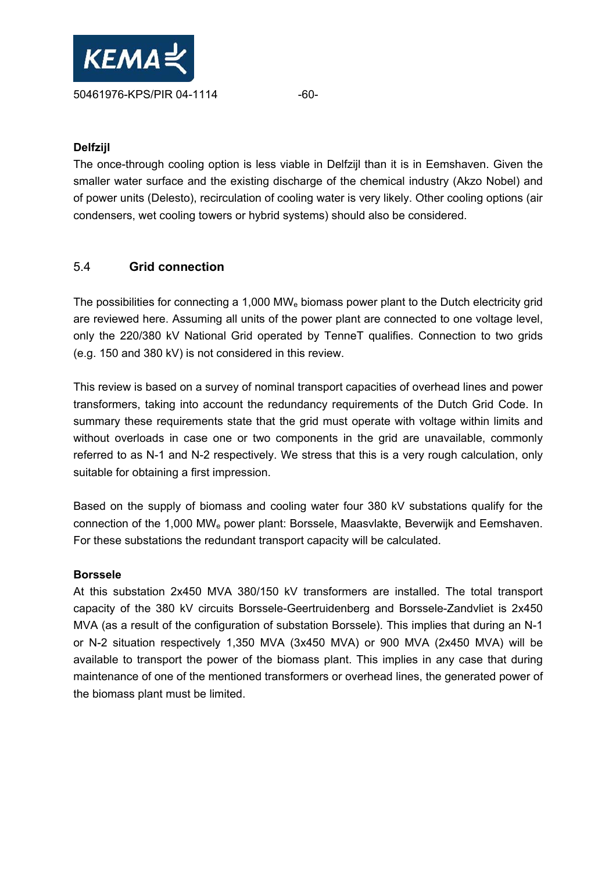

## **Delfzijl**

The once-through cooling option is less viable in Delfzijl than it is in Eemshaven. Given the smaller water surface and the existing discharge of the chemical industry (Akzo Nobel) and of power units (Delesto), recirculation of cooling water is very likely. Other cooling options (air condensers, wet cooling towers or hybrid systems) should also be considered.

## 5.4 **Grid connection**

The possibilities for connecting a 1,000 MW<sub>e</sub> biomass power plant to the Dutch electricity grid are reviewed here. Assuming all units of the power plant are connected to one voltage level, only the 220/380 kV National Grid operated by TenneT qualifies. Connection to two grids (e.g. 150 and 380 kV) is not considered in this review.

This review is based on a survey of nominal transport capacities of overhead lines and power transformers, taking into account the redundancy requirements of the Dutch Grid Code. In summary these requirements state that the grid must operate with voltage within limits and without overloads in case one or two components in the grid are unavailable, commonly referred to as N-1 and N-2 respectively. We stress that this is a very rough calculation, only suitable for obtaining a first impression.

Based on the supply of biomass and cooling water four 380 kV substations qualify for the connection of the 1,000 MWe power plant: Borssele, Maasvlakte, Beverwijk and Eemshaven. For these substations the redundant transport capacity will be calculated.

#### **Borssele**

At this substation 2x450 MVA 380/150 kV transformers are installed. The total transport capacity of the 380 kV circuits Borssele-Geertruidenberg and Borssele-Zandvliet is 2x450 MVA (as a result of the configuration of substation Borssele). This implies that during an N-1 or N-2 situation respectively 1,350 MVA (3x450 MVA) or 900 MVA (2x450 MVA) will be available to transport the power of the biomass plant. This implies in any case that during maintenance of one of the mentioned transformers or overhead lines, the generated power of the biomass plant must be limited.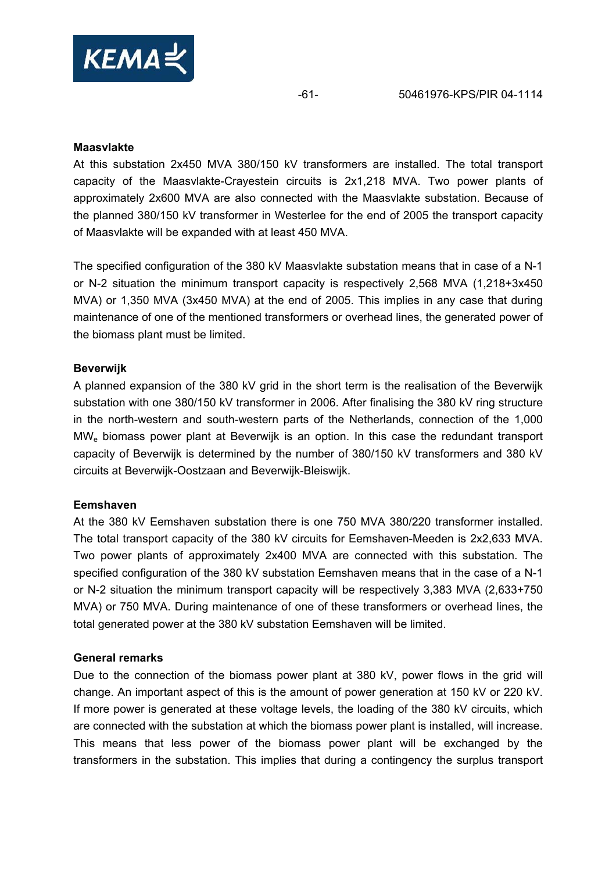

#### **Maasvlakte**

At this substation 2x450 MVA 380/150 kV transformers are installed. The total transport capacity of the Maasvlakte-Crayestein circuits is 2x1,218 MVA. Two power plants of approximately 2x600 MVA are also connected with the Maasvlakte substation. Because of the planned 380/150 kV transformer in Westerlee for the end of 2005 the transport capacity of Maasvlakte will be expanded with at least 450 MVA.

The specified configuration of the 380 kV Maasvlakte substation means that in case of a N-1 or N-2 situation the minimum transport capacity is respectively 2,568 MVA (1,218+3x450 MVA) or 1,350 MVA (3x450 MVA) at the end of 2005. This implies in any case that during maintenance of one of the mentioned transformers or overhead lines, the generated power of the biomass plant must be limited.

#### **Beverwijk**

A planned expansion of the 380 kV grid in the short term is the realisation of the Beverwijk substation with one 380/150 kV transformer in 2006. After finalising the 380 kV ring structure in the north-western and south-western parts of the Netherlands, connection of the 1,000 MWe biomass power plant at Beverwijk is an option. In this case the redundant transport capacity of Beverwijk is determined by the number of 380/150 kV transformers and 380 kV circuits at Beverwijk-Oostzaan and Beverwijk-Bleiswijk.

#### **Eemshaven**

At the 380 kV Eemshaven substation there is one 750 MVA 380/220 transformer installed. The total transport capacity of the 380 kV circuits for Eemshaven-Meeden is 2x2,633 MVA. Two power plants of approximately 2x400 MVA are connected with this substation. The specified configuration of the 380 kV substation Eemshaven means that in the case of a N-1 or N-2 situation the minimum transport capacity will be respectively 3,383 MVA (2,633+750 MVA) or 750 MVA. During maintenance of one of these transformers or overhead lines, the total generated power at the 380 kV substation Eemshaven will be limited.

#### **General remarks**

Due to the connection of the biomass power plant at 380 kV, power flows in the grid will change. An important aspect of this is the amount of power generation at 150 kV or 220 kV. If more power is generated at these voltage levels, the loading of the 380 kV circuits, which are connected with the substation at which the biomass power plant is installed, will increase. This means that less power of the biomass power plant will be exchanged by the transformers in the substation. This implies that during a contingency the surplus transport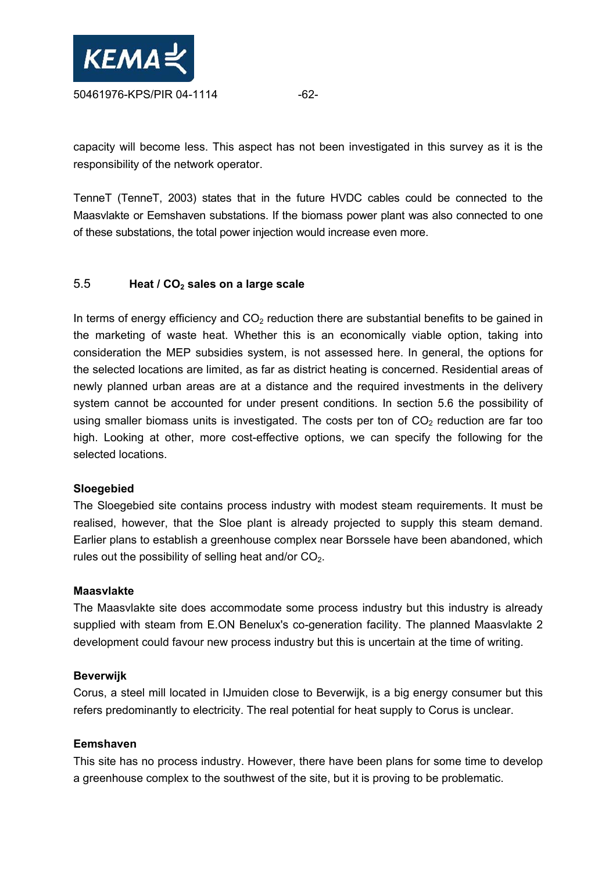

capacity will become less. This aspect has not been investigated in this survey as it is the responsibility of the network operator.

TenneT (TenneT, 2003) states that in the future HVDC cables could be connected to the Maasvlakte or Eemshaven substations. If the biomass power plant was also connected to one of these substations, the total power injection would increase even more.

## 5.5 **Heat / CO2 sales on a large scale**

In terms of energy efficiency and  $CO<sub>2</sub>$  reduction there are substantial benefits to be gained in the marketing of waste heat. Whether this is an economically viable option, taking into consideration the MEP subsidies system, is not assessed here. In general, the options for the selected locations are limited, as far as district heating is concerned. Residential areas of newly planned urban areas are at a distance and the required investments in the delivery system cannot be accounted for under present conditions. In section 5.6 the possibility of using smaller biomass units is investigated. The costs per ton of  $CO<sub>2</sub>$  reduction are far too high. Looking at other, more cost-effective options, we can specify the following for the selected locations.

## **Sloegebied**

The Sloegebied site contains process industry with modest steam requirements. It must be realised, however, that the Sloe plant is already projected to supply this steam demand. Earlier plans to establish a greenhouse complex near Borssele have been abandoned, which rules out the possibility of selling heat and/or  $CO<sub>2</sub>$ .

#### **Maasvlakte**

The Maasvlakte site does accommodate some process industry but this industry is already supplied with steam from E.ON Benelux's co-generation facility. The planned Maasvlakte 2 development could favour new process industry but this is uncertain at the time of writing.

#### **Beverwijk**

Corus, a steel mill located in IJmuiden close to Beverwijk, is a big energy consumer but this refers predominantly to electricity. The real potential for heat supply to Corus is unclear.

## **Eemshaven**

This site has no process industry. However, there have been plans for some time to develop a greenhouse complex to the southwest of the site, but it is proving to be problematic.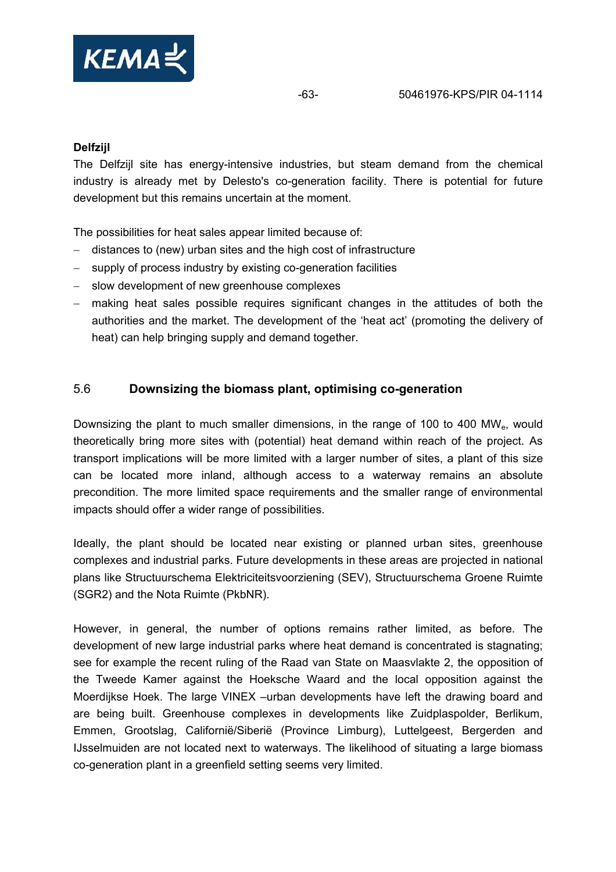

### **Delfzijl**

The Delfzijl site has energy-intensive industries, but steam demand from the chemical industry is already met by Delesto's co-generation facility. There is potential for future development but this remains uncertain at the moment.

The possibilities for heat sales appear limited because of:

- − distances to (new) urban sites and the high cost of infrastructure
- − supply of process industry by existing co-generation facilities
- − slow development of new greenhouse complexes
- − making heat sales possible requires significant changes in the attitudes of both the authorities and the market. The development of the 'heat act' (promoting the delivery of heat) can help bringing supply and demand together.

## 5.6 **Downsizing the biomass plant, optimising co-generation**

Downsizing the plant to much smaller dimensions, in the range of 100 to 400 MW<sub>e</sub>, would theoretically bring more sites with (potential) heat demand within reach of the project. As transport implications will be more limited with a larger number of sites, a plant of this size can be located more inland, although access to a waterway remains an absolute precondition. The more limited space requirements and the smaller range of environmental impacts should offer a wider range of possibilities.

Ideally, the plant should be located near existing or planned urban sites, greenhouse complexes and industrial parks. Future developments in these areas are projected in national plans like Structuurschema Elektriciteitsvoorziening (SEV), Structuurschema Groene Ruimte (SGR2) and the Nota Ruimte (PkbNR).

However, in general, the number of options remains rather limited, as before. The development of new large industrial parks where heat demand is concentrated is stagnating; see for example the recent ruling of the Raad van State on Maasvlakte 2, the opposition of the Tweede Kamer against the Hoeksche Waard and the local opposition against the Moerdijkse Hoek. The large VINEX –urban developments have left the drawing board and are being built. Greenhouse complexes in developments like Zuidplaspolder, Berlikum, Emmen, Grootslag, Californië/Siberië (Province Limburg), Luttelgeest, Bergerden and IJsselmuiden are not located next to waterways. The likelihood of situating a large biomass co-generation plant in a greenfield setting seems very limited.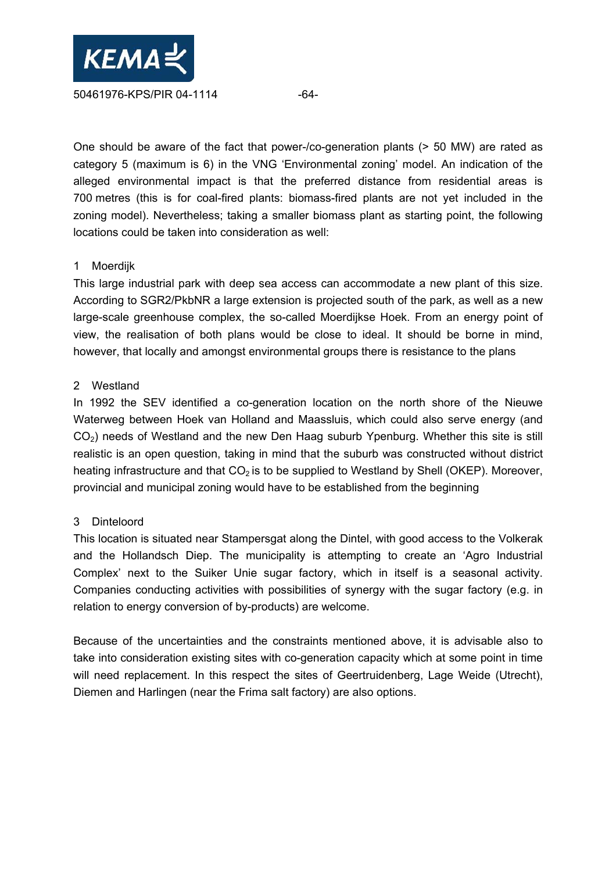

One should be aware of the fact that power-/co-generation plants (> 50 MW) are rated as category 5 (maximum is 6) in the VNG 'Environmental zoning' model. An indication of the alleged environmental impact is that the preferred distance from residential areas is 700 metres (this is for coal-fired plants: biomass-fired plants are not yet included in the zoning model). Nevertheless; taking a smaller biomass plant as starting point, the following locations could be taken into consideration as well:

#### 1 Moerdijk

This large industrial park with deep sea access can accommodate a new plant of this size. According to SGR2/PkbNR a large extension is projected south of the park, as well as a new large-scale greenhouse complex, the so-called Moerdijkse Hoek. From an energy point of view, the realisation of both plans would be close to ideal. It should be borne in mind, however, that locally and amongst environmental groups there is resistance to the plans

#### 2 Westland

In 1992 the SEV identified a co-generation location on the north shore of the Nieuwe Waterweg between Hoek van Holland and Maassluis, which could also serve energy (and CO<sub>2</sub>) needs of Westland and the new Den Haag suburb Ypenburg. Whether this site is still realistic is an open question, taking in mind that the suburb was constructed without district heating infrastructure and that  $CO<sub>2</sub>$  is to be supplied to Westland by Shell (OKEP). Moreover, provincial and municipal zoning would have to be established from the beginning

## 3 Dinteloord

This location is situated near Stampersgat along the Dintel, with good access to the Volkerak and the Hollandsch Diep. The municipality is attempting to create an 'Agro Industrial Complex' next to the Suiker Unie sugar factory, which in itself is a seasonal activity. Companies conducting activities with possibilities of synergy with the sugar factory (e.g. in relation to energy conversion of by-products) are welcome.

Because of the uncertainties and the constraints mentioned above, it is advisable also to take into consideration existing sites with co-generation capacity which at some point in time will need replacement. In this respect the sites of Geertruidenberg, Lage Weide (Utrecht), Diemen and Harlingen (near the Frima salt factory) are also options.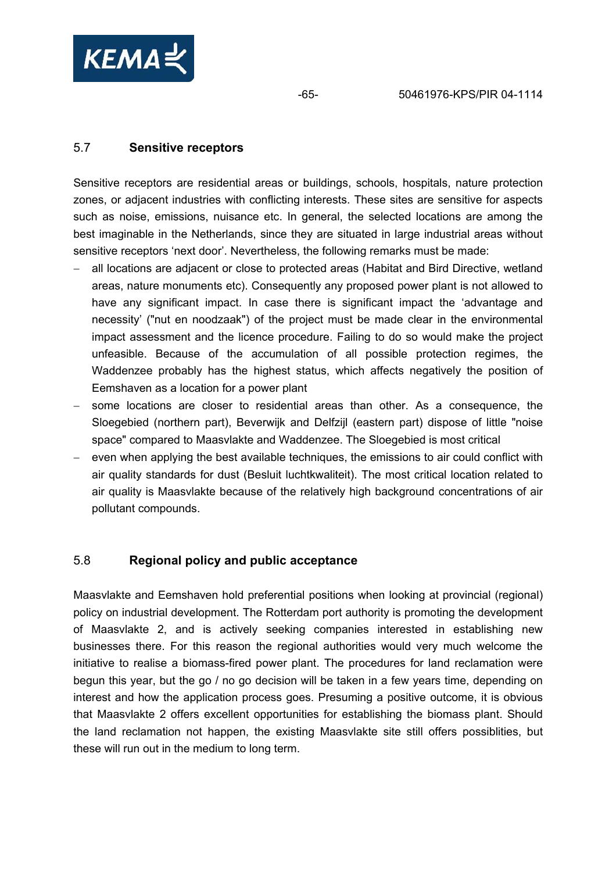

## 5.7 **Sensitive receptors**

Sensitive receptors are residential areas or buildings, schools, hospitals, nature protection zones, or adjacent industries with conflicting interests. These sites are sensitive for aspects such as noise, emissions, nuisance etc. In general, the selected locations are among the best imaginable in the Netherlands, since they are situated in large industrial areas without sensitive receptors 'next door'. Nevertheless, the following remarks must be made:

- all locations are adjacent or close to protected areas (Habitat and Bird Directive, wetland areas, nature monuments etc). Consequently any proposed power plant is not allowed to have any significant impact. In case there is significant impact the 'advantage and necessity' ("nut en noodzaak") of the project must be made clear in the environmental impact assessment and the licence procedure. Failing to do so would make the project unfeasible. Because of the accumulation of all possible protection regimes, the Waddenzee probably has the highest status, which affects negatively the position of Eemshaven as a location for a power plant
- some locations are closer to residential areas than other. As a consequence, the Sloegebied (northern part), Beverwijk and Delfzijl (eastern part) dispose of little "noise space" compared to Maasvlakte and Waddenzee. The Sloegebied is most critical
- − even when applying the best available techniques, the emissions to air could conflict with air quality standards for dust (Besluit luchtkwaliteit). The most critical location related to air quality is Maasvlakte because of the relatively high background concentrations of air pollutant compounds.

## 5.8 **Regional policy and public acceptance**

Maasvlakte and Eemshaven hold preferential positions when looking at provincial (regional) policy on industrial development. The Rotterdam port authority is promoting the development of Maasvlakte 2, and is actively seeking companies interested in establishing new businesses there. For this reason the regional authorities would very much welcome the initiative to realise a biomass-fired power plant. The procedures for land reclamation were begun this year, but the go / no go decision will be taken in a few years time, depending on interest and how the application process goes. Presuming a positive outcome, it is obvious that Maasvlakte 2 offers excellent opportunities for establishing the biomass plant. Should the land reclamation not happen, the existing Maasvlakte site still offers possiblities, but these will run out in the medium to long term.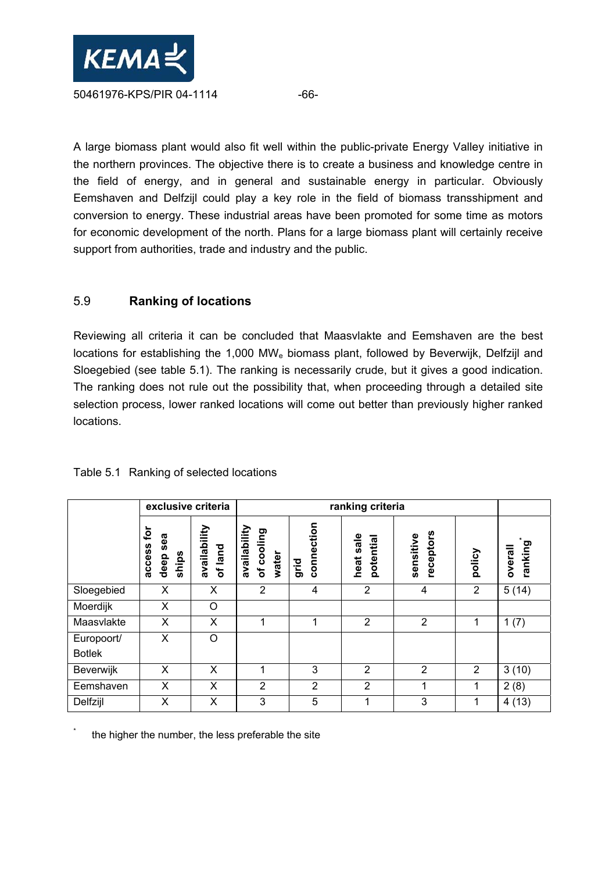

A large biomass plant would also fit well within the public-private Energy Valley initiative in the northern provinces. The objective there is to create a business and knowledge centre in the field of energy, and in general and sustainable energy in particular. Obviously Eemshaven and Delfzijl could play a key role in the field of biomass transshipment and conversion to energy. These industrial areas have been promoted for some time as motors for economic development of the north. Plans for a large biomass plant will certainly receive support from authorities, trade and industry and the public.

## 5.9 **Ranking of locations**

Reviewing all criteria it can be concluded that Maasvlakte and Eemshaven are the best locations for establishing the 1,000 MW<sub>e</sub> biomass plant, followed by Beverwijk, Delfzijl and Sloegebied (see table 5.1). The ranking is necessarily crude, but it gives a good indication. The ranking does not rule out the possibility that, when proceeding through a detailed site selection process, lower ranked locations will come out better than previously higher ranked locations.

|                             | exclusive criteria                                     |                         | ranking criteria                    |                    |                              |                        |                |                    |
|-----------------------------|--------------------------------------------------------|-------------------------|-------------------------------------|--------------------|------------------------------|------------------------|----------------|--------------------|
|                             | $\mathbf{\tilde{p}}$<br>sea<br>access<br>ships<br>deep | availability<br>of land | availability<br>of cooling<br>water | connection<br>grid | $s$ ale<br>potential<br>heat | receptors<br>sensitive | policy         | ranking<br>overall |
| Sloegebied                  | X                                                      | X                       | $\overline{2}$                      | 4                  | $\overline{2}$               | 4                      | $\overline{2}$ | 5(14)              |
| Moerdijk                    | X                                                      | $\circ$                 |                                     |                    |                              |                        |                |                    |
| Maasvlakte                  | X                                                      | X                       | 1                                   | 1                  | $\overline{2}$               | $\overline{2}$         | 1              | 1(7)               |
| Europoort/<br><b>Botlek</b> | X                                                      | $\circ$                 |                                     |                    |                              |                        |                |                    |
| Beverwijk                   | X                                                      | X                       | 1                                   | 3                  | $\overline{2}$               | $\overline{2}$         | 2              | 3(10)              |
| Eemshaven                   | X                                                      | X                       | $\overline{2}$                      | $\overline{2}$     | $\overline{2}$               | 1                      |                | 2(8)               |
| Delfzijl                    | Х                                                      | X                       | 3                                   | 5                  | 1                            | 3                      | 1              | 4(13)              |

## Table 5.1 Ranking of selected locations

\* the higher the number, the less preferable the site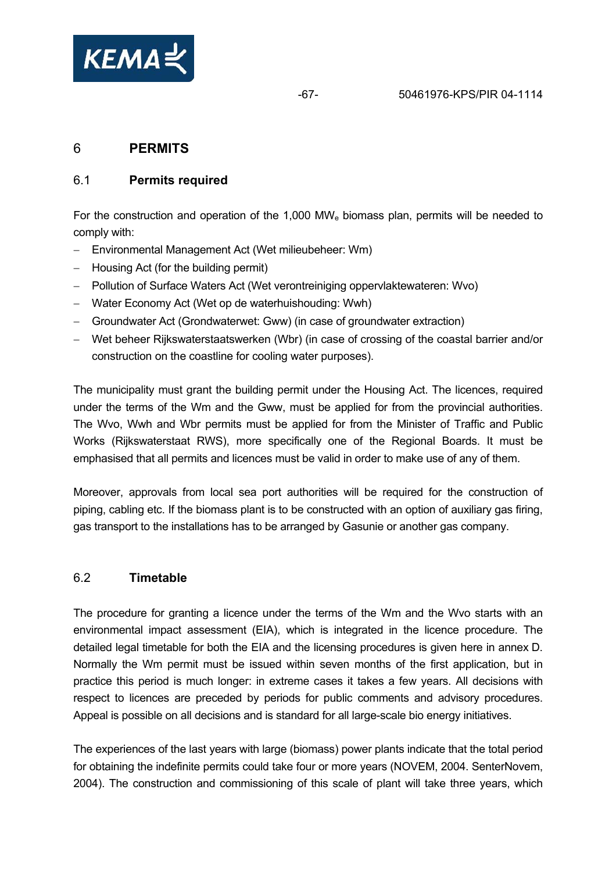

# 6 **PERMITS**

## 6.1 **Permits required**

For the construction and operation of the 1,000 MW<sub>e</sub> biomass plan, permits will be needed to comply with:

- − Environmental Management Act (Wet milieubeheer: Wm)
- − Housing Act (for the building permit)
- − Pollution of Surface Waters Act (Wet verontreiniging oppervlaktewateren: Wvo)
- − Water Economy Act (Wet op de waterhuishouding: Wwh)
- − Groundwater Act (Grondwaterwet: Gww) (in case of groundwater extraction)
- − Wet beheer Rijkswaterstaatswerken (Wbr) (in case of crossing of the coastal barrier and/or construction on the coastline for cooling water purposes).

The municipality must grant the building permit under the Housing Act. The licences, required under the terms of the Wm and the Gww, must be applied for from the provincial authorities. The Wvo, Wwh and Wbr permits must be applied for from the Minister of Traffic and Public Works (Rijkswaterstaat RWS), more specifically one of the Regional Boards. It must be emphasised that all permits and licences must be valid in order to make use of any of them.

Moreover, approvals from local sea port authorities will be required for the construction of piping, cabling etc. If the biomass plant is to be constructed with an option of auxiliary gas firing, gas transport to the installations has to be arranged by Gasunie or another gas company.

## 6.2 **Timetable**

The procedure for granting a licence under the terms of the Wm and the Wvo starts with an environmental impact assessment (EIA), which is integrated in the licence procedure. The detailed legal timetable for both the EIA and the licensing procedures is given here in annex D. Normally the Wm permit must be issued within seven months of the first application, but in practice this period is much longer: in extreme cases it takes a few years. All decisions with respect to licences are preceded by periods for public comments and advisory procedures. Appeal is possible on all decisions and is standard for all large-scale bio energy initiatives.

The experiences of the last years with large (biomass) power plants indicate that the total period for obtaining the indefinite permits could take four or more years (NOVEM, 2004. SenterNovem, 2004). The construction and commissioning of this scale of plant will take three years, which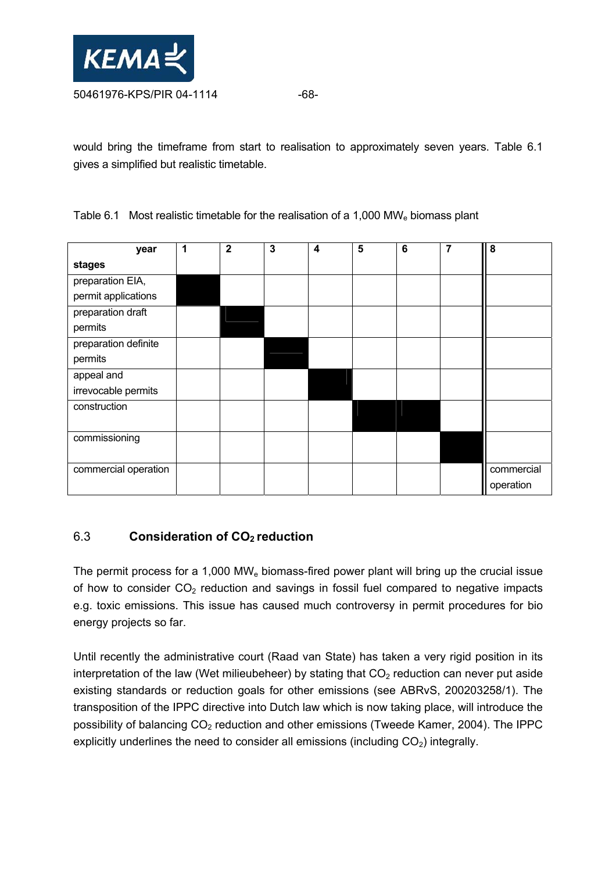

would bring the timeframe from start to realisation to approximately seven years. Table 6.1 gives a simplified but realistic timetable.

Table 6.1 Most realistic timetable for the realisation of a 1,000 MW<sub>e</sub> biomass plant

| year                 | 1 | $\mathbf{2}$ | $\mathbf{3}$ | $\boldsymbol{4}$ | 5 | $6\phantom{1}6$ | 7 | 8          |
|----------------------|---|--------------|--------------|------------------|---|-----------------|---|------------|
| stages               |   |              |              |                  |   |                 |   |            |
| preparation EIA,     |   |              |              |                  |   |                 |   |            |
| permit applications  |   |              |              |                  |   |                 |   |            |
| preparation draft    |   |              |              |                  |   |                 |   |            |
| permits              |   |              |              |                  |   |                 |   |            |
| preparation definite |   |              |              |                  |   |                 |   |            |
| permits              |   |              |              |                  |   |                 |   |            |
| appeal and           |   |              |              |                  |   |                 |   |            |
| irrevocable permits  |   |              |              |                  |   |                 |   |            |
| construction         |   |              |              |                  |   |                 |   |            |
|                      |   |              |              |                  |   |                 |   |            |
| commissioning        |   |              |              |                  |   |                 |   |            |
|                      |   |              |              |                  |   |                 |   |            |
| commercial operation |   |              |              |                  |   |                 |   | commercial |
|                      |   |              |              |                  |   |                 |   | operation  |

## 6.3 **Consideration of CO2 reduction**

The permit process for a 1,000 MW<sub>e</sub> biomass-fired power plant will bring up the crucial issue of how to consider  $CO<sub>2</sub>$  reduction and savings in fossil fuel compared to negative impacts e.g. toxic emissions. This issue has caused much controversy in permit procedures for bio energy projects so far.

Until recently the administrative court (Raad van State) has taken a very rigid position in its interpretation of the law (Wet milieubeheer) by stating that  $CO<sub>2</sub>$  reduction can never put aside existing standards or reduction goals for other emissions (see ABRvS, 200203258/1). The transposition of the IPPC directive into Dutch law which is now taking place, will introduce the possibility of balancing  $CO<sub>2</sub>$  reduction and other emissions (Tweede Kamer, 2004). The IPPC explicitly underlines the need to consider all emissions (including  $CO<sub>2</sub>$ ) integrally.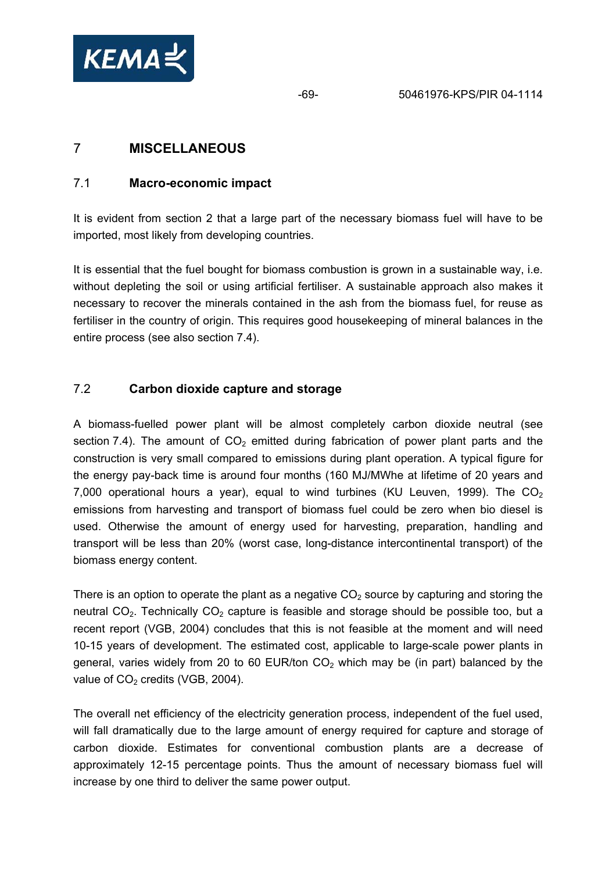

# 7 **MISCELLANEOUS**

## 7.1 **Macro-economic impact**

It is evident from section 2 that a large part of the necessary biomass fuel will have to be imported, most likely from developing countries.

It is essential that the fuel bought for biomass combustion is grown in a sustainable way, i.e. without depleting the soil or using artificial fertiliser. A sustainable approach also makes it necessary to recover the minerals contained in the ash from the biomass fuel, for reuse as fertiliser in the country of origin. This requires good housekeeping of mineral balances in the entire process (see also section 7.4).

## 7.2 **Carbon dioxide capture and storage**

A biomass-fuelled power plant will be almost completely carbon dioxide neutral (see section 7.4). The amount of  $CO<sub>2</sub>$  emitted during fabrication of power plant parts and the construction is very small compared to emissions during plant operation. A typical figure for the energy pay-back time is around four months (160 MJ/MWhe at lifetime of 20 years and 7,000 operational hours a year), equal to wind turbines (KU Leuven, 1999). The  $CO<sub>2</sub>$ emissions from harvesting and transport of biomass fuel could be zero when bio diesel is used. Otherwise the amount of energy used for harvesting, preparation, handling and transport will be less than 20% (worst case, long-distance intercontinental transport) of the biomass energy content.

There is an option to operate the plant as a negative  $CO<sub>2</sub>$  source by capturing and storing the neutral  $CO<sub>2</sub>$ . Technically  $CO<sub>2</sub>$  capture is feasible and storage should be possible too, but a recent report (VGB, 2004) concludes that this is not feasible at the moment and will need 10-15 years of development. The estimated cost, applicable to large-scale power plants in general, varies widely from 20 to 60 EUR/ton  $CO<sub>2</sub>$  which may be (in part) balanced by the value of  $CO<sub>2</sub>$  credits (VGB, 2004).

The overall net efficiency of the electricity generation process, independent of the fuel used, will fall dramatically due to the large amount of energy required for capture and storage of carbon dioxide. Estimates for conventional combustion plants are a decrease of approximately 12-15 percentage points. Thus the amount of necessary biomass fuel will increase by one third to deliver the same power output.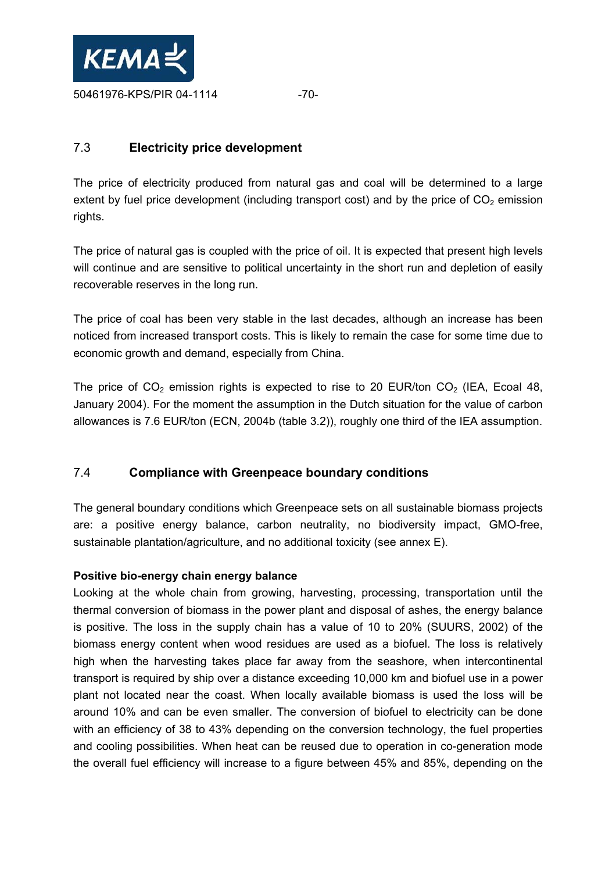

## 7.3 **Electricity price development**

The price of electricity produced from natural gas and coal will be determined to a large extent by fuel price development (including transport cost) and by the price of  $CO<sub>2</sub>$  emission rights.

The price of natural gas is coupled with the price of oil. It is expected that present high levels will continue and are sensitive to political uncertainty in the short run and depletion of easily recoverable reserves in the long run.

The price of coal has been very stable in the last decades, although an increase has been noticed from increased transport costs. This is likely to remain the case for some time due to economic growth and demand, especially from China.

The price of  $CO<sub>2</sub>$  emission rights is expected to rise to 20 EUR/ton  $CO<sub>2</sub>$  (IEA, Ecoal 48, January 2004). For the moment the assumption in the Dutch situation for the value of carbon allowances is 7.6 EUR/ton (ECN, 2004b (table 3.2)), roughly one third of the IEA assumption.

## 7.4 **Compliance with Greenpeace boundary conditions**

The general boundary conditions which Greenpeace sets on all sustainable biomass projects are: a positive energy balance, carbon neutrality, no biodiversity impact, GMO-free, sustainable plantation/agriculture, and no additional toxicity (see annex E).

## **Positive bio-energy chain energy balance**

Looking at the whole chain from growing, harvesting, processing, transportation until the thermal conversion of biomass in the power plant and disposal of ashes, the energy balance is positive. The loss in the supply chain has a value of 10 to 20% (SUURS, 2002) of the biomass energy content when wood residues are used as a biofuel. The loss is relatively high when the harvesting takes place far away from the seashore, when intercontinental transport is required by ship over a distance exceeding 10,000 km and biofuel use in a power plant not located near the coast. When locally available biomass is used the loss will be around 10% and can be even smaller. The conversion of biofuel to electricity can be done with an efficiency of 38 to 43% depending on the conversion technology, the fuel properties and cooling possibilities. When heat can be reused due to operation in co-generation mode the overall fuel efficiency will increase to a figure between 45% and 85%, depending on the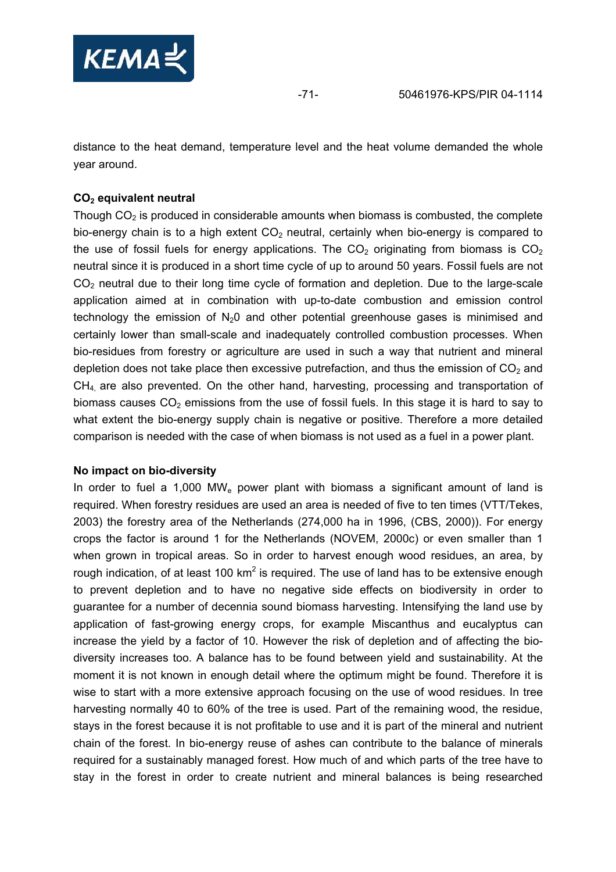

distance to the heat demand, temperature level and the heat volume demanded the whole year around.

## **CO2 equivalent neutral**

Though  $CO<sub>2</sub>$  is produced in considerable amounts when biomass is combusted, the complete bio-energy chain is to a high extent  $CO<sub>2</sub>$  neutral, certainly when bio-energy is compared to the use of fossil fuels for energy applications. The  $CO<sub>2</sub>$  originating from biomass is  $CO<sub>2</sub>$ neutral since it is produced in a short time cycle of up to around 50 years. Fossil fuels are not  $CO<sub>2</sub>$  neutral due to their long time cycle of formation and depletion. Due to the large-scale application aimed at in combination with up-to-date combustion and emission control technology the emission of  $N_2O$  and other potential greenhouse gases is minimised and certainly lower than small-scale and inadequately controlled combustion processes. When bio-residues from forestry or agriculture are used in such a way that nutrient and mineral depletion does not take place then excessive putrefaction, and thus the emission of  $CO<sub>2</sub>$  and  $CH<sub>4</sub>$  are also prevented. On the other hand, harvesting, processing and transportation of biomass causes  $CO<sub>2</sub>$  emissions from the use of fossil fuels. In this stage it is hard to say to what extent the bio-energy supply chain is negative or positive. Therefore a more detailed comparison is needed with the case of when biomass is not used as a fuel in a power plant.

## **No impact on bio-diversity**

In order to fuel a 1,000 MW<sub>e</sub> power plant with biomass a significant amount of land is required. When forestry residues are used an area is needed of five to ten times (VTT/Tekes, 2003) the forestry area of the Netherlands (274,000 ha in 1996, (CBS, 2000)). For energy crops the factor is around 1 for the Netherlands (NOVEM, 2000c) or even smaller than 1 when grown in tropical areas. So in order to harvest enough wood residues, an area, by rough indication, of at least 100 km<sup>2</sup> is required. The use of land has to be extensive enough to prevent depletion and to have no negative side effects on biodiversity in order to guarantee for a number of decennia sound biomass harvesting. Intensifying the land use by application of fast-growing energy crops, for example Miscanthus and eucalyptus can increase the yield by a factor of 10. However the risk of depletion and of affecting the biodiversity increases too. A balance has to be found between yield and sustainability. At the moment it is not known in enough detail where the optimum might be found. Therefore it is wise to start with a more extensive approach focusing on the use of wood residues. In tree harvesting normally 40 to 60% of the tree is used. Part of the remaining wood, the residue, stays in the forest because it is not profitable to use and it is part of the mineral and nutrient chain of the forest. In bio-energy reuse of ashes can contribute to the balance of minerals required for a sustainably managed forest. How much of and which parts of the tree have to stay in the forest in order to create nutrient and mineral balances is being researched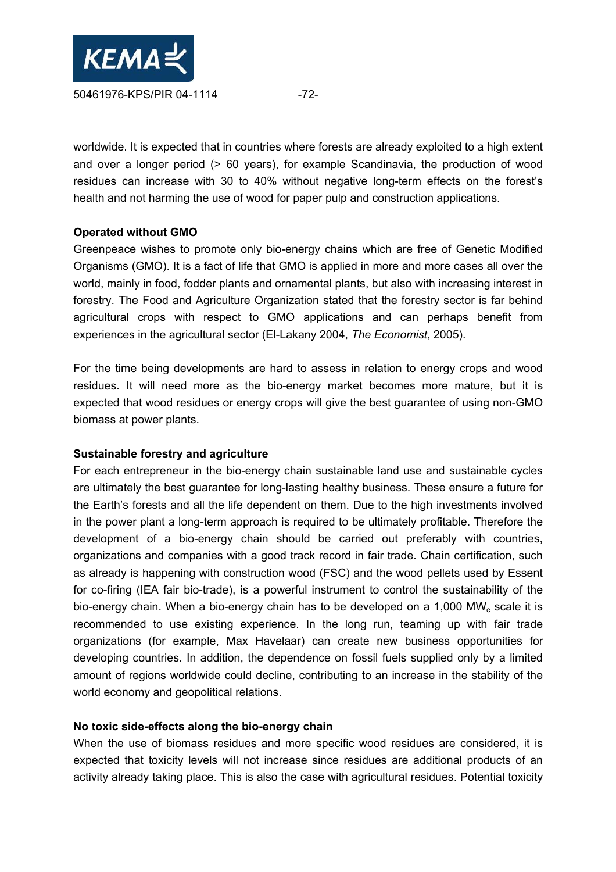

worldwide. It is expected that in countries where forests are already exploited to a high extent and over a longer period (> 60 years), for example Scandinavia, the production of wood residues can increase with 30 to 40% without negative long-term effects on the forest's health and not harming the use of wood for paper pulp and construction applications.

## **Operated without GMO**

Greenpeace wishes to promote only bio-energy chains which are free of Genetic Modified Organisms (GMO). It is a fact of life that GMO is applied in more and more cases all over the world, mainly in food, fodder plants and ornamental plants, but also with increasing interest in forestry. The Food and Agriculture Organization stated that the forestry sector is far behind agricultural crops with respect to GMO applications and can perhaps benefit from experiences in the agricultural sector (El-Lakany 2004, *The Economist*, 2005).

For the time being developments are hard to assess in relation to energy crops and wood residues. It will need more as the bio-energy market becomes more mature, but it is expected that wood residues or energy crops will give the best guarantee of using non-GMO biomass at power plants.

#### **Sustainable forestry and agriculture**

For each entrepreneur in the bio-energy chain sustainable land use and sustainable cycles are ultimately the best guarantee for long-lasting healthy business. These ensure a future for the Earth's forests and all the life dependent on them. Due to the high investments involved in the power plant a long-term approach is required to be ultimately profitable. Therefore the development of a bio-energy chain should be carried out preferably with countries, organizations and companies with a good track record in fair trade. Chain certification, such as already is happening with construction wood (FSC) and the wood pellets used by Essent for co-firing (IEA fair bio-trade), is a powerful instrument to control the sustainability of the bio-energy chain. When a bio-energy chain has to be developed on a  $1,000$  MW<sub>e</sub> scale it is recommended to use existing experience. In the long run, teaming up with fair trade organizations (for example, Max Havelaar) can create new business opportunities for developing countries. In addition, the dependence on fossil fuels supplied only by a limited amount of regions worldwide could decline, contributing to an increase in the stability of the world economy and geopolitical relations.

## **No toxic side-effects along the bio-energy chain**

When the use of biomass residues and more specific wood residues are considered, it is expected that toxicity levels will not increase since residues are additional products of an activity already taking place. This is also the case with agricultural residues. Potential toxicity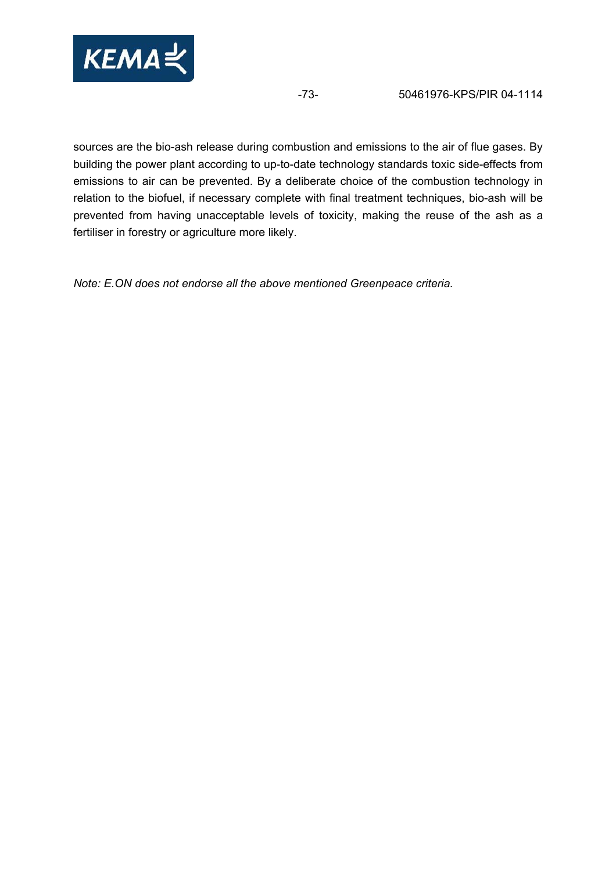

sources are the bio-ash release during combustion and emissions to the air of flue gases. By building the power plant according to up-to-date technology standards toxic side-effects from emissions to air can be prevented. By a deliberate choice of the combustion technology in relation to the biofuel, if necessary complete with final treatment techniques, bio-ash will be prevented from having unacceptable levels of toxicity, making the reuse of the ash as a fertiliser in forestry or agriculture more likely.

*Note: E.ON does not endorse all the above mentioned Greenpeace criteria.*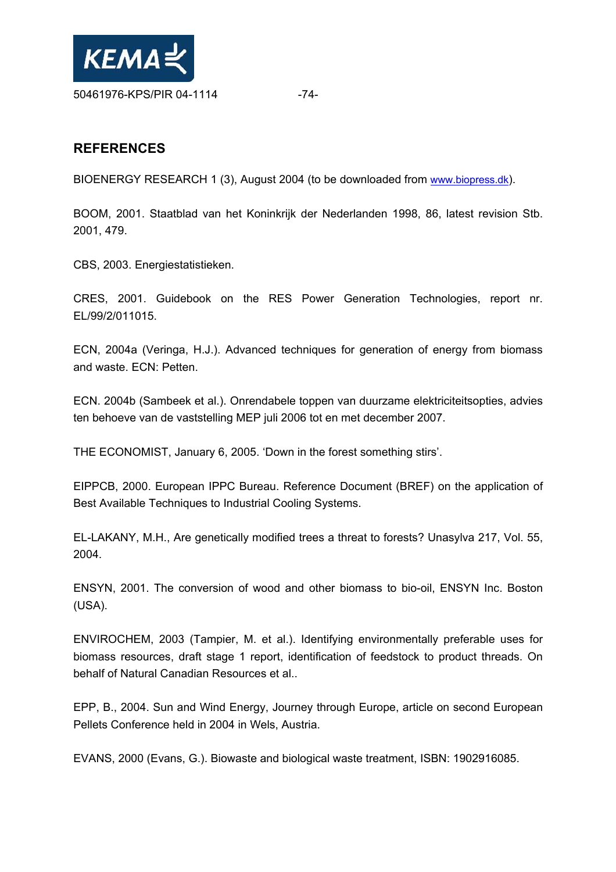

# **REFERENCES**

BIOENERGY RESEARCH 1 (3), August 2004 (to be downloaded from www.biopress.dk).

BOOM, 2001. Staatblad van het Koninkrijk der Nederlanden 1998, 86, latest revision Stb. 2001, 479.

CBS, 2003. Energiestatistieken.

CRES, 2001. Guidebook on the RES Power Generation Technologies, report nr. EL/99/2/011015.

ECN, 2004a (Veringa, H.J.). Advanced techniques for generation of energy from biomass and waste. ECN: Petten.

ECN. 2004b (Sambeek et al.). Onrendabele toppen van duurzame elektriciteitsopties, advies ten behoeve van de vaststelling MEP juli 2006 tot en met december 2007.

THE ECONOMIST, January 6, 2005. 'Down in the forest something stirs'.

EIPPCB, 2000. European IPPC Bureau. Reference Document (BREF) on the application of Best Available Techniques to Industrial Cooling Systems.

EL-LAKANY, M.H., Are genetically modified trees a threat to forests? Unasylva 217, Vol. 55, 2004.

ENSYN, 2001. The conversion of wood and other biomass to bio-oil, ENSYN Inc. Boston (USA).

ENVIROCHEM, 2003 (Tampier, M. et al.). Identifying environmentally preferable uses for biomass resources, draft stage 1 report, identification of feedstock to product threads. On behalf of Natural Canadian Resources et al..

EPP, B., 2004. Sun and Wind Energy, Journey through Europe, article on second European Pellets Conference held in 2004 in Wels, Austria.

EVANS, 2000 (Evans, G.). Biowaste and biological waste treatment, ISBN: 1902916085.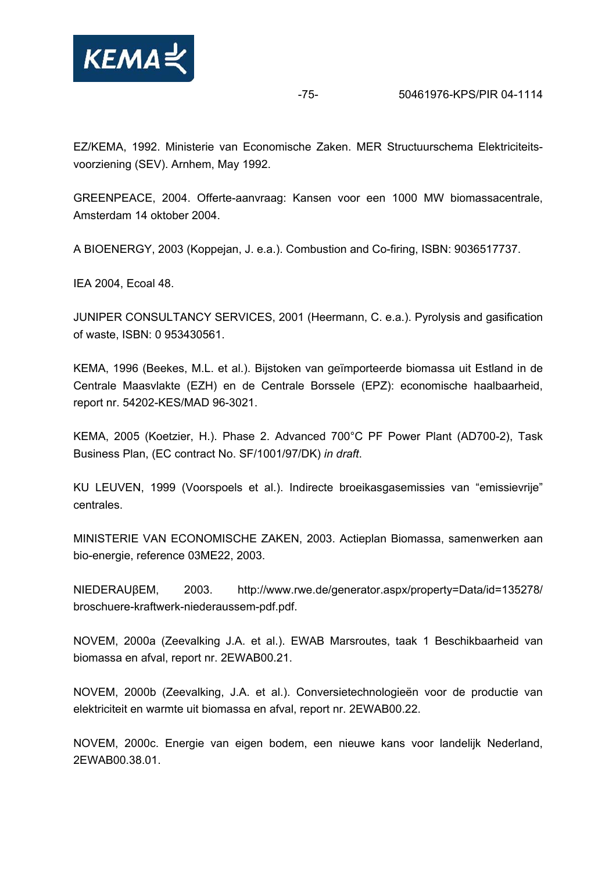

-75- 50461976-KPS/PIR 04-1114

EZ/KEMA, 1992. Ministerie van Economische Zaken. MER Structuurschema Elektriciteitsvoorziening (SEV). Arnhem, May 1992.

GREENPEACE, 2004. Offerte-aanvraag: Kansen voor een 1000 MW biomassacentrale, Amsterdam 14 oktober 2004.

A BIOENERGY, 2003 (Koppejan, J. e.a.). Combustion and Co-firing, ISBN: 9036517737.

IEA 2004, Ecoal 48.

JUNIPER CONSULTANCY SERVICES, 2001 (Heermann, C. e.a.). Pyrolysis and gasification of waste, ISBN: 0 953430561.

KEMA, 1996 (Beekes, M.L. et al.). Bijstoken van geïmporteerde biomassa uit Estland in de Centrale Maasvlakte (EZH) en de Centrale Borssele (EPZ): economische haalbaarheid, report nr. 54202-KES/MAD 96-3021.

KEMA, 2005 (Koetzier, H.). Phase 2. Advanced 700°C PF Power Plant (AD700-2), Task Business Plan, (EC contract No. SF/1001/97/DK) *in draft*.

KU LEUVEN, 1999 (Voorspoels et al.). Indirecte broeikasgasemissies van "emissievrije" centrales.

MINISTERIE VAN ECONOMISCHE ZAKEN, 2003. Actieplan Biomassa, samenwerken aan bio-energie, reference 03ME22, 2003.

NIEDERAUβEM, 2003. http://www.rwe.de/generator.aspx/property=Data/id=135278/ broschuere-kraftwerk-niederaussem-pdf.pdf.

NOVEM, 2000a (Zeevalking J.A. et al.). EWAB Marsroutes, taak 1 Beschikbaarheid van biomassa en afval, report nr. 2EWAB00.21.

NOVEM, 2000b (Zeevalking, J.A. et al.). Conversietechnologieën voor de productie van elektriciteit en warmte uit biomassa en afval, report nr. 2EWAB00.22.

NOVEM, 2000c. Energie van eigen bodem, een nieuwe kans voor landelijk Nederland, 2EWAB00.38.01.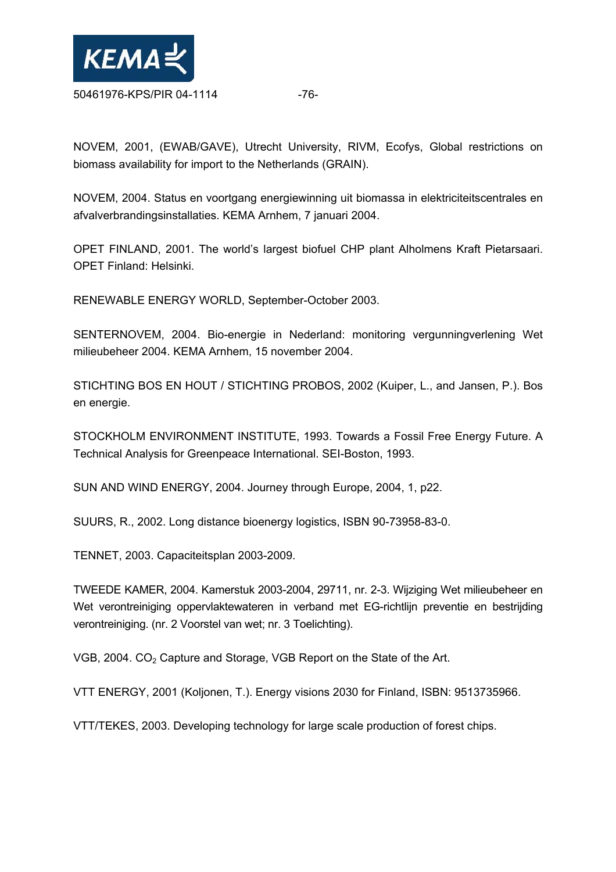

NOVEM, 2001, (EWAB/GAVE), Utrecht University, RIVM, Ecofys, Global restrictions on biomass availability for import to the Netherlands (GRAIN).

NOVEM, 2004. Status en voortgang energiewinning uit biomassa in elektriciteitscentrales en afvalverbrandingsinstallaties. KEMA Arnhem, 7 januari 2004.

OPET FINLAND, 2001. The world's largest biofuel CHP plant Alholmens Kraft Pietarsaari. OPET Finland: Helsinki.

RENEWABLE ENERGY WORLD, September-October 2003.

SENTERNOVEM, 2004. Bio-energie in Nederland: monitoring vergunningverlening Wet milieubeheer 2004. KEMA Arnhem, 15 november 2004.

STICHTING BOS EN HOUT / STICHTING PROBOS, 2002 (Kuiper, L., and Jansen, P.). Bos en energie.

STOCKHOLM ENVIRONMENT INSTITUTE, 1993. Towards a Fossil Free Energy Future. A Technical Analysis for Greenpeace International. SEI-Boston, 1993.

SUN AND WIND ENERGY, 2004. Journey through Europe, 2004, 1, p22.

SUURS, R., 2002. Long distance bioenergy logistics, ISBN 90-73958-83-0.

TENNET, 2003. Capaciteitsplan 2003-2009.

TWEEDE KAMER, 2004. Kamerstuk 2003-2004, 29711, nr. 2-3. Wijziging Wet milieubeheer en Wet verontreiniging oppervlaktewateren in verband met EG-richtlijn preventie en bestrijding verontreiniging. (nr. 2 Voorstel van wet; nr. 3 Toelichting).

VGB, 2004. CO<sub>2</sub> Capture and Storage, VGB Report on the State of the Art.

VTT ENERGY, 2001 (Koljonen, T.). Energy visions 2030 for Finland, ISBN: 9513735966.

VTT/TEKES, 2003. Developing technology for large scale production of forest chips.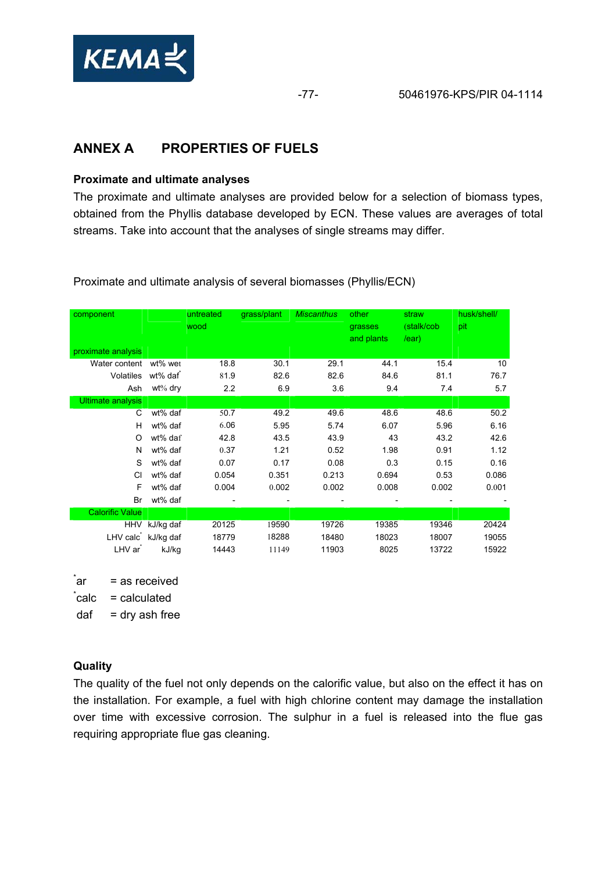

# **ANNEX A PROPERTIES OF FUELS**

### **Proximate and ultimate analyses**

The proximate and ultimate analyses are provided below for a selection of biomass types, obtained from the Phyllis database developed by ECN. These values are averages of total streams. Take into account that the analyses of single streams may differ.

component untreated wood grass/plant *Miscanthus* other grasses and plants straw (stalk/cob /ear) husk/shell/ pit proximate analysis Water content wt% wet  $18.8$  30.1 29.1 44.1 15.4 10 Volatiles wt% daf\* 81.9 82.6 82.6 84.6 81.1 76.7 Ash wt% dry 2.2 6.9 3.6 9.4 7.4 5.7 Ultimate analysis C wt% daf 50.7 49.2 49.6 48.6 48.6 50.2 H wt% daf 6.06 5.95 5.74 6.07 5.96 6.16 O wt% daf 42.8 43.5 43.9 43 43.2 42.6 N wt% daf 0.37 1.21 0.52 1.98 0.91 1.12 S wt% daf 0.07 0.17 0.08 0.3 0.15 0.16 Cl wt% daf 0.054 0.351 0.213 0.694 0.53 0.086 F wt% daf 0.004 0.002 0.002 0.008 0.002 0.001 Br wt% daf - - - - - - Calorific Value HHV kJ/kg daf 20125 19590 19726 19385 19346 20424 LHV calc\* kJ/kg daf 18779 18288 18480 18023 18007 19055 LHV ar\* kJ/kg 14443 11149 11903 8025 13722 15922

Proximate and ultimate analysis of several biomasses (Phyllis/ECN)

້ar  $=$  as received

 $\, \dot{c}$ alc $\,$  $=$  calculated

 $\text{d}$ af = dry ash free

### **Quality**

The quality of the fuel not only depends on the calorific value, but also on the effect it has on the installation. For example, a fuel with high chlorine content may damage the installation over time with excessive corrosion. The sulphur in a fuel is released into the flue gas requiring appropriate flue gas cleaning.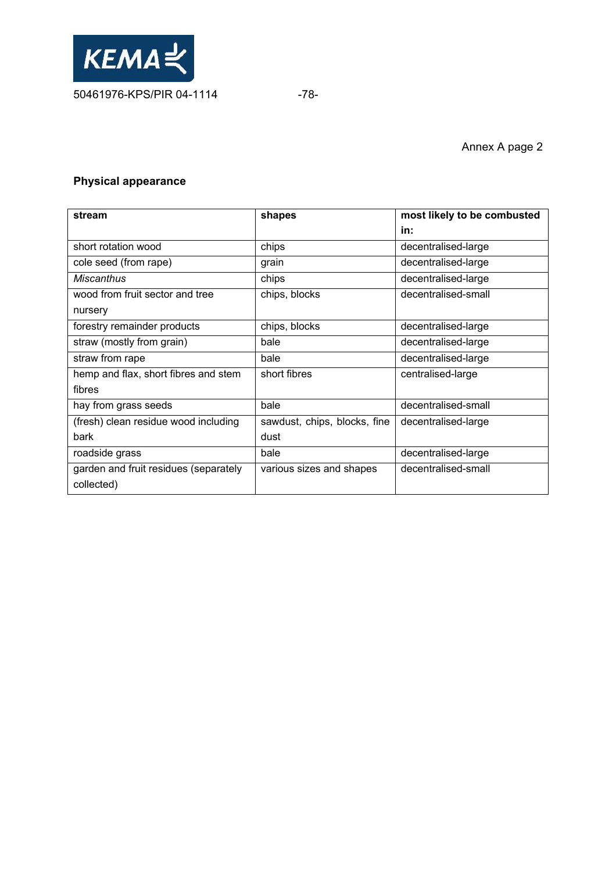

## **Physical appearance**

| stream                                | shapes                       | most likely to be combusted |  |  |
|---------------------------------------|------------------------------|-----------------------------|--|--|
|                                       |                              | in:                         |  |  |
| short rotation wood                   | chips                        | decentralised-large         |  |  |
| cole seed (from rape)                 | grain                        | decentralised-large         |  |  |
| <b>Miscanthus</b>                     | chips                        | decentralised-large         |  |  |
| wood from fruit sector and tree       | chips, blocks                | decentralised-small         |  |  |
| nursery                               |                              |                             |  |  |
| forestry remainder products           | chips, blocks                | decentralised-large         |  |  |
| straw (mostly from grain)             | bale                         | decentralised-large         |  |  |
| straw from rape                       | bale                         | decentralised-large         |  |  |
| hemp and flax, short fibres and stem  | short fibres                 | centralised-large           |  |  |
| fibres                                |                              |                             |  |  |
| hay from grass seeds                  | bale                         | decentralised-small         |  |  |
| (fresh) clean residue wood including  | sawdust, chips, blocks, fine | decentralised-large         |  |  |
| bark                                  | dust                         |                             |  |  |
| roadside grass                        | bale                         | decentralised-large         |  |  |
| garden and fruit residues (separately | various sizes and shapes     | decentralised-small         |  |  |
| collected)                            |                              |                             |  |  |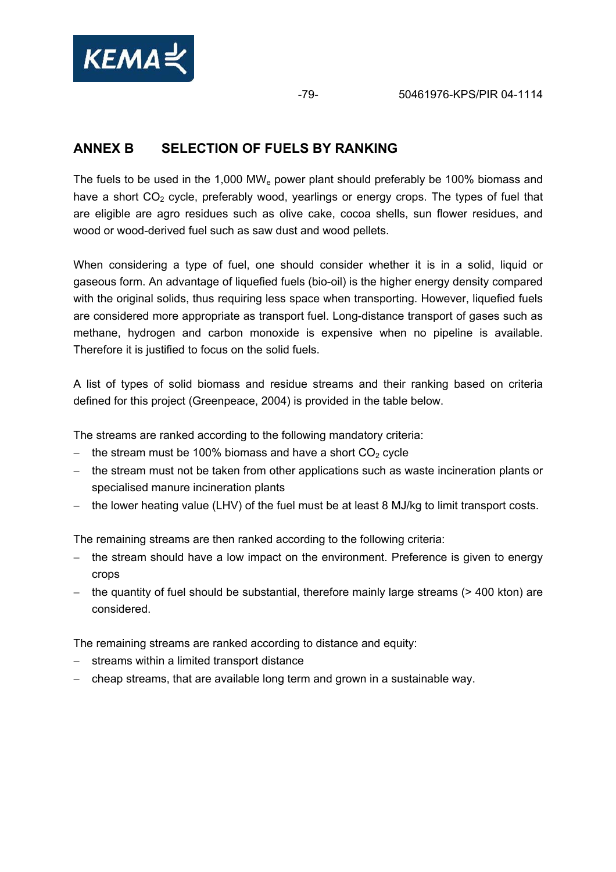

# **ANNEX B SELECTION OF FUELS BY RANKING**

The fuels to be used in the 1,000 MWe power plant should preferably be 100% biomass and have a short  $CO<sub>2</sub>$  cycle, preferably wood, yearlings or energy crops. The types of fuel that are eligible are agro residues such as olive cake, cocoa shells, sun flower residues, and wood or wood-derived fuel such as saw dust and wood pellets.

When considering a type of fuel, one should consider whether it is in a solid, liquid or gaseous form. An advantage of liquefied fuels (bio-oil) is the higher energy density compared with the original solids, thus requiring less space when transporting. However, liquefied fuels are considered more appropriate as transport fuel. Long-distance transport of gases such as methane, hydrogen and carbon monoxide is expensive when no pipeline is available. Therefore it is justified to focus on the solid fuels.

A list of types of solid biomass and residue streams and their ranking based on criteria defined for this project (Greenpeace, 2004) is provided in the table below.

The streams are ranked according to the following mandatory criteria:

- $-$  the stream must be 100% biomass and have a short  $CO<sub>2</sub>$  cycle
- − the stream must not be taken from other applications such as waste incineration plants or specialised manure incineration plants
- − the lower heating value (LHV) of the fuel must be at least 8 MJ/kg to limit transport costs.

The remaining streams are then ranked according to the following criteria:

- − the stream should have a low impact on the environment. Preference is given to energy crops
- − the quantity of fuel should be substantial, therefore mainly large streams (> 400 kton) are considered.

The remaining streams are ranked according to distance and equity:

- − streams within a limited transport distance
- − cheap streams, that are available long term and grown in a sustainable way.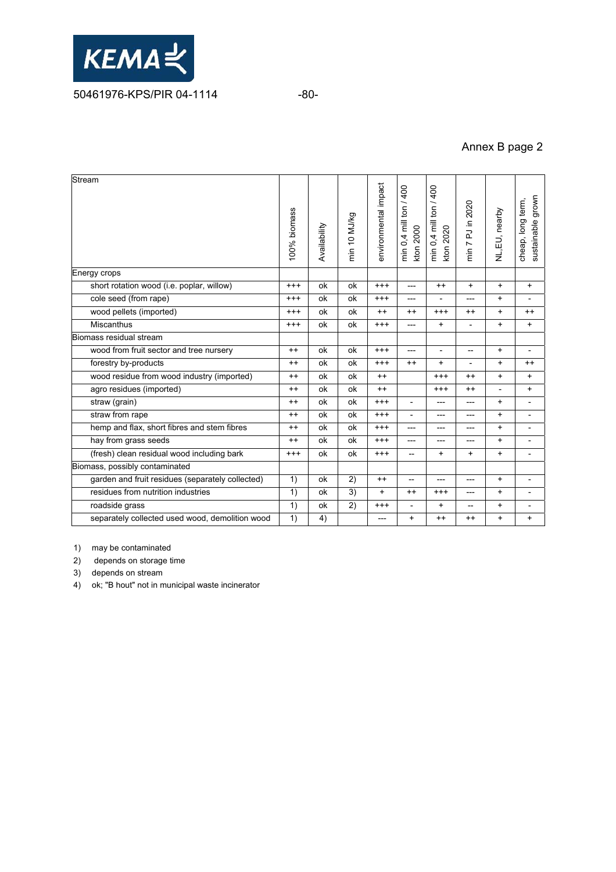

## Annex B page 2

| Stream                                           | 100% biomass | Availability | min 10 MJ/kg | environmental impact | min 0,4 mill ton / 400<br>kton 2000 | min 0,4 mill ton / 400<br>kton 2020 | min 7 PJ in 2020         | NL, EU, nearby | sustainable grown<br>cheap, long term, |
|--------------------------------------------------|--------------|--------------|--------------|----------------------|-------------------------------------|-------------------------------------|--------------------------|----------------|----------------------------------------|
| Energy crops                                     |              |              |              |                      |                                     |                                     |                          |                |                                        |
| short rotation wood (i.e. poplar, willow)        | $^{+++}$     | ok           | ok           | $^{+++}$             | $---$                               | $^{++}$                             | $\ddot{}$                | $+$            | $\ddot{}$                              |
| cole seed (from rape)                            | $^{+++}$     | ok           | ok           | $^{++}$              | $---$                               |                                     | ---                      | $+$            |                                        |
| wood pellets (imported)                          | $^{+++}$     | ok           | ok           | $++$                 | $++$                                | $^{++}$                             | $++$                     | $\ddot{}$      | $^{++}$                                |
| <b>Miscanthus</b>                                | $^{+++}$     | ok           | оk           | $^{+++}$             | $---$                               | $\ddot{}$                           | $\overline{\phantom{a}}$ | $\ddot{}$      | $\ddot{}$                              |
| Biomass residual stream                          |              |              |              |                      |                                     |                                     |                          |                |                                        |
| wood from fruit sector and tree nursery          | $^{++}$      | ok           | ok           | $^{++}$              | ---                                 | $\overline{\phantom{a}}$            | $\overline{\phantom{0}}$ | $+$            | $\overline{\phantom{a}}$               |
| forestry by-products                             | $++$         | ok           | ok           | $^{+++}$             | $^{++}$                             | $\ddot{}$                           | $\overline{a}$           | $\ddot{}$      | $^{++}$                                |
| wood residue from wood industry (imported)       | $++$         | ok           | ok           | $++$                 |                                     | $^{++}$                             | $++$                     | $+$            | $\ddot{}$                              |
| agro residues (imported)                         | $++$         | ok           | ok           | $^{++}$              |                                     | $^{+++}$                            | $^{++}$                  |                | $\pmb{+}$                              |
| straw (grain)                                    | $^{++}$      | ok           | ok           | $^{+++}$             | $\overline{a}$                      | ---                                 | ---                      | $\ddot{}$      | $\overline{\phantom{a}}$               |
| straw from rape                                  | $^{++}$      | ok           | ok           | $^{+++}$             | $\overline{\phantom{0}}$            | ---                                 | ---                      | $\ddot{}$      | $\overline{\phantom{0}}$               |
| hemp and flax, short fibres and stem fibres      |              | ok           | ok           | $^{+++}$             | $---$                               | ---                                 | ---                      | $+$            |                                        |
| hay from grass seeds                             |              | ok           | ok           | $^{+++}$             | ---                                 | ---                                 | ---                      | $\ddot{}$      | $\overline{\phantom{a}}$               |
| (fresh) clean residual wood including bark       | $^{+++}$     | ok           | ok           | $^{+++}$             | $\hspace{0.05cm} -\hspace{0.05cm}$  | +                                   | $\ddot{}$                | $\ddot{}$      | $\overline{\phantom{a}}$               |
| Biomass, possibly contaminated                   |              |              |              |                      |                                     |                                     |                          |                |                                        |
| garden and fruit residues (separately collected) |              | ok           | 2)           | $++$                 | $\qquad \qquad -$                   | ---                                 | ---                      | $\ddot{}$      | $\overline{\phantom{a}}$               |
| residues from nutrition industries               | 1)           | ok           | 3)           | $+$                  | $^{++}$                             | $^{+++}$                            | ---                      | $\ddot{}$      | $\overline{\phantom{a}}$               |
| roadside grass                                   | 1)           | ok           | 2)           | $^{+++}$             |                                     | $\ddot{}$                           | $\overline{\phantom{a}}$ | $\ddot{}$      | $\overline{\phantom{a}}$               |
| separately collected used wood, demolition wood  | 1)           | 4)           |              | ---                  | $\ddot{}$                           | $++$                                | $^{++}$                  | $+$            | $\ddot{}$                              |
|                                                  |              |              |              |                      |                                     |                                     |                          |                |                                        |

1) may be contaminated

2) depends on storage time

3) depends on stream

4) ok; "B hout" not in municipal waste incinerator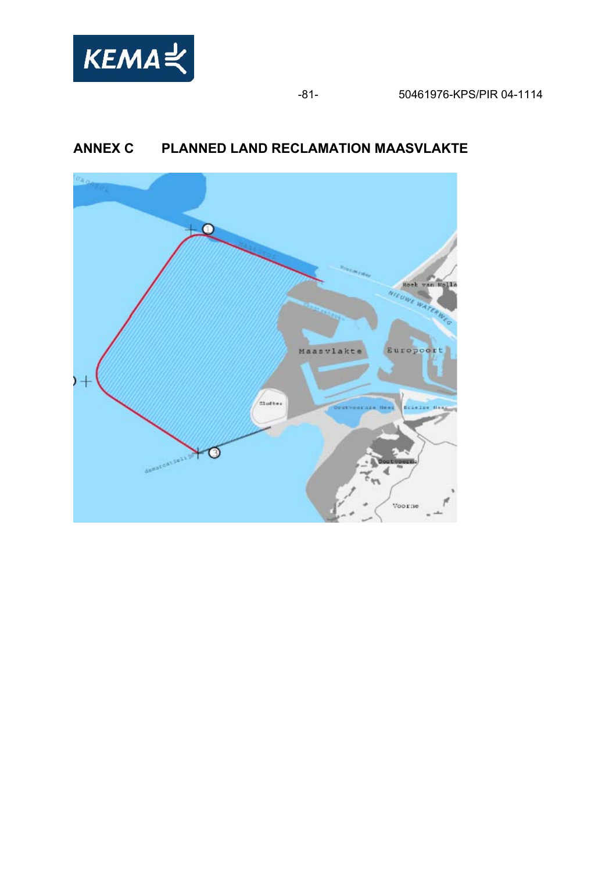

# **ANNEX C PLANNED LAND RECLAMATION MAASVLAKTE**

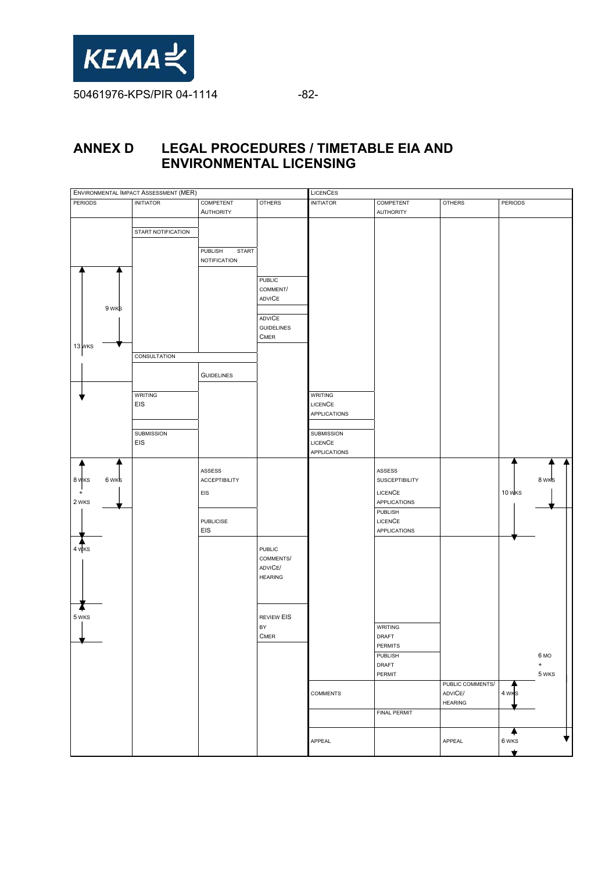

## **ANNEX D LEGAL PROCEDURES / TIMETABLE EIA AND ENVIRONMENTAL LICENSING**

| ENVIRONMENTAL IMPACT ASSESSMENT (MER) |                    |                         | <b>LICENCES</b>         |                  |                  |                           |                |           |
|---------------------------------------|--------------------|-------------------------|-------------------------|------------------|------------------|---------------------------|----------------|-----------|
| <b>PERIODS</b>                        | <b>INITIATOR</b>   | COMPETENT               | <b>OTHERS</b>           | <b>INITIATOR</b> | COMPETENT        | <b>OTHERS</b>             | <b>PERIODS</b> |           |
|                                       |                    | <b>AUTHORITY</b>        |                         |                  | <b>AUTHORITY</b> |                           |                |           |
|                                       |                    |                         |                         |                  |                  |                           |                |           |
|                                       | START NOTIFICATION |                         |                         |                  |                  |                           |                |           |
|                                       |                    | PUBLISH<br><b>START</b> |                         |                  |                  |                           |                |           |
|                                       |                    | <b>NOTIFICATION</b>     |                         |                  |                  |                           |                |           |
|                                       |                    |                         |                         |                  |                  |                           |                |           |
|                                       |                    |                         | PUBLIC                  |                  |                  |                           |                |           |
|                                       |                    |                         | COMMENT/                |                  |                  |                           |                |           |
|                                       |                    |                         | ADVICE                  |                  |                  |                           |                |           |
| 9 wks                                 |                    |                         | <b>ADVICE</b>           |                  |                  |                           |                |           |
|                                       |                    |                         | <b>GUIDELINES</b>       |                  |                  |                           |                |           |
|                                       |                    |                         | <b>CMER</b>             |                  |                  |                           |                |           |
| 13 MKS                                |                    |                         |                         |                  |                  |                           |                |           |
|                                       | CONSULTATION       |                         |                         |                  |                  |                           |                |           |
|                                       |                    |                         |                         |                  |                  |                           |                |           |
|                                       |                    | <b>GUIDELINES</b>       |                         |                  |                  |                           |                |           |
|                                       | <b>WRITING</b>     |                         |                         | <b>WRITING</b>   |                  |                           |                |           |
|                                       | EIS                |                         |                         | LICENCE          |                  |                           |                |           |
|                                       |                    |                         |                         | APPLICATIONS     |                  |                           |                |           |
|                                       |                    |                         |                         |                  |                  |                           |                |           |
|                                       | SUBMISSION         |                         |                         | SUBMISSION       |                  |                           |                |           |
|                                       | EIS                |                         |                         | LICENCE          |                  |                           |                |           |
|                                       |                    |                         |                         | APPLICATIONS     |                  |                           |                |           |
|                                       |                    | ASSESS                  |                         |                  | ASSESS           |                           |                |           |
| 8 WKS<br>6 wks                        |                    | ACCEPTIBILITY           |                         |                  | SUSCEPTIBILITY   |                           |                | 8 WKS     |
| $+$                                   |                    | EIS                     |                         |                  | <b>LICENCE</b>   |                           | 10 WKS         |           |
| 2 WKS                                 |                    |                         |                         |                  | APPLICATIONS     |                           |                |           |
|                                       |                    |                         |                         |                  | PUBLISH          |                           |                |           |
|                                       |                    | <b>PUBLICISE</b>        |                         |                  | <b>LICENCE</b>   |                           |                |           |
|                                       |                    | EIS                     |                         |                  | APPLICATIONS     |                           |                |           |
| $4\sqrt{KS}$                          |                    |                         |                         |                  |                  |                           |                |           |
|                                       |                    |                         | PUBLIC<br>COMMENTS/     |                  |                  |                           |                |           |
|                                       |                    |                         | ADVICE/                 |                  |                  |                           |                |           |
|                                       |                    |                         | <b>HEARING</b>          |                  |                  |                           |                |           |
|                                       |                    |                         |                         |                  |                  |                           |                |           |
|                                       |                    |                         |                         |                  |                  |                           |                |           |
|                                       |                    |                         |                         |                  |                  |                           |                |           |
| 5 WKS                                 |                    |                         | <b>REVIEW EIS</b><br>BY |                  |                  |                           |                |           |
|                                       |                    |                         | <b>CMER</b>             |                  | WRITING<br>DRAFT |                           |                |           |
|                                       |                    |                         |                         |                  | PERMITS          |                           |                |           |
|                                       |                    |                         |                         |                  | PUBLISH          |                           |                | 6 MO      |
|                                       |                    |                         |                         |                  | DRAFT            |                           |                | $\pmb{+}$ |
|                                       |                    |                         |                         |                  | PERMIT           |                           |                | 5 WKS     |
|                                       |                    |                         |                         |                  |                  | PUBLIC COMMENTS/          |                |           |
|                                       |                    |                         |                         | <b>COMMENTS</b>  |                  | ADVICE/<br><b>HEARING</b> | 4 WKS          |           |
|                                       |                    |                         |                         |                  | FINAL PERMIT     |                           |                |           |
|                                       |                    |                         |                         |                  |                  |                           |                |           |
|                                       |                    |                         |                         |                  |                  |                           | ₳              |           |
|                                       |                    |                         |                         | APPEAL           |                  | APPEAL                    | 6 WKS          | ▼         |
|                                       |                    |                         |                         |                  |                  |                           | ₩              |           |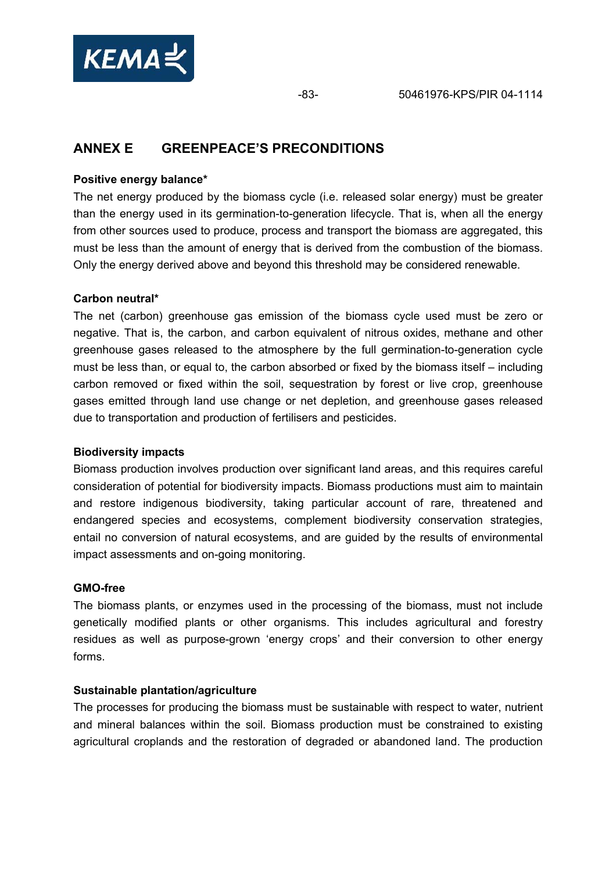

## **ANNEX E GREENPEACE'S PRECONDITIONS**

### **Positive energy balance\***

The net energy produced by the biomass cycle (i.e. released solar energy) must be greater than the energy used in its germination-to-generation lifecycle. That is, when all the energy from other sources used to produce, process and transport the biomass are aggregated, this must be less than the amount of energy that is derived from the combustion of the biomass. Only the energy derived above and beyond this threshold may be considered renewable.

### **Carbon neutral\***

The net (carbon) greenhouse gas emission of the biomass cycle used must be zero or negative. That is, the carbon, and carbon equivalent of nitrous oxides, methane and other greenhouse gases released to the atmosphere by the full germination-to-generation cycle must be less than, or equal to, the carbon absorbed or fixed by the biomass itself – including carbon removed or fixed within the soil, sequestration by forest or live crop, greenhouse gases emitted through land use change or net depletion, and greenhouse gases released due to transportation and production of fertilisers and pesticides.

### **Biodiversity impacts**

Biomass production involves production over significant land areas, and this requires careful consideration of potential for biodiversity impacts. Biomass productions must aim to maintain and restore indigenous biodiversity, taking particular account of rare, threatened and endangered species and ecosystems, complement biodiversity conservation strategies, entail no conversion of natural ecosystems, and are guided by the results of environmental impact assessments and on-going monitoring.

### **GMO-free**

The biomass plants, or enzymes used in the processing of the biomass, must not include genetically modified plants or other organisms. This includes agricultural and forestry residues as well as purpose-grown 'energy crops' and their conversion to other energy forms.

### **Sustainable plantation/agriculture**

The processes for producing the biomass must be sustainable with respect to water, nutrient and mineral balances within the soil. Biomass production must be constrained to existing agricultural croplands and the restoration of degraded or abandoned land. The production